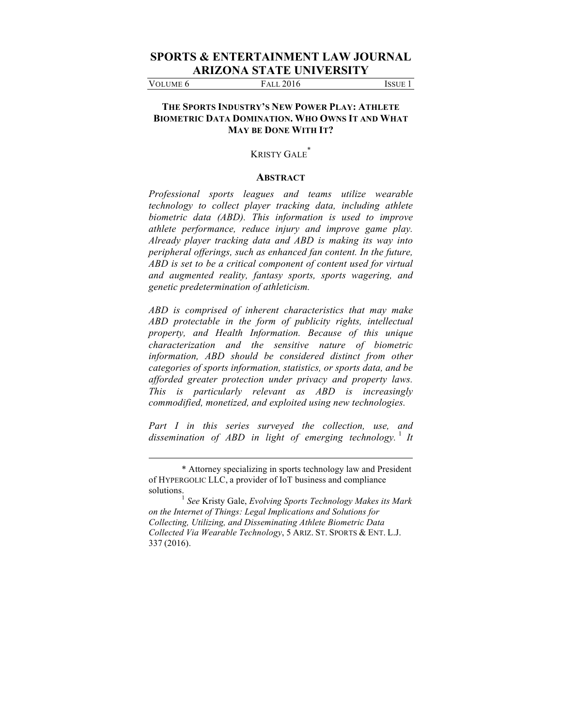$\overline{a}$ 

VOLUME 6 FALL 2016 ISSUE 1

# **THE SPORTS INDUSTRY'S NEW POWER PLAY: ATHLETE BIOMETRIC DATA DOMINATION. WHO OWNS IT AND WHAT MAY BE DONE WITH IT?**

# **KRISTY GALE**

#### **ABSTRACT**

*Professional sports leagues and teams utilize wearable technology to collect player tracking data, including athlete biometric data (ABD). This information is used to improve athlete performance, reduce injury and improve game play. Already player tracking data and ABD is making its way into peripheral offerings, such as enhanced fan content. In the future, ABD is set to be a critical component of content used for virtual and augmented reality, fantasy sports, sports wagering, and genetic predetermination of athleticism.* 

*ABD is comprised of inherent characteristics that may make ABD protectable in the form of publicity rights, intellectual property, and Health Information. Because of this unique characterization and the sensitive nature of biometric information, ABD should be considered distinct from other categories of sports information, statistics, or sports data, and be afforded greater protection under privacy and property laws. This is particularly relevant as ABD is increasingly commodified, monetized, and exploited using new technologies.* 

*Part I in this series surveyed the collection, use, and*  dissemination of ABD in light of emerging technology.<sup>1</sup> It

<sup>\*</sup> Attorney specializing in sports technology law and President of HYPERGOLIC LLC, a provider of IoT business and compliance solutions.<sup>1</sup> *See* Kristy Gale, *Evolving Sports Technology Makes its Mark* 

*on the Internet of Things: Legal Implications and Solutions for Collecting, Utilizing, and Disseminating Athlete Biometric Data Collected Via Wearable Technology*, 5 ARIZ. ST. SPORTS & ENT. L.J. 337 (2016).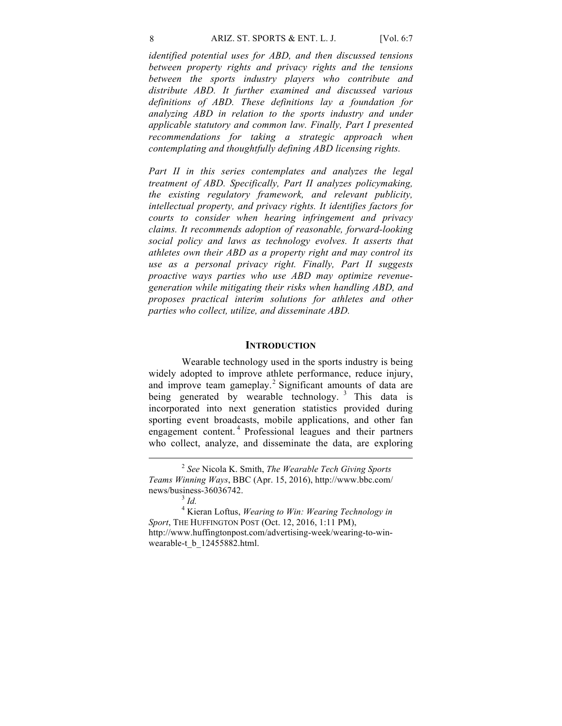*identified potential uses for ABD, and then discussed tensions between property rights and privacy rights and the tensions between the sports industry players who contribute and distribute ABD. It further examined and discussed various definitions of ABD. These definitions lay a foundation for analyzing ABD in relation to the sports industry and under applicable statutory and common law. Finally, Part I presented recommendations for taking a strategic approach when contemplating and thoughtfully defining ABD licensing rights.*

*Part II in this series contemplates and analyzes the legal treatment of ABD. Specifically, Part II analyzes policymaking, the existing regulatory framework, and relevant publicity, intellectual property, and privacy rights. It identifies factors for courts to consider when hearing infringement and privacy claims. It recommends adoption of reasonable, forward-looking social policy and laws as technology evolves. It asserts that athletes own their ABD as a property right and may control its use as a personal privacy right. Finally, Part II suggests proactive ways parties who use ABD may optimize revenuegeneration while mitigating their risks when handling ABD, and proposes practical interim solutions for athletes and other parties who collect, utilize, and disseminate ABD.*

### **INTRODUCTION**

Wearable technology used in the sports industry is being widely adopted to improve athlete performance, reduce injury, and improve team gameplay.<sup>2</sup> Significant amounts of data are being generated by wearable technology.<sup>3</sup> This data is incorporated into next generation statistics provided during sporting event broadcasts, mobile applications, and other fan engagement content. <sup>4</sup> Professional leagues and their partners who collect, analyze, and disseminate the data, are exploring

<sup>2</sup> *See* Nicola K. Smith, *The Wearable Tech Giving Sports Teams Winning Ways*, BBC (Apr. 15, 2016), http://www.bbc.com/

news/business-36036742. <sup>3</sup> *Id.* <sup>4</sup> Kieran Loftus, *Wearing to Win: Wearing Technology in Sport*, THE HUFFINGTON POST (Oct. 12, 2016, 1:11 PM), http://www.huffingtonpost.com/advertising-week/wearing-to-winwearable-t\_b\_12455882.html.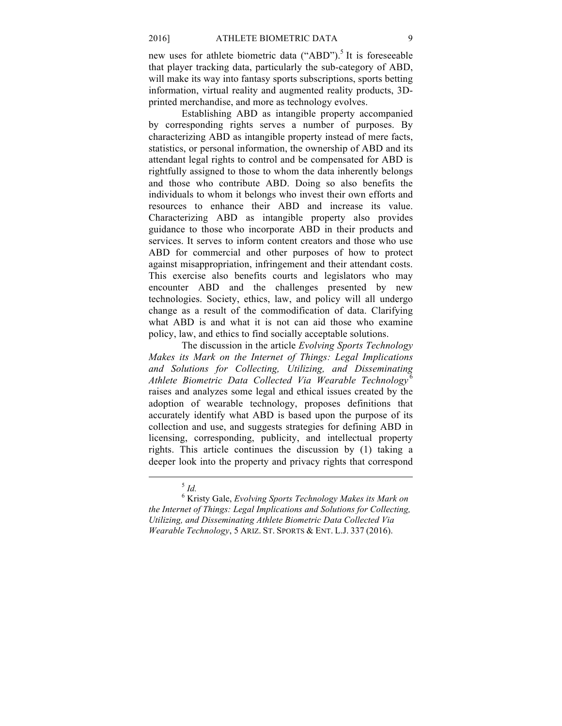new uses for athlete biometric data ("ABD").<sup>5</sup> It is foreseeable that player tracking data, particularly the sub-category of ABD, will make its way into fantasy sports subscriptions, sports betting information, virtual reality and augmented reality products, 3Dprinted merchandise, and more as technology evolves.

Establishing ABD as intangible property accompanied by corresponding rights serves a number of purposes. By characterizing ABD as intangible property instead of mere facts, statistics, or personal information, the ownership of ABD and its attendant legal rights to control and be compensated for ABD is rightfully assigned to those to whom the data inherently belongs and those who contribute ABD. Doing so also benefits the individuals to whom it belongs who invest their own efforts and resources to enhance their ABD and increase its value. Characterizing ABD as intangible property also provides guidance to those who incorporate ABD in their products and services. It serves to inform content creators and those who use ABD for commercial and other purposes of how to protect against misappropriation, infringement and their attendant costs. This exercise also benefits courts and legislators who may encounter ABD and the challenges presented by new technologies. Society, ethics, law, and policy will all undergo change as a result of the commodification of data. Clarifying what ABD is and what it is not can aid those who examine policy, law, and ethics to find socially acceptable solutions.

The discussion in the article *Evolving Sports Technology Makes its Mark on the Internet of Things: Legal Implications and Solutions for Collecting, Utilizing, and Disseminating Athlete Biometric Data Collected Via Wearable Technology* <sup>6</sup> raises and analyzes some legal and ethical issues created by the adoption of wearable technology, proposes definitions that accurately identify what ABD is based upon the purpose of its collection and use, and suggests strategies for defining ABD in licensing, corresponding, publicity, and intellectual property rights. This article continues the discussion by (1) taking a deeper look into the property and privacy rights that correspond

<sup>5</sup> *Id.* <sup>6</sup> Kristy Gale, *Evolving Sports Technology Makes its Mark on the Internet of Things: Legal Implications and Solutions for Collecting, Utilizing, and Disseminating Athlete Biometric Data Collected Via Wearable Technology*, 5 ARIZ. ST. SPORTS & ENT. L.J. 337 (2016).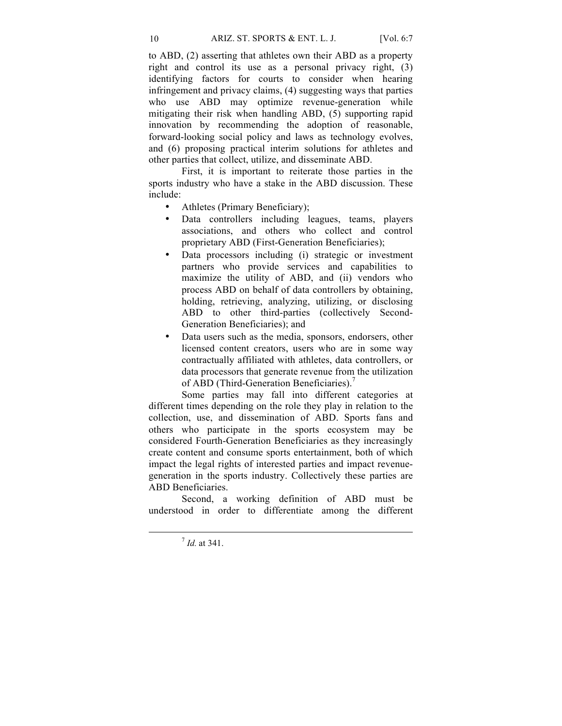to ABD, (2) asserting that athletes own their ABD as a property right and control its use as a personal privacy right, (3) identifying factors for courts to consider when hearing infringement and privacy claims, (4) suggesting ways that parties who use ABD may optimize revenue-generation while mitigating their risk when handling ABD, (5) supporting rapid innovation by recommending the adoption of reasonable, forward-looking social policy and laws as technology evolves, and (6) proposing practical interim solutions for athletes and other parties that collect, utilize, and disseminate ABD.

First, it is important to reiterate those parties in the sports industry who have a stake in the ABD discussion. These include:

- Athletes (Primary Beneficiary);
- Data controllers including leagues, teams, players associations, and others who collect and control proprietary ABD (First-Generation Beneficiaries);
- Data processors including (i) strategic or investment partners who provide services and capabilities to maximize the utility of ABD, and (ii) vendors who process ABD on behalf of data controllers by obtaining, holding, retrieving, analyzing, utilizing, or disclosing ABD to other third-parties (collectively Second-Generation Beneficiaries); and
- Data users such as the media, sponsors, endorsers, other licensed content creators, users who are in some way contractually affiliated with athletes, data controllers, or data processors that generate revenue from the utilization of ABD (Third-Generation Beneficiaries).<sup>7</sup>

Some parties may fall into different categories at different times depending on the role they play in relation to the collection, use, and dissemination of ABD. Sports fans and others who participate in the sports ecosystem may be considered Fourth-Generation Beneficiaries as they increasingly create content and consume sports entertainment, both of which impact the legal rights of interested parties and impact revenuegeneration in the sports industry. Collectively these parties are ABD Beneficiaries.

Second, a working definition of ABD must be understood in order to differentiate among the different

<sup>7</sup> *Id.* at 341.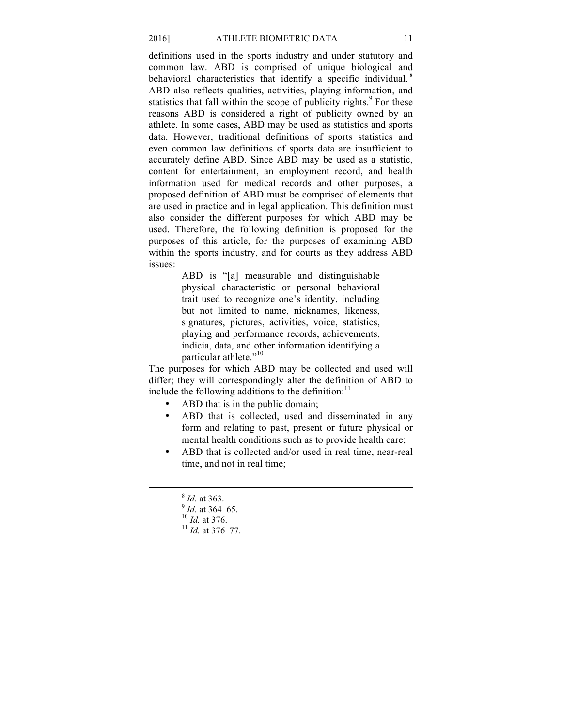definitions used in the sports industry and under statutory and common law. ABD is comprised of unique biological and behavioral characteristics that identify a specific individual.<sup>8</sup> ABD also reflects qualities, activities, playing information, and statistics that fall within the scope of publicity rights.<sup>9</sup> For these reasons ABD is considered a right of publicity owned by an athlete. In some cases, ABD may be used as statistics and sports data. However, traditional definitions of sports statistics and even common law definitions of sports data are insufficient to accurately define ABD. Since ABD may be used as a statistic, content for entertainment, an employment record, and health information used for medical records and other purposes, a proposed definition of ABD must be comprised of elements that are used in practice and in legal application. This definition must also consider the different purposes for which ABD may be used. Therefore, the following definition is proposed for the purposes of this article, for the purposes of examining ABD within the sports industry, and for courts as they address ABD issues:

> ABD is "[a] measurable and distinguishable physical characteristic or personal behavioral trait used to recognize one's identity, including but not limited to name, nicknames, likeness, signatures, pictures, activities, voice, statistics, playing and performance records, achievements, indicia, data, and other information identifying a particular athlete."<sup>10</sup>

The purposes for which ABD may be collected and used will differ; they will correspondingly alter the definition of ABD to include the following additions to the definition: $\frac{11}{11}$ 

- ABD that is in the public domain;
- ABD that is collected, used and disseminated in any form and relating to past, present or future physical or mental health conditions such as to provide health care;
- ABD that is collected and/or used in real time, near-real time, and not in real time;

<sup>8</sup> *Id.* at 363. <sup>9</sup> *Id.* at 364–65. <sup>10</sup> *Id.* at 376. <sup>11</sup> *Id.* at 376–77.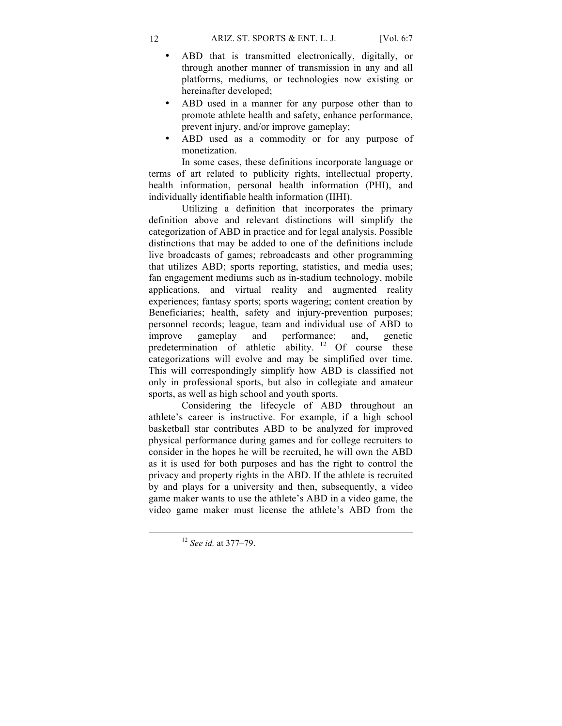- ABD that is transmitted electronically, digitally, or through another manner of transmission in any and all platforms, mediums, or technologies now existing or hereinafter developed;
- ABD used in a manner for any purpose other than to promote athlete health and safety, enhance performance, prevent injury, and/or improve gameplay;
- ABD used as a commodity or for any purpose of monetization.

In some cases, these definitions incorporate language or terms of art related to publicity rights, intellectual property, health information, personal health information (PHI), and individually identifiable health information (IIHI).

Utilizing a definition that incorporates the primary definition above and relevant distinctions will simplify the categorization of ABD in practice and for legal analysis. Possible distinctions that may be added to one of the definitions include live broadcasts of games; rebroadcasts and other programming that utilizes ABD; sports reporting, statistics, and media uses; fan engagement mediums such as in-stadium technology, mobile applications, and virtual reality and augmented reality experiences; fantasy sports; sports wagering; content creation by Beneficiaries; health, safety and injury-prevention purposes; personnel records; league, team and individual use of ABD to improve gameplay and performance; and, genetic predetermination of athletic ability.  $12$  Of course these categorizations will evolve and may be simplified over time. This will correspondingly simplify how ABD is classified not only in professional sports, but also in collegiate and amateur sports, as well as high school and youth sports.

Considering the lifecycle of ABD throughout an athlete's career is instructive. For example, if a high school basketball star contributes ABD to be analyzed for improved physical performance during games and for college recruiters to consider in the hopes he will be recruited, he will own the ABD as it is used for both purposes and has the right to control the privacy and property rights in the ABD. If the athlete is recruited by and plays for a university and then, subsequently, a video game maker wants to use the athlete's ABD in a video game, the video game maker must license the athlete's ABD from the

<sup>12</sup> *See id.* at 377–79.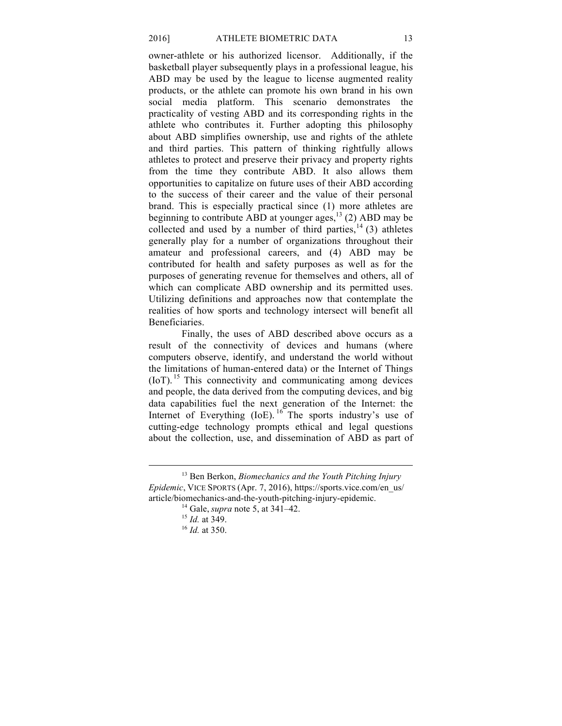owner-athlete or his authorized licensor. Additionally, if the basketball player subsequently plays in a professional league, his ABD may be used by the league to license augmented reality products, or the athlete can promote his own brand in his own social media platform. This scenario demonstrates the practicality of vesting ABD and its corresponding rights in the athlete who contributes it. Further adopting this philosophy about ABD simplifies ownership, use and rights of the athlete and third parties. This pattern of thinking rightfully allows athletes to protect and preserve their privacy and property rights from the time they contribute ABD. It also allows them opportunities to capitalize on future uses of their ABD according to the success of their career and the value of their personal brand. This is especially practical since (1) more athletes are beginning to contribute ABD at younger ages, $^{13}$  (2) ABD may be collected and used by a number of third parties,  $14$  (3) athletes generally play for a number of organizations throughout their amateur and professional careers, and (4) ABD may be contributed for health and safety purposes as well as for the purposes of generating revenue for themselves and others, all of which can complicate ABD ownership and its permitted uses. Utilizing definitions and approaches now that contemplate the realities of how sports and technology intersect will benefit all Beneficiaries.

Finally, the uses of ABD described above occurs as a result of the connectivity of devices and humans (where computers observe, identify, and understand the world without the limitations of human-entered data) or the Internet of Things  $(IoT)$ . <sup>15</sup> This connectivity and communicating among devices and people, the data derived from the computing devices, and big data capabilities fuel the next generation of the Internet: the Internet of Everything  $(IoE)$ . <sup>16</sup> The sports industry's use of cutting-edge technology prompts ethical and legal questions about the collection, use, and dissemination of ABD as part of

 <sup>13</sup> Ben Berkon, *Biomechanics and the Youth Pitching Injury Epidemic*, VICE SPORTS (Apr. 7, 2016), https://sports.vice.com/en\_us/ article/biomechanics-and-the-youth-pitching-injury-epidemic.

<sup>14</sup> Gale, *supra* note 5, at 341–42.

<sup>15</sup> *Id.* at 349.

<sup>16</sup> *Id.* at 350.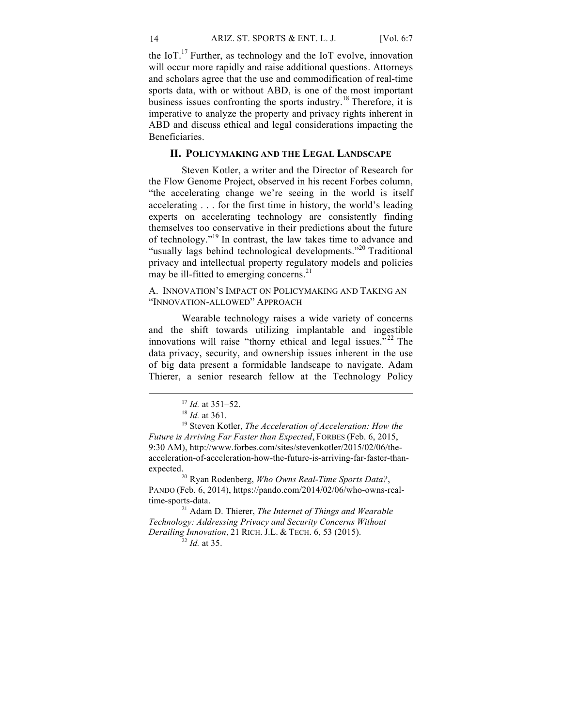the IoT.<sup>17</sup> Further, as technology and the IoT evolve, innovation will occur more rapidly and raise additional questions. Attorneys and scholars agree that the use and commodification of real-time sports data, with or without ABD, is one of the most important business issues confronting the sports industry.<sup>18</sup> Therefore, it is imperative to analyze the property and privacy rights inherent in ABD and discuss ethical and legal considerations impacting the Beneficiaries.

## **II. POLICYMAKING AND THE LEGAL LANDSCAPE**

Steven Kotler, a writer and the Director of Research for the Flow Genome Project, observed in his recent Forbes column, "the accelerating change we're seeing in the world is itself accelerating . . . for the first time in history, the world's leading experts on accelerating technology are consistently finding themselves too conservative in their predictions about the future of technology."<sup>19</sup> In contrast, the law takes time to advance and "usually lags behind technological developments."<sup>20</sup> Traditional privacy and intellectual property regulatory models and policies may be ill-fitted to emerging concerns. $^{21}$ 

## A. INNOVATION'S IMPACT ON POLICYMAKING AND TAKING AN "INNOVATION-ALLOWED" APPROACH

Wearable technology raises a wide variety of concerns and the shift towards utilizing implantable and ingestible innovations will raise "thorny ethical and legal issues."<sup>22</sup> The data privacy, security, and ownership issues inherent in the use of big data present a formidable landscape to navigate. Adam Thierer, a senior research fellow at the Technology Policy

<sup>19</sup> Steven Kotler, *The Acceleration of Acceleration: How the Future is Arriving Far Faster than Expected*, FORBES (Feb. 6, 2015, 9:30 AM), http://www.forbes.com/sites/stevenkotler/2015/02/06/theacceleration-of-acceleration-how-the-future-is-arriving-far-faster-thanexpected.

<sup>20</sup> Ryan Rodenberg, *Who Owns Real-Time Sports Data?*, PANDO (Feb. 6, 2014), https://pando.com/2014/02/06/who-owns-realtime-sports-data.

<sup>21</sup> Adam D. Thierer, *The Internet of Things and Wearable Technology: Addressing Privacy and Security Concerns Without Derailing Innovation*, 21 RICH. J.L. & TECH. 6, 53 (2015). <sup>22</sup> *Id.* at 35.

 <sup>17</sup> *Id.* at 351–52.

<sup>18</sup> *Id.* at 361.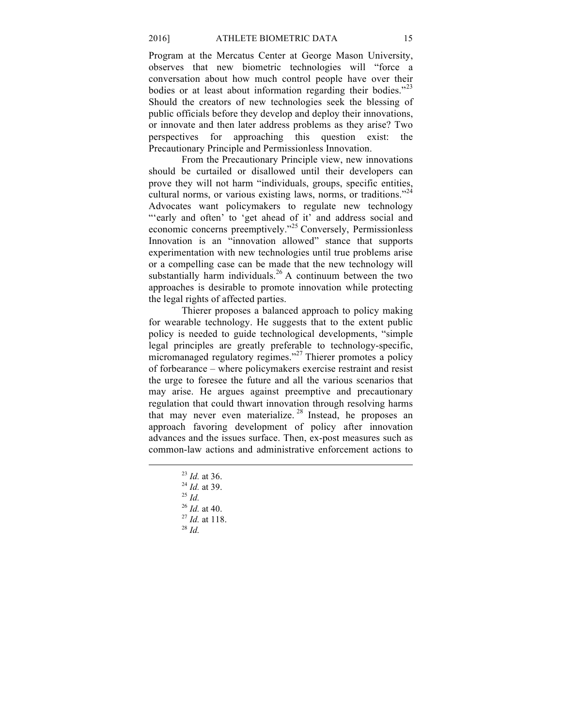Program at the Mercatus Center at George Mason University, observes that new biometric technologies will "force a conversation about how much control people have over their bodies or at least about information regarding their bodies."<sup>23</sup> Should the creators of new technologies seek the blessing of public officials before they develop and deploy their innovations, or innovate and then later address problems as they arise? Two perspectives for approaching this question exist: the Precautionary Principle and Permissionless Innovation.

From the Precautionary Principle view, new innovations should be curtailed or disallowed until their developers can prove they will not harm "individuals, groups, specific entities, cultural norms, or various existing laws, norms, or traditions."<sup>24</sup> Advocates want policymakers to regulate new technology "'early and often' to 'get ahead of it' and address social and economic concerns preemptively."<sup>25</sup> Conversely, Permissionless Innovation is an "innovation allowed" stance that supports experimentation with new technologies until true problems arise or a compelling case can be made that the new technology will substantially harm individuals.<sup>26</sup> A continuum between the two approaches is desirable to promote innovation while protecting the legal rights of affected parties.

Thierer proposes a balanced approach to policy making for wearable technology. He suggests that to the extent public policy is needed to guide technological developments, "simple legal principles are greatly preferable to technology-specific, micromanaged regulatory regimes."<sup>27</sup> Thierer promotes a policy of forbearance – where policymakers exercise restraint and resist the urge to foresee the future and all the various scenarios that may arise. He argues against preemptive and precautionary regulation that could thwart innovation through resolving harms that may never even materialize. <sup>28</sup> Instead, he proposes an approach favoring development of policy after innovation advances and the issues surface. Then, ex-post measures such as common-law actions and administrative enforcement actions to

> *Id.* at 36. *Id.* at 39. <sup>25</sup> *Id. Id.* at 40. *Id.* at 118. <sup>28</sup> *Id.*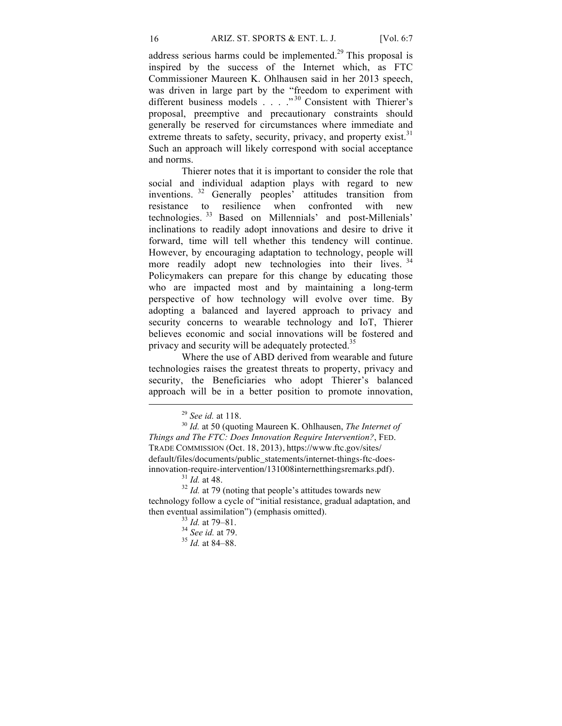address serious harms could be implemented.<sup>29</sup> This proposal is inspired by the success of the Internet which, as FTC Commissioner Maureen K. Ohlhausen said in her 2013 speech, was driven in large part by the "freedom to experiment with different business models . . . . "<sup>30</sup> Consistent with Thierer's proposal, preemptive and precautionary constraints should generally be reserved for circumstances where immediate and extreme threats to safety, security, privacy, and property exist.  $31$ Such an approach will likely correspond with social acceptance and norms.

Thierer notes that it is important to consider the role that social and individual adaption plays with regard to new inventions. <sup>32</sup> Generally peoples' attitudes transition from resistance to resilience when confronted with new technologies.<sup>33</sup> Based on Millennials' and post-Millenials' inclinations to readily adopt innovations and desire to drive it forward, time will tell whether this tendency will continue. However, by encouraging adaptation to technology, people will more readily adopt new technologies into their lives.<sup>34</sup> Policymakers can prepare for this change by educating those who are impacted most and by maintaining a long-term perspective of how technology will evolve over time. By adopting a balanced and layered approach to privacy and security concerns to wearable technology and IoT, Thierer believes economic and social innovations will be fostered and privacy and security will be adequately protected.<sup>35</sup>

Where the use of ABD derived from wearable and future technologies raises the greatest threats to property, privacy and security, the Beneficiaries who adopt Thierer's balanced approach will be in a better position to promote innovation,

technology follow a cycle of "initial resistance, gradual adaptation, and then eventual assimilation") (emphasis omitted). 33 *Id.* at 79–81. 34 *See id.* at 79. 35 *Id.* at 84–88.

 <sup>29</sup> *See id.* at 118.

<sup>30</sup> *Id.* at 50 (quoting Maureen K. Ohlhausen, *The Internet of Things and The FTC: Does Innovation Require Intervention?*, FED. TRADE COMMISSION (Oct. 18, 2013), https://www.ftc.gov/sites/ default/files/documents/public\_statements/internet-things-ftc-doesinnovation-require-intervention/131008internetthingsremarks.pdf).<br><sup>31</sup> *Id.* at 48. <sup>32</sup> *Id.* at 79 (noting that people's attitudes towards new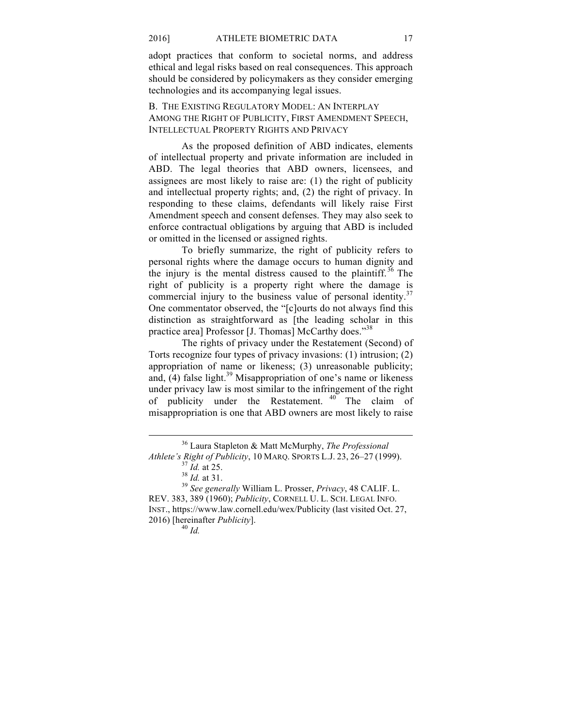#### 2016] ATHLETE BIOMETRIC DATA 17

adopt practices that conform to societal norms, and address ethical and legal risks based on real consequences. This approach should be considered by policymakers as they consider emerging technologies and its accompanying legal issues.

B. THE EXISTING REGULATORY MODEL: AN INTERPLAY AMONG THE RIGHT OF PUBLICITY, FIRST AMENDMENT SPEECH, INTELLECTUAL PROPERTY RIGHTS AND PRIVACY

As the proposed definition of ABD indicates, elements of intellectual property and private information are included in ABD. The legal theories that ABD owners, licensees, and assignees are most likely to raise are: (1) the right of publicity and intellectual property rights; and, (2) the right of privacy. In responding to these claims, defendants will likely raise First Amendment speech and consent defenses. They may also seek to enforce contractual obligations by arguing that ABD is included or omitted in the licensed or assigned rights.

To briefly summarize, the right of publicity refers to personal rights where the damage occurs to human dignity and the injury is the mental distress caused to the plaintiff.<sup>36</sup> The right of publicity is a property right where the damage is commercial injury to the business value of personal identity.<sup>37</sup> One commentator observed, the "[c]ourts do not always find this distinction as straightforward as [the leading scholar in this practice area] Professor [J. Thomas] McCarthy does."<sup>38</sup>

The rights of privacy under the Restatement (Second) of Torts recognize four types of privacy invasions: (1) intrusion; (2) appropriation of name or likeness; (3) unreasonable publicity; and, (4) false light.<sup>39</sup> Misappropriation of one's name or likeness under privacy law is most similar to the infringement of the right of publicity under the Restatement.  $40$  The claim of misappropriation is one that ABD owners are most likely to raise

<sup>36</sup> Laura Stapleton & Matt McMurphy, *The Professional* 

*Athlete's Right of Publicity*, <sup>10</sup> MARQ. SPORTS L.J. 23, 26–27 (1999). <sup>37</sup> *Id.* at 25. 38 *Id.* at 31. 39 *See generally* William L. Prosser, *Privacy*, 48 CALIF. L. REV. 383, 389 (1960); *Publicity*, CORNELL U. L. SCH. LEGAL INFO. INST., https://www.law.cornell.edu/wex/Publicity (last visited Oct. 27, 2016) [hereinafter *Publicity*]. <sup>40</sup> *Id.*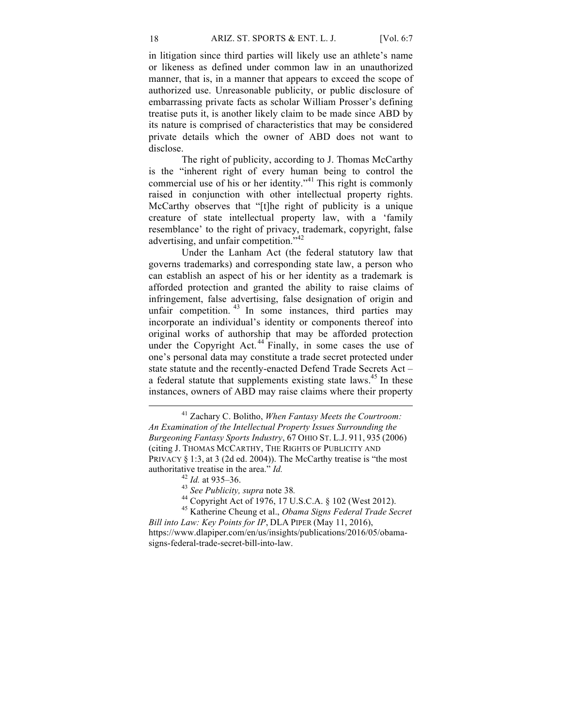in litigation since third parties will likely use an athlete's name or likeness as defined under common law in an unauthorized manner, that is, in a manner that appears to exceed the scope of authorized use. Unreasonable publicity, or public disclosure of embarrassing private facts as scholar William Prosser's defining treatise puts it, is another likely claim to be made since ABD by its nature is comprised of characteristics that may be considered private details which the owner of ABD does not want to disclose.

The right of publicity, according to J. Thomas McCarthy is the "inherent right of every human being to control the commercial use of his or her identity."<sup>41</sup> This right is commonly raised in conjunction with other intellectual property rights. McCarthy observes that "[t]he right of publicity is a unique creature of state intellectual property law, with a 'family resemblance' to the right of privacy, trademark, copyright, false advertising, and unfair competition."

Under the Lanham Act (the federal statutory law that governs trademarks) and corresponding state law, a person who can establish an aspect of his or her identity as a trademark is afforded protection and granted the ability to raise claims of infringement, false advertising, false designation of origin and unfair competition.<sup>43</sup> In some instances, third parties may incorporate an individual's identity or components thereof into original works of authorship that may be afforded protection under the Copyright Act.<sup>44</sup> Finally, in some cases the use of one's personal data may constitute a trade secret protected under state statute and the recently-enacted Defend Trade Secrets Act – a federal statute that supplements existing state laws.<sup>45</sup> In these instances, owners of ABD may raise claims where their property

https://www.dlapiper.com/en/us/insights/publications/2016/05/obamasigns-federal-trade-secret-bill-into-law.

<sup>41</sup> Zachary C. Bolitho, *When Fantasy Meets the Courtroom: An Examination of the Intellectual Property Issues Surrounding the Burgeoning Fantasy Sports Industry*, 67 OHIO ST. L.J. 911, 935 (2006) (citing J. THOMAS MCCARTHY, THE RIGHTS OF PUBLICITY AND PRIVACY § 1:3, at 3 (2d ed. 2004)). The McCarthy treatise is "the most

authoritative treatise in the area." *Id.*<br>
<sup>42</sup> *Id.* at 935–36.<br>
<sup>43</sup> *See Publicity, supra* note 38.<br>
<sup>44</sup> Copyright Act of 1976, 17 U.S.C.A. § 102 (West 2012).<br>
<sup>45</sup> Katherine Cheung et al., *Obama Signs Federal Trade Bill into Law: Key Points for IP*, DLA PIPER (May 11, 2016),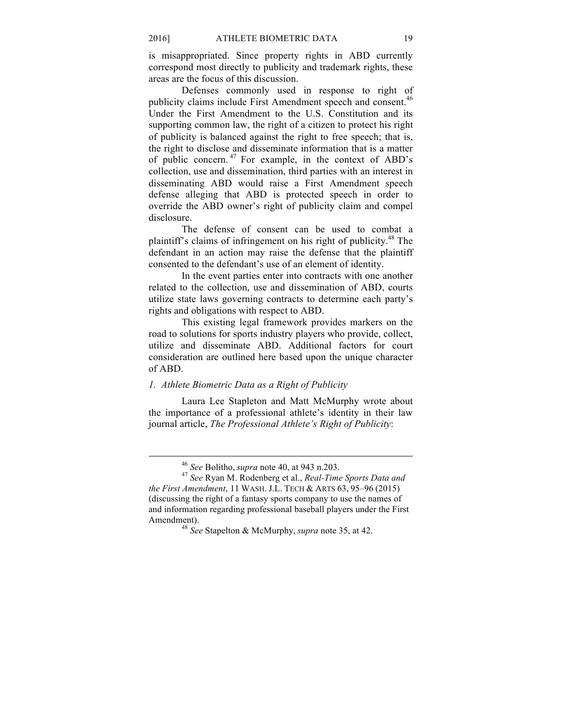is misappropriated. Since property rights in ABD currently correspond most directly to publicity and trademark rights, these areas are the focus of this discussion.

Defenses commonly used in response to right of publicity claims include First Amendment speech and consent.<sup>46</sup> Under the First Amendment to the U.S. Constitution and its supporting common law, the right of a citizen to protect his right of publicity is balanced against the right to free speech; that is, the right to disclose and disseminate information that is a matter of public concern. <sup>47</sup> For example, in the context of ABD's collection, use and dissemination, third parties with an interest in disseminating ABD would raise a First Amendment speech defense alleging that ABD is protected speech in order to override the ABD owner's right of publicity claim and compel disclosure.

The defense of consent can be used to combat a plaintiff's claims of infringement on his right of publicity.48 The defendant in an action may raise the defense that the plaintiff consented to the defendant's use of an element of identity.

In the event parties enter into contracts with one another related to the collection, use and dissemination of ABD, courts utilize state laws governing contracts to determine each party's rights and obligations with respect to ABD.

This existing legal framework provides markers on the road to solutions for sports industry players who provide, collect, utilize and disseminate ABD. Additional factors for court consideration are outlined here based upon the unique character of ABD.

## *1. Athlete Biometric Data as a Right of Publicity*

Laura Lee Stapleton and Matt McMurphy wrote about the importance of a professional athlete's identity in their law journal article, *The Professional Athlete's Right of Publicity*:

<sup>46</sup> *See* Bolitho, *supra* note 40, at 943 n.203. 47 *See* Ryan M. Rodenberg et al., *Real-Time Sports Data and the First Amendment*, 11 WASH. J.L. TECH & ARTS 63, 95–96 (2015) (discussing the right of a fantasy sports company to use the names of and information regarding professional baseball players under the First Amendment). <sup>48</sup> *See* Stapelton & McMurphy, *supra* note 35, at 42.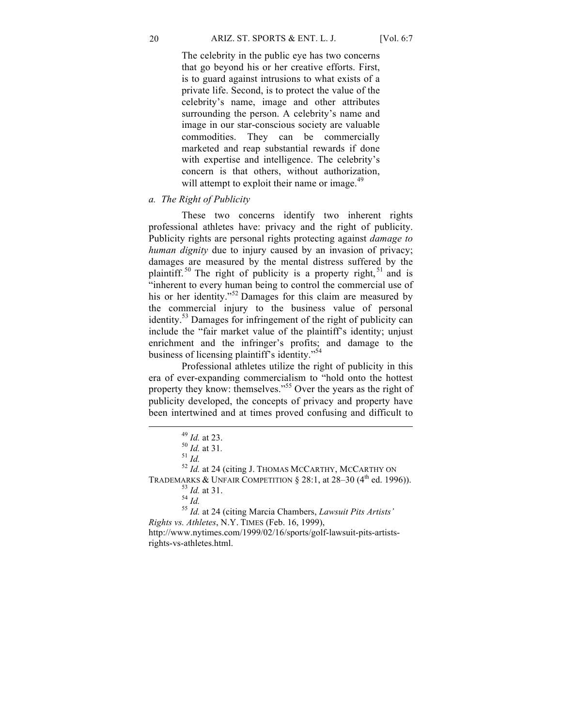The celebrity in the public eye has two concerns that go beyond his or her creative efforts. First, is to guard against intrusions to what exists of a private life. Second, is to protect the value of the celebrity's name, image and other attributes surrounding the person. A celebrity's name and image in our star-conscious society are valuable commodities. They can be commercially marketed and reap substantial rewards if done with expertise and intelligence. The celebrity's concern is that others, without authorization, will attempt to exploit their name or image.<sup>49</sup>

## *a. The Right of Publicity*

These two concerns identify two inherent rights professional athletes have: privacy and the right of publicity. Publicity rights are personal rights protecting against *damage to human dignity* due to injury caused by an invasion of privacy; damages are measured by the mental distress suffered by the plaintiff.<sup>50</sup> The right of publicity is a property right,<sup>51</sup> and is "inherent to every human being to control the commercial use of his or her identity."<sup>52</sup> Damages for this claim are measured by the commercial injury to the business value of personal identity.53 Damages for infringement of the right of publicity can include the "fair market value of the plaintiff's identity; unjust enrichment and the infringer's profits; and damage to the business of licensing plaintiff's identity."<sup>54</sup>

Professional athletes utilize the right of publicity in this era of ever-expanding commercialism to "hold onto the hottest property they know: themselves."<sup>55</sup> Over the years as the right of publicity developed, the concepts of privacy and property have been intertwined and at times proved confusing and difficult to

*Rights vs. Athletes*, N.Y. TIMES (Feb. 16, 1999),

http://www.nytimes.com/1999/02/16/sports/golf-lawsuit-pits-artistsrights-vs-athletes.html.

<sup>&</sup>lt;sup>49</sup> *Id.* at 23.<br><sup>50</sup> *Id.* at 31.<br><sup>51</sup> *Id.* at 24 (citing J. ThOMAS MCCARTHY, MCCARTHY ON

TRADEMARKS & UNFAIR COMPETITION § 28:1, at  $28-30$  (4<sup>th</sup> ed. 1996)).<br><sup>53</sup> *Id.* at 31.<br><sup>55</sup> *Id.* at 24 (citing Marcia Chambers, *Lawsuit Pits Artists'*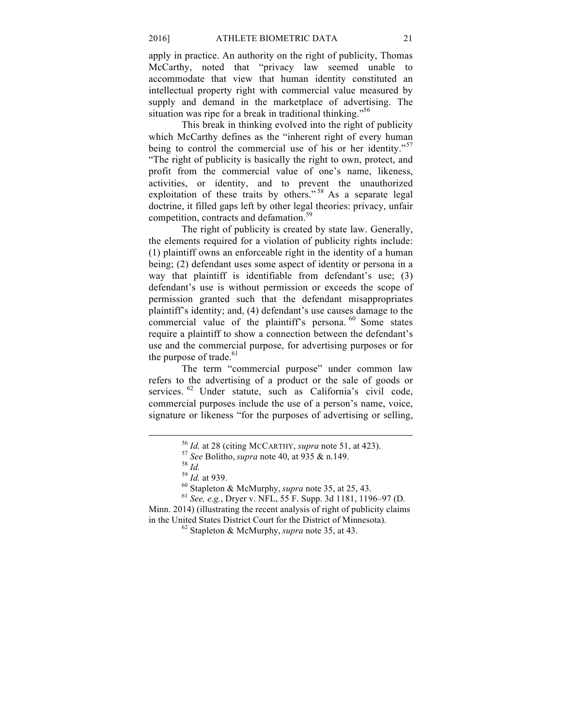apply in practice. An authority on the right of publicity, Thomas McCarthy, noted that "privacy law seemed unable to accommodate that view that human identity constituted an intellectual property right with commercial value measured by supply and demand in the marketplace of advertising. The situation was ripe for a break in traditional thinking."<sup>56</sup>

This break in thinking evolved into the right of publicity which McCarthy defines as the "inherent right of every human being to control the commercial use of his or her identity."<sup>57</sup> "The right of publicity is basically the right to own, protect, and profit from the commercial value of one's name, likeness, activities, or identity, and to prevent the unauthorized exploitation of these traits by others."<sup>58</sup> As a separate legal doctrine, it filled gaps left by other legal theories: privacy, unfair competition, contracts and defamation.<sup>59</sup>

The right of publicity is created by state law. Generally, the elements required for a violation of publicity rights include: (1) plaintiff owns an enforceable right in the identity of a human being; (2) defendant uses some aspect of identity or persona in a way that plaintiff is identifiable from defendant's use; (3) defendant's use is without permission or exceeds the scope of permission granted such that the defendant misappropriates plaintiff's identity; and, (4) defendant's use causes damage to the commercial value of the plaintiff's persona.<sup>60</sup> Some states require a plaintiff to show a connection between the defendant's use and the commercial purpose, for advertising purposes or for the purpose of trade. $61$ 

The term "commercial purpose" under common law refers to the advertising of a product or the sale of goods or services. <sup>62</sup> Under statute, such as California's civil code, commercial purposes include the use of a person's name, voice, signature or likeness "for the purposes of advertising or selling,

<sup>&</sup>lt;sup>56</sup> *Id.* at 28 (citing McCARTHY, *supra* note 51, at 423).<br>
<sup>57</sup> *See* Bolitho, *supra* note 40, at 935 & n.149.<br>
<sup>58</sup> *Id.*<br>
<sup>59</sup> *Id.* at 939.<br>
<sup>60</sup> Stapleton & McMurphy, *supra* note 35, at 25, 43.<br>
<sup>61</sup> *See, e.g.*,

Minn. 2014) (illustrating the recent analysis of right of publicity claims in the United States District Court for the District of Minnesota). <sup>62</sup> Stapleton & McMurphy, *supra* note 35, at 43.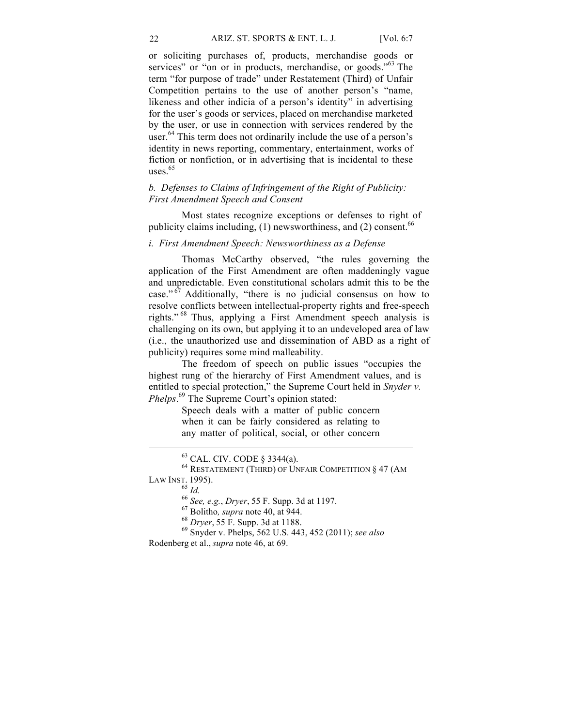or soliciting purchases of, products, merchandise goods or services" or "on or in products, merchandise, or goods."<sup>63</sup> The term "for purpose of trade" under Restatement (Third) of Unfair Competition pertains to the use of another person's "name, likeness and other indicia of a person's identity" in advertising for the user's goods or services, placed on merchandise marketed by the user, or use in connection with services rendered by the user.<sup>64</sup> This term does not ordinarily include the use of a person's identity in news reporting, commentary, entertainment, works of fiction or nonfiction, or in advertising that is incidental to these uses. $65$ 

# *b. Defenses to Claims of Infringement of the Right of Publicity: First Amendment Speech and Consent*

Most states recognize exceptions or defenses to right of publicity claims including,  $(1)$  newsworthiness, and  $(2)$  consent.<sup>66</sup>

# *i. First Amendment Speech: Newsworthiness as a Defense*

Thomas McCarthy observed, "the rules governing the application of the First Amendment are often maddeningly vague and unpredictable. Even constitutional scholars admit this to be the case." <sup>67</sup> Additionally, "there is no judicial consensus on how to resolve conflicts between intellectual-property rights and free-speech rights." <sup>68</sup> Thus, applying a First Amendment speech analysis is challenging on its own, but applying it to an undeveloped area of law (i.e., the unauthorized use and dissemination of ABD as a right of publicity) requires some mind malleability.

The freedom of speech on public issues "occupies the highest rung of the hierarchy of First Amendment values, and is entitled to special protection," the Supreme Court held in *Snyder v. Phelps*. <sup>69</sup> The Supreme Court's opinion stated:

> Speech deals with a matter of public concern when it can be fairly considered as relating to any matter of political, social, or other concern

<sup>&</sup>lt;sup>63</sup> CAL. CIV. CODE § 3344(a).<br><sup>64</sup> RESTATEMENT (THIRD) OF UNFAIR COMPETITION § 47 (AM LAW INST. 1995).<br>
<sup>65</sup> *Id.*<br>
<sup>66</sup> *See, e.g., Dryer*, 55 F. Supp. 3d at 1197.<br>
<sup>67</sup> Bolitho, *supra* note 40, at 944.<br>
<sup>68</sup> *Dryer*, 55 F. Supp. 3d at 1188.<br>
<sup>69</sup> Snyder v. Phelps, 562 U.S. 443, 452 (2011); *see also* 

Rodenberg et al., *supra* note 46, at 69.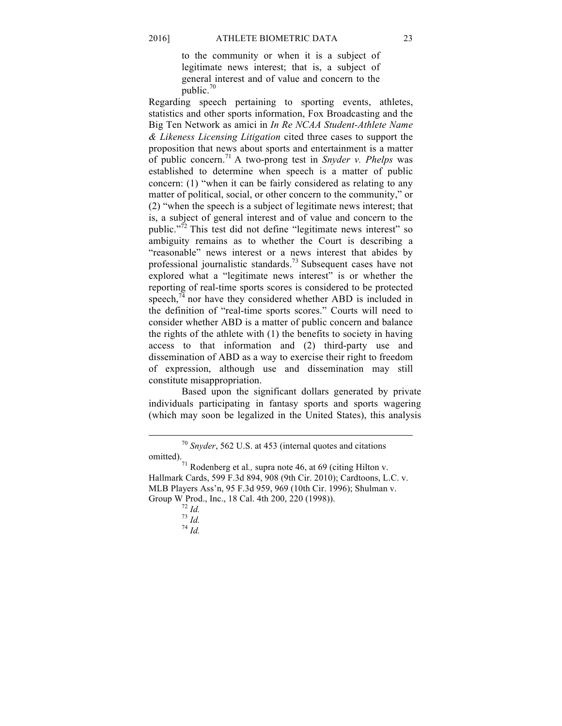to the community or when it is a subject of legitimate news interest; that is, a subject of general interest and of value and concern to the public.<sup>70</sup>

Regarding speech pertaining to sporting events, athletes, statistics and other sports information, Fox Broadcasting and the Big Ten Network as amici in *In Re NCAA Student-Athlete Name & Likeness Licensing Litigation* cited three cases to support the proposition that news about sports and entertainment is a matter of public concern.<sup>71</sup> A two-prong test in *Snyder v. Phelps* was established to determine when speech is a matter of public concern: (1) "when it can be fairly considered as relating to any matter of political, social, or other concern to the community," or (2) "when the speech is a subject of legitimate news interest; that is, a subject of general interest and of value and concern to the public."<sup>72</sup> This test did not define "legitimate news interest" so ambiguity remains as to whether the Court is describing a "reasonable" news interest or a news interest that abides by professional journalistic standards.<sup>73</sup> Subsequent cases have not explored what a "legitimate news interest" is or whether the reporting of real-time sports scores is considered to be protected speech,<sup>74</sup> nor have they considered whether ABD is included in the definition of "real-time sports scores." Courts will need to consider whether ABD is a matter of public concern and balance the rights of the athlete with (1) the benefits to society in having access to that information and (2) third-party use and dissemination of ABD as a way to exercise their right to freedom of expression, although use and dissemination may still constitute misappropriation.

Based upon the significant dollars generated by private individuals participating in fantasy sports and sports wagering (which may soon be legalized in the United States), this analysis

<sup>70</sup> *Snyder*, 562 U.S. at 453 (internal quotes and citations

omitted).<br><sup>71</sup> Rodenberg et al., supra note 46, at 69 (citing Hilton v.<br>**71** Rodenberg et al., supra note 46, at 69 (citing Hilton v. Hallmark Cards, 599 F.3d 894, 908 (9th Cir. 2010); Cardtoons, L.C. v. MLB Players Ass'n, 95 F.3d 959, 969 (10th Cir. 1996); Shulman v. Group W Prod., Inc., 18 Cal. 4th 200, 220 (1998)).<br>
<sup>72</sup> *Id.*<br>
<sup>73</sup> *Id.*<br>
<sup>74</sup> *Id.*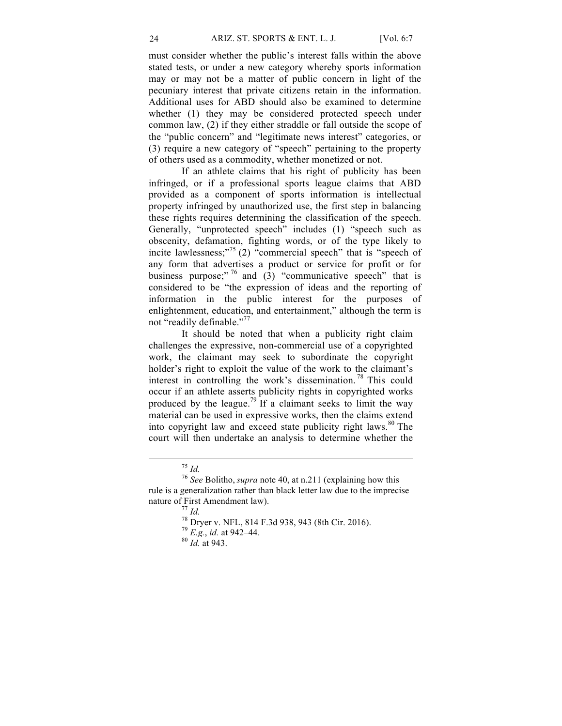must consider whether the public's interest falls within the above stated tests, or under a new category whereby sports information may or may not be a matter of public concern in light of the pecuniary interest that private citizens retain in the information. Additional uses for ABD should also be examined to determine whether (1) they may be considered protected speech under common law, (2) if they either straddle or fall outside the scope of the "public concern" and "legitimate news interest" categories, or (3) require a new category of "speech" pertaining to the property of others used as a commodity, whether monetized or not.

If an athlete claims that his right of publicity has been infringed, or if a professional sports league claims that ABD provided as a component of sports information is intellectual property infringed by unauthorized use, the first step in balancing these rights requires determining the classification of the speech. Generally, "unprotected speech" includes (1) "speech such as obscenity, defamation, fighting words, or of the type likely to incite lawlessness;"<sup>75</sup> (2) "commercial speech" that is "speech of any form that advertises a product or service for profit or for business purpose;"  $76$  and (3) "communicative speech" that is considered to be "the expression of ideas and the reporting of information in the public interest for the purposes of enlightenment, education, and entertainment," although the term is not "readily definable."<sup>77</sup>

It should be noted that when a publicity right claim challenges the expressive, non-commercial use of a copyrighted work, the claimant may seek to subordinate the copyright holder's right to exploit the value of the work to the claimant's interest in controlling the work's dissemination. <sup>78</sup> This could occur if an athlete asserts publicity rights in copyrighted works produced by the league.<sup>79</sup> If a claimant seeks to limit the way material can be used in expressive works, then the claims extend into copyright law and exceed state publicity right laws.<sup>80</sup> The court will then undertake an analysis to determine whether the

<sup>75</sup> *Id.* <sup>76</sup> *See* Bolitho, *supra* note 40, at n.211 (explaining how this rule is a generalization rather than black letter law due to the imprecise nature of First Amendment law).<br>
<sup>77</sup> *Id.*<br>
<sup>78</sup> Dryer v. NFL, 814 F.3d 938, 943 (8th Cir. 2016).<br>
<sup>79</sup> *E.g.*, *id.* at 942–44.<br>
<sup>80</sup> *Id.* at 943.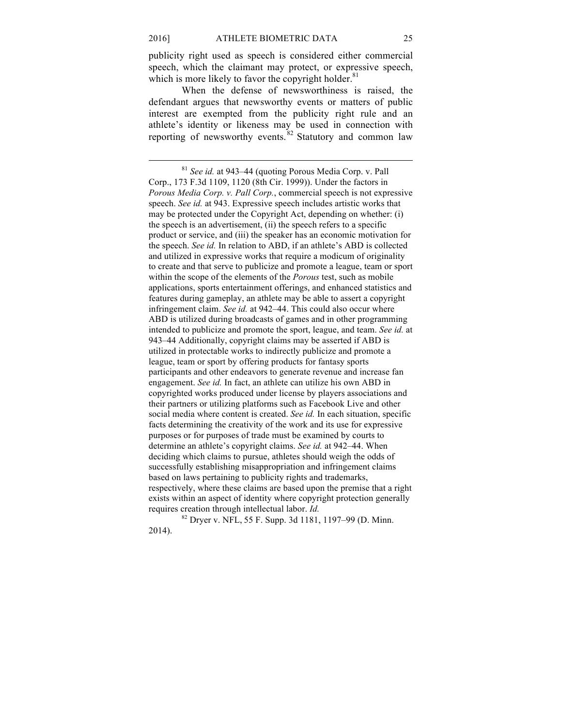publicity right used as speech is considered either commercial speech, which the claimant may protect, or expressive speech, which is more likely to favor the copyright holder. $81$ 

When the defense of newsworthiness is raised, the defendant argues that newsworthy events or matters of public interest are exempted from the publicity right rule and an athlete's identity or likeness may be used in connection with reporting of newsworthy events.  $82$  Statutory and common law

 $82$  Dryer v. NFL, 55 F. Supp. 3d 1181, 1197–99 (D. Minn. 2014).

<sup>81</sup> *See id.* at 943–44 (quoting Porous Media Corp. v. Pall Corp., 173 F.3d 1109, 1120 (8th Cir. 1999)). Under the factors in *Porous Media Corp. v. Pall Corp.*, commercial speech is not expressive speech. *See id.* at 943. Expressive speech includes artistic works that may be protected under the Copyright Act, depending on whether: (i) the speech is an advertisement, (ii) the speech refers to a specific product or service, and (iii) the speaker has an economic motivation for the speech. *See id.* In relation to ABD, if an athlete's ABD is collected and utilized in expressive works that require a modicum of originality to create and that serve to publicize and promote a league, team or sport within the scope of the elements of the *Porous* test, such as mobile applications, sports entertainment offerings, and enhanced statistics and features during gameplay, an athlete may be able to assert a copyright infringement claim. *See id.* at 942–44. This could also occur where ABD is utilized during broadcasts of games and in other programming intended to publicize and promote the sport, league, and team. *See id.* at 943–44 Additionally, copyright claims may be asserted if ABD is utilized in protectable works to indirectly publicize and promote a league, team or sport by offering products for fantasy sports participants and other endeavors to generate revenue and increase fan engagement. *See id.* In fact, an athlete can utilize his own ABD in copyrighted works produced under license by players associations and their partners or utilizing platforms such as Facebook Live and other social media where content is created. *See id.* In each situation, specific facts determining the creativity of the work and its use for expressive purposes or for purposes of trade must be examined by courts to determine an athlete's copyright claims. *See id.* at 942–44. When deciding which claims to pursue, athletes should weigh the odds of successfully establishing misappropriation and infringement claims based on laws pertaining to publicity rights and trademarks, respectively, where these claims are based upon the premise that a right exists within an aspect of identity where copyright protection generally requires creation through intellectual labor. *Id.*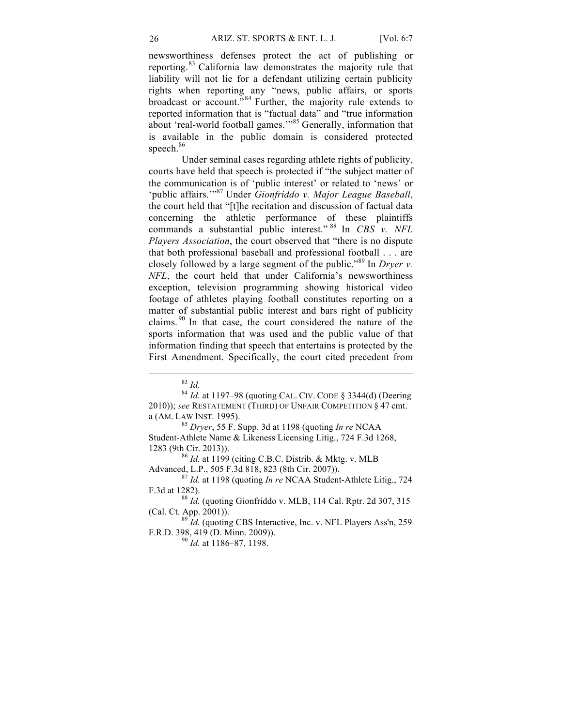newsworthiness defenses protect the act of publishing or reporting.<sup>83</sup> California law demonstrates the majority rule that liability will not lie for a defendant utilizing certain publicity rights when reporting any "news, public affairs, or sports broadcast or account."<sup>84</sup> Further, the majority rule extends to reported information that is "factual data" and "true information about 'real-world football games.'"<sup>85</sup> Generally, information that is available in the public domain is considered protected speech.<sup>86</sup>

Under seminal cases regarding athlete rights of publicity, courts have held that speech is protected if "the subject matter of the communication is of 'public interest' or related to 'news' or 'public affairs.'"<sup>87</sup> Under *Gionfriddo v. Major League Baseball*, the court held that "[t]he recitation and discussion of factual data concerning the athletic performance of these plaintiffs commands a substantial public interest." <sup>88</sup> In *CBS v. NFL Players Association*, the court observed that "there is no dispute that both professional baseball and professional football . . . are closely followed by a large segment of the public."<sup>89</sup> In *Dryer v. NFL*, the court held that under California's newsworthiness exception, television programming showing historical video footage of athletes playing football constitutes reporting on a matter of substantial public interest and bars right of publicity claims.  $90$  In that case, the court considered the nature of the sports information that was used and the public value of that information finding that speech that entertains is protected by the First Amendment. Specifically, the court cited precedent from

Student-Athlete Name & Likeness Licensing Litig., 724 F.3d 1268, 1283 (9th Cir. 2013)). <sup>86</sup> *Id.* at 1199 (citing C.B.C. Distrib. & Mktg. v. MLB

Advanced, L.P., 505 F.3d 818, 823 (8th Cir. 2007)). <sup>87</sup> *Id.* at 1198 (quoting *In re* NCAA Student-Athlete Litig., 724

F.3d at 1282). <sup>88</sup> *Id.* (quoting Gionfriddo v. MLB, 114 Cal. Rptr. 2d 307, 315

(Cal. Ct. App. 2001)). 89 *Id.* (quoting CBS Interactive, Inc. v. NFL Players Ass'n, 259

F.R.D. 398, 419 (D. Minn. 2009)). <sup>90</sup> *Id.* at 1186–87, 1198.

<sup>83</sup> *Id.* <sup>84</sup> *Id.* at 1197–98 (quoting CAL. CIV. CODE § 3344(d) (Deering 2010)); *see* RESTATEMENT (THIRD) OF UNFAIR COMPETITION § 47 cmt. a (AM. LAW INST. 1995). <sup>85</sup> *Dryer*, 55 F. Supp. 3d at 1198 (quoting *In re* NCAA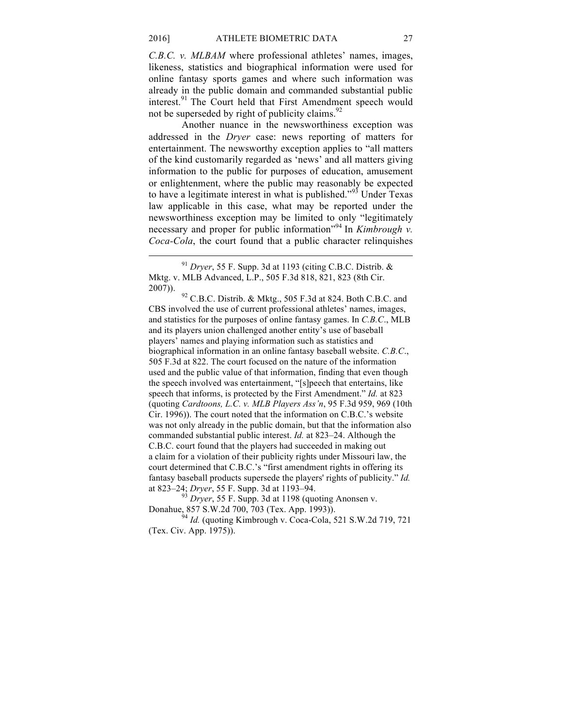*C.B.C. v. MLBAM* where professional athletes' names, images, likeness, statistics and biographical information were used for online fantasy sports games and where such information was already in the public domain and commanded substantial public interest.<sup>91</sup> The Court held that First Amendment speech would not be superseded by right of publicity claims. $92$ 

Another nuance in the newsworthiness exception was addressed in the *Dryer* case: news reporting of matters for entertainment. The newsworthy exception applies to "all matters of the kind customarily regarded as 'news' and all matters giving information to the public for purposes of education, amusement or enlightenment, where the public may reasonably be expected to have a legitimate interest in what is published."<sup>93</sup> Under Texas law applicable in this case, what may be reported under the newsworthiness exception may be limited to only "legitimately necessary and proper for public information<sup>"94</sup> In *Kimbrough v*. *Coca-Cola*, the court found that a public character relinquishes

 $92$  C.B.C. Distrib. & Mktg., 505 F.3d at 824. Both C.B.C. and CBS involved the use of current professional athletes' names, images, and statistics for the purposes of online fantasy games. In *C.B.C*., MLB and its players union challenged another entity's use of baseball players' names and playing information such as statistics and biographical information in an online fantasy baseball website. *C.B.C*., 505 F.3d at 822. The court focused on the nature of the information used and the public value of that information, finding that even though the speech involved was entertainment, "[s]peech that entertains, like speech that informs, is protected by the First Amendment." *Id.* at 823 (quoting *Cardtoons, L.C. v. MLB Players Ass'n*, 95 F.3d 959, 969 (10th Cir. 1996)). The court noted that the information on C.B.C.'s website was not only already in the public domain, but that the information also commanded substantial public interest. *Id.* at 823–24. Although the C.B.C. court found that the players had succeeded in making out a claim for a violation of their publicity rights under Missouri law, the court determined that C.B.C.'s "first amendment rights in offering its fantasy baseball products supersede the players' rights of publicity." *Id.* at 823–24; *Dryer*, 55 F. Supp. 3d at 1193–94.<br><sup>93</sup> *Dryer*, 55 F. Supp. 3d at 1198 (quoting Anonsen v.

Donahue, 857 S.W.2d 700, 703 (Tex. App. 1993)).<br><sup>94</sup> *Id.* (quoting Kimbrough v. Coca-Cola, 521 S.W.2d 719, 721

(Tex. Civ. App. 1975)).

<sup>91</sup> *Dryer*, 55 F. Supp. 3d at 1193 (citing C.B.C. Distrib. & Mktg. v. MLB Advanced, L.P., 505 F.3d 818, 821, 823 (8th Cir.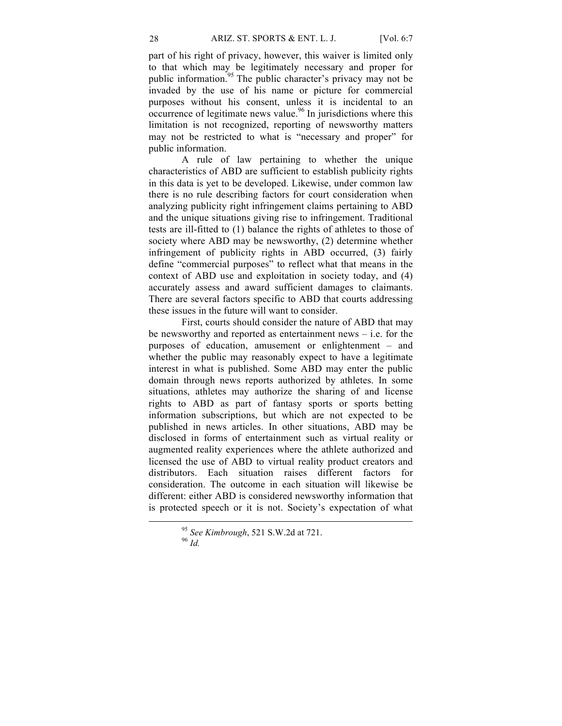part of his right of privacy, however, this waiver is limited only to that which may be legitimately necessary and proper for public information.<sup>95</sup> The public character's privacy may not be invaded by the use of his name or picture for commercial purposes without his consent, unless it is incidental to an occurrence of legitimate news value.<sup>96</sup> In jurisdictions where this limitation is not recognized, reporting of newsworthy matters may not be restricted to what is "necessary and proper" for public information.

A rule of law pertaining to whether the unique characteristics of ABD are sufficient to establish publicity rights in this data is yet to be developed. Likewise, under common law there is no rule describing factors for court consideration when analyzing publicity right infringement claims pertaining to ABD and the unique situations giving rise to infringement. Traditional tests are ill-fitted to (1) balance the rights of athletes to those of society where ABD may be newsworthy, (2) determine whether infringement of publicity rights in ABD occurred, (3) fairly define "commercial purposes" to reflect what that means in the context of ABD use and exploitation in society today, and (4) accurately assess and award sufficient damages to claimants. There are several factors specific to ABD that courts addressing these issues in the future will want to consider.

First, courts should consider the nature of ABD that may be newsworthy and reported as entertainment news – i.e. for the purposes of education, amusement or enlightenment – and whether the public may reasonably expect to have a legitimate interest in what is published. Some ABD may enter the public domain through news reports authorized by athletes. In some situations, athletes may authorize the sharing of and license rights to ABD as part of fantasy sports or sports betting information subscriptions, but which are not expected to be published in news articles. In other situations, ABD may be disclosed in forms of entertainment such as virtual reality or augmented reality experiences where the athlete authorized and licensed the use of ABD to virtual reality product creators and distributors. Each situation raises different factors for consideration. The outcome in each situation will likewise be different: either ABD is considered newsworthy information that is protected speech or it is not. Society's expectation of what

<sup>&</sup>lt;sup>95</sup> *See Kimbrough*, 521 S.W.2d at 721.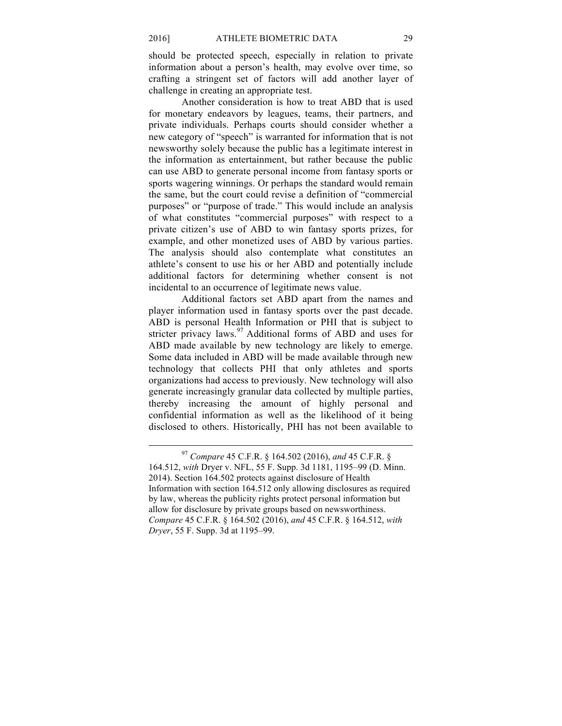should be protected speech, especially in relation to private information about a person's health, may evolve over time, so crafting a stringent set of factors will add another layer of challenge in creating an appropriate test.

Another consideration is how to treat ABD that is used for monetary endeavors by leagues, teams, their partners, and private individuals. Perhaps courts should consider whether a new category of "speech" is warranted for information that is not newsworthy solely because the public has a legitimate interest in the information as entertainment, but rather because the public can use ABD to generate personal income from fantasy sports or sports wagering winnings. Or perhaps the standard would remain the same, but the court could revise a definition of "commercial purposes" or "purpose of trade." This would include an analysis of what constitutes "commercial purposes" with respect to a private citizen's use of ABD to win fantasy sports prizes, for example, and other monetized uses of ABD by various parties. The analysis should also contemplate what constitutes an athlete's consent to use his or her ABD and potentially include additional factors for determining whether consent is not incidental to an occurrence of legitimate news value.

Additional factors set ABD apart from the names and player information used in fantasy sports over the past decade. ABD is personal Health Information or PHI that is subject to stricter privacy laws.<sup>97</sup> Additional forms of ABD and uses for ABD made available by new technology are likely to emerge. Some data included in ABD will be made available through new technology that collects PHI that only athletes and sports organizations had access to previously. New technology will also generate increasingly granular data collected by multiple parties, thereby increasing the amount of highly personal and confidential information as well as the likelihood of it being disclosed to others. Historically, PHI has not been available to

<sup>97</sup> *Compare* 45 C.F.R. § 164.502 (2016), *and* 45 C.F.R. § 164.512, *with* Dryer v. NFL, 55 F. Supp. 3d 1181, 1195–99 (D. Minn. 2014). Section 164.502 protects against disclosure of Health Information with section 164.512 only allowing disclosures as required by law, whereas the publicity rights protect personal information but allow for disclosure by private groups based on newsworthiness. *Compare* 45 C.F.R. § 164.502 (2016), *and* 45 C.F.R. § 164.512, *with Dryer*, 55 F. Supp. 3d at 1195–99.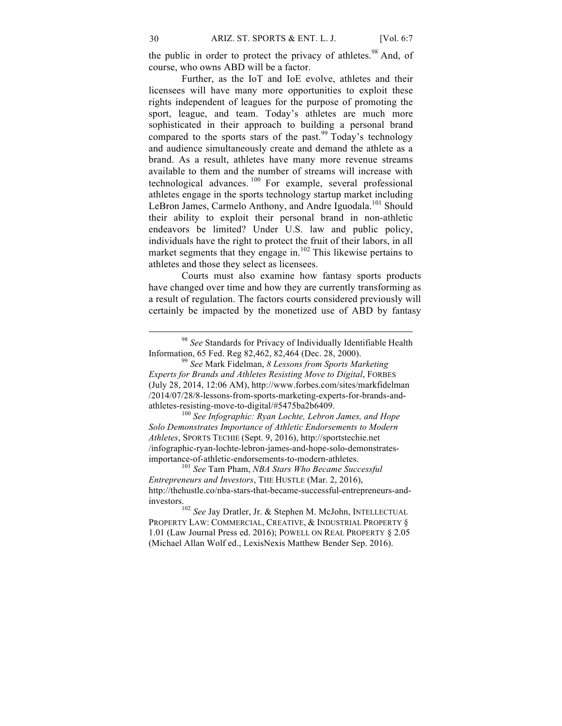the public in order to protect the privacy of athletes.<sup>98</sup> And, of course, who owns ABD will be a factor.

Further, as the IoT and IoE evolve, athletes and their licensees will have many more opportunities to exploit these rights independent of leagues for the purpose of promoting the sport, league, and team. Today's athletes are much more sophisticated in their approach to building a personal brand compared to the sports stars of the past.<sup>99</sup> Today's technology and audience simultaneously create and demand the athlete as a brand. As a result, athletes have many more revenue streams available to them and the number of streams will increase with technological advances. <sup>100</sup> For example, several professional athletes engage in the sports technology startup market including LeBron James, Carmelo Anthony, and Andre Iguodala.<sup>101</sup> Should their ability to exploit their personal brand in non-athletic endeavors be limited? Under U.S. law and public policy, individuals have the right to protect the fruit of their labors, in all market segments that they engage in.<sup>102</sup> This likewise pertains to athletes and those they select as licensees.

Courts must also examine how fantasy sports products have changed over time and how they are currently transforming as a result of regulation. The factors courts considered previously will certainly be impacted by the monetized use of ABD by fantasy

<sup>98</sup> *See* Standards for Privacy of Individually Identifiable Health Information, 65 Fed. Reg 82,462, 82,464 (Dec. 28, 2000).

<sup>99</sup> See Mark Fidelman, *8 Lessons from Sports Marketing Experts for Brands and Athletes Resisting Move to Digital*, FORBES (July 28, 2014, 12:06 AM), http://www.forbes.com/sites/markfidelman /2014/07/28/8-lessons-from-sports-marketing-experts-for-brands-andathletes-resisting-move-to-digital/#5475ba2b6409. 100 *See Infographic: Ryan Lochte, Lebron James, and Hope* 

*Solo Demonstrates Importance of Athletic Endorsements to Modern Athletes*, SPORTS TECHIE (Sept. 9, 2016), http://sportstechie.net /infographic-ryan-lochte-lebron-james-and-hope-solo-demonstratesimportance-of-athletic-endorsements-to-modern-athletes. <sup>101</sup> *See* Tam Pham, *NBA Stars Who Became Successful* 

*Entrepreneurs and Investors*, THE HUSTLE (Mar. 2, 2016), http://thehustle.co/nba-stars-that-became-successful-entrepreneurs-and-

investors. 102 *See* Jay Dratler, Jr. & Stephen M. McJohn, INTELLECTUAL PROPERTY LAW: COMMERCIAL, CREATIVE, & INDUSTRIAL PROPERTY § 1.01 (Law Journal Press ed. 2016); POWELL ON REAL PROPERTY § 2.05 (Michael Allan Wolf ed., LexisNexis Matthew Bender Sep. 2016).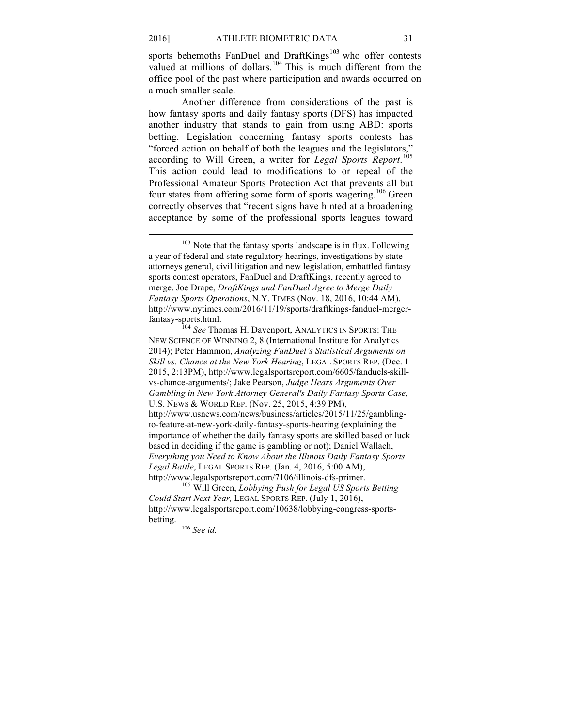sports behemoths FanDuel and DraftKings<sup>103</sup> who offer contests valued at millions of dollars.<sup>104</sup> This is much different from the office pool of the past where participation and awards occurred on a much smaller scale.

Another difference from considerations of the past is how fantasy sports and daily fantasy sports (DFS) has impacted another industry that stands to gain from using ABD: sports betting. Legislation concerning fantasy sports contests has "forced action on behalf of both the leagues and the legislators," according to Will Green, a writer for *Legal Sports Report*. 105 This action could lead to modifications to or repeal of the Professional Amateur Sports Protection Act that prevents all but four states from offering some form of sports wagering.<sup>106</sup> Green correctly observes that "recent signs have hinted at a broadening acceptance by some of the professional sports leagues toward

<sup>106</sup> *See id.*

 $103$  Note that the fantasy sports landscape is in flux. Following a year of federal and state regulatory hearings, investigations by state attorneys general, civil litigation and new legislation, embattled fantasy sports contest operators, FanDuel and DraftKings, recently agreed to merge. Joe Drape, *DraftKings and FanDuel Agree to Merge Daily Fantasy Sports Operations*, N.Y. TIMES (Nov. 18, 2016, 10:44 AM), http://www.nytimes.com/2016/11/19/sports/draftkings-fanduel-mergerfantasy-sports.html.

<sup>104</sup> *See* Thomas H. Davenport, ANALYTICS IN SPORTS: THE NEW SCIENCE OF WINNING 2, 8 (International Institute for Analytics 2014); Peter Hammon, *Analyzing FanDuel's Statistical Arguments on Skill vs. Chance at the New York Hearing*, LEGAL SPORTS REP. (Dec. 1 2015, 2:13PM), http://www.legalsportsreport.com/6605/fanduels-skillvs-chance-arguments/; Jake Pearson, *Judge Hears Arguments Over Gambling in New York Attorney General's Daily Fantasy Sports Case*, U.S. NEWS & WORLD REP. (Nov. 25, 2015, 4:39 PM), http://www.usnews.com/news/business/articles/2015/11/25/gamblingto-feature-at-new-york-daily-fantasy-sports-hearing (explaining the importance of whether the daily fantasy sports are skilled based or luck based in deciding if the game is gambling or not); Daniel Wallach, *Everything you Need to Know About the Illinois Daily Fantasy Sports Legal Battle*, LEGAL SPORTS REP. (Jan. 4, 2016, 5:00 AM),

http://www.legalsportsreport.com/7106/illinois-dfs-primer. 105 Will Green, *Lobbying Push for Legal US Sports Betting Could Start Next Year,* LEGAL SPORTS REP. (July 1, 2016), http://www.legalsportsreport.com/10638/lobbying-congress-sportsbetting.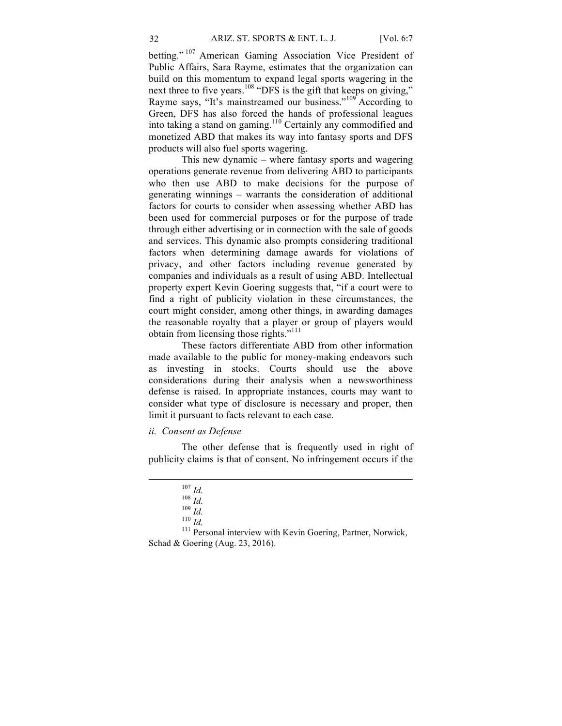betting."<sup>107</sup> American Gaming Association Vice President of Public Affairs, Sara Rayme, estimates that the organization can build on this momentum to expand legal sports wagering in the next three to five years.<sup>108</sup> "DFS is the gift that keeps on giving," Rayme says, "It's mainstreamed our business."<sup>109</sup> According to Green, DFS has also forced the hands of professional leagues into taking a stand on gaming.<sup>110</sup> Certainly any commodified and monetized ABD that makes its way into fantasy sports and DFS products will also fuel sports wagering.

This new dynamic – where fantasy sports and wagering operations generate revenue from delivering ABD to participants who then use ABD to make decisions for the purpose of generating winnings – warrants the consideration of additional factors for courts to consider when assessing whether ABD has been used for commercial purposes or for the purpose of trade through either advertising or in connection with the sale of goods and services. This dynamic also prompts considering traditional factors when determining damage awards for violations of privacy, and other factors including revenue generated by companies and individuals as a result of using ABD. Intellectual property expert Kevin Goering suggests that, "if a court were to find a right of publicity violation in these circumstances, the court might consider, among other things, in awarding damages the reasonable royalty that a player or group of players would obtain from licensing those rights."<sup>111</sup>

These factors differentiate ABD from other information made available to the public for money-making endeavors such as investing in stocks. Courts should use the above considerations during their analysis when a newsworthiness defense is raised. In appropriate instances, courts may want to consider what type of disclosure is necessary and proper, then limit it pursuant to facts relevant to each case.

## *ii. Consent as Defense*

The other defense that is frequently used in right of publicity claims is that of consent. No infringement occurs if the

<sup>107</sup> *Id.*<br>
<sup>108</sup> *Id.*<br>
<sup>109</sup> *Id.*<br>
<sup>110</sup> *Id.*<br>
<sup>111</sup> Personal interview with Kevin Goering, Partner, Norwick, Schad & Goering (Aug. 23, 2016).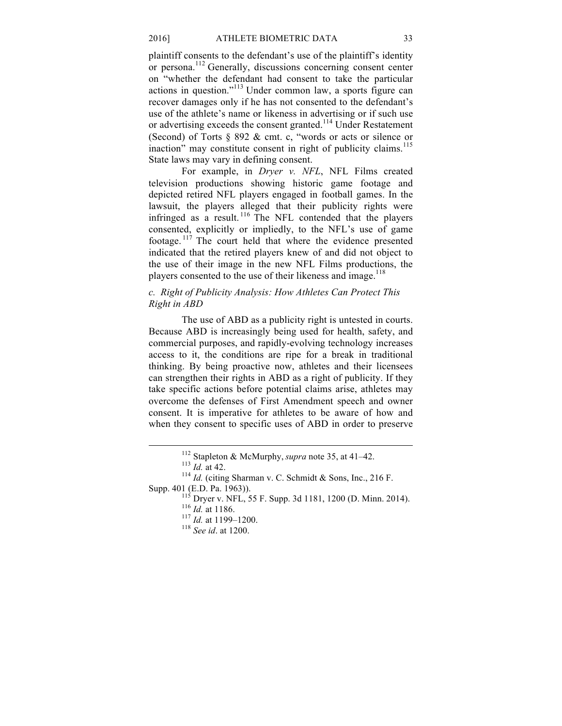plaintiff consents to the defendant's use of the plaintiff's identity or persona.<sup>112</sup> Generally, discussions concerning consent center on "whether the defendant had consent to take the particular actions in question."<sup>113</sup> Under common law, a sports figure can recover damages only if he has not consented to the defendant's use of the athlete's name or likeness in advertising or if such use or advertising exceeds the consent granted.<sup>114</sup> Under Restatement (Second) of Torts § 892 & cmt. c, "words or acts or silence or inaction" may constitute consent in right of publicity claims.<sup>115</sup> State laws may vary in defining consent.

For example, in *Dryer v. NFL*, NFL Films created television productions showing historic game footage and depicted retired NFL players engaged in football games. In the lawsuit, the players alleged that their publicity rights were infringed as a result. <sup>116</sup> The NFL contended that the players consented, explicitly or impliedly, to the NFL's use of game footage. <sup>117</sup> The court held that where the evidence presented indicated that the retired players knew of and did not object to the use of their image in the new NFL Films productions, the players consented to the use of their likeness and image.<sup>118</sup>

# *c. Right of Publicity Analysis: How Athletes Can Protect This Right in ABD*

The use of ABD as a publicity right is untested in courts. Because ABD is increasingly being used for health, safety, and commercial purposes, and rapidly-evolving technology increases access to it, the conditions are ripe for a break in traditional thinking. By being proactive now, athletes and their licensees can strengthen their rights in ABD as a right of publicity. If they take specific actions before potential claims arise, athletes may overcome the defenses of First Amendment speech and owner consent. It is imperative for athletes to be aware of how and when they consent to specific uses of ABD in order to preserve

<sup>112</sup> Stapleton & McMurphy, *supra* note 35, at 41–42. <sup>113</sup> *Id.* at 42. <sup>114</sup> *Id.* (citing Sharman v. C. Schmidt & Sons, Inc., 216 F.

Supp. 401 (E.D. Pa. 1963)).<br>
<sup>115</sup> Dryer v. NFL, 55 F. Supp. 3d 1181, 1200 (D. Minn. 2014).<br>
<sup>116</sup> *Id.* at 1186.<br>
<sup>117</sup> *Id.* at 1199–1200.<br>
<sup>118</sup> *See id.* at 1200.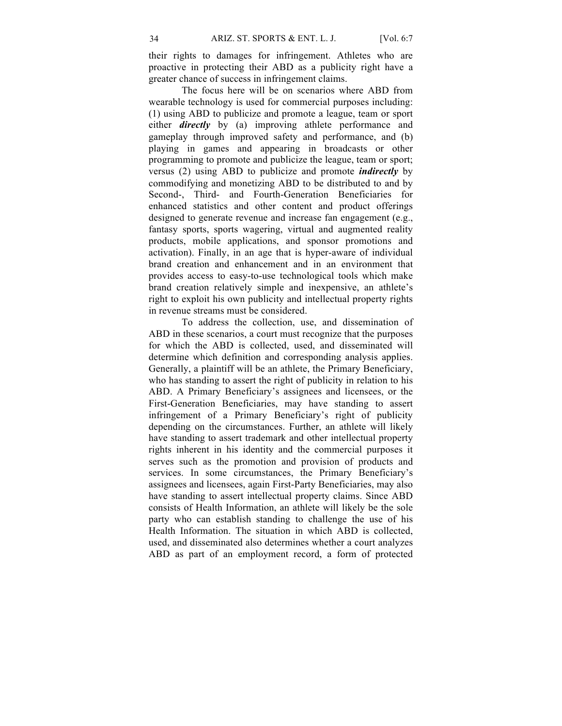their rights to damages for infringement. Athletes who are proactive in protecting their ABD as a publicity right have a greater chance of success in infringement claims.

The focus here will be on scenarios where ABD from wearable technology is used for commercial purposes including: (1) using ABD to publicize and promote a league, team or sport either *directly* by (a) improving athlete performance and gameplay through improved safety and performance, and (b) playing in games and appearing in broadcasts or other programming to promote and publicize the league, team or sport; versus (2) using ABD to publicize and promote *indirectly* by commodifying and monetizing ABD to be distributed to and by Second-, Third- and Fourth-Generation Beneficiaries for enhanced statistics and other content and product offerings designed to generate revenue and increase fan engagement (e.g., fantasy sports, sports wagering, virtual and augmented reality products, mobile applications, and sponsor promotions and activation). Finally, in an age that is hyper-aware of individual brand creation and enhancement and in an environment that provides access to easy-to-use technological tools which make brand creation relatively simple and inexpensive, an athlete's right to exploit his own publicity and intellectual property rights in revenue streams must be considered.

To address the collection, use, and dissemination of ABD in these scenarios, a court must recognize that the purposes for which the ABD is collected, used, and disseminated will determine which definition and corresponding analysis applies. Generally, a plaintiff will be an athlete, the Primary Beneficiary, who has standing to assert the right of publicity in relation to his ABD. A Primary Beneficiary's assignees and licensees, or the First-Generation Beneficiaries, may have standing to assert infringement of a Primary Beneficiary's right of publicity depending on the circumstances. Further, an athlete will likely have standing to assert trademark and other intellectual property rights inherent in his identity and the commercial purposes it serves such as the promotion and provision of products and services. In some circumstances, the Primary Beneficiary's assignees and licensees, again First-Party Beneficiaries, may also have standing to assert intellectual property claims. Since ABD consists of Health Information, an athlete will likely be the sole party who can establish standing to challenge the use of his Health Information. The situation in which ABD is collected, used, and disseminated also determines whether a court analyzes ABD as part of an employment record, a form of protected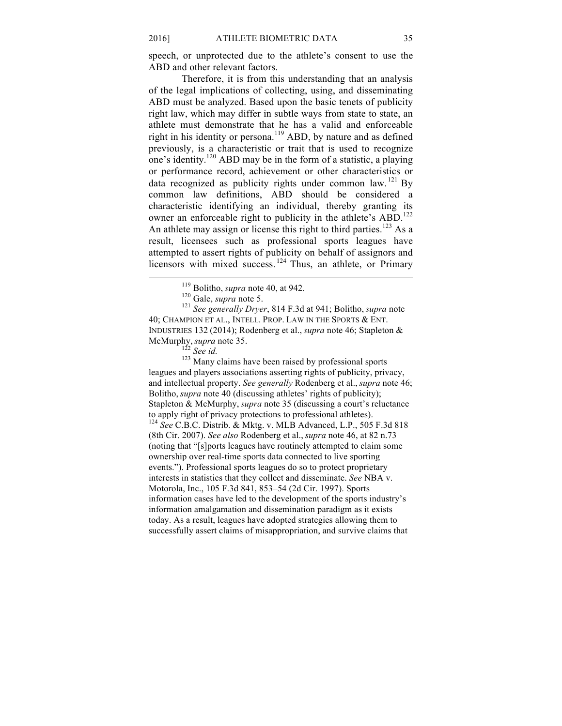speech, or unprotected due to the athlete's consent to use the ABD and other relevant factors.

Therefore, it is from this understanding that an analysis of the legal implications of collecting, using, and disseminating ABD must be analyzed. Based upon the basic tenets of publicity right law, which may differ in subtle ways from state to state, an athlete must demonstrate that he has a valid and enforceable right in his identity or persona.<sup>119</sup> ABD, by nature and as defined previously, is a characteristic or trait that is used to recognize one's identity.<sup>120</sup> ABD may be in the form of a statistic, a playing or performance record, achievement or other characteristics or data recognized as publicity rights under common law. <sup>121</sup> By common law definitions, ABD should be considered a characteristic identifying an individual, thereby granting its owner an enforceable right to publicity in the athlete's ABD.<sup>122</sup> An athlete may assign or license this right to third parties.<sup>123</sup> As a result, licensees such as professional sports leagues have attempted to assert rights of publicity on behalf of assignors and licensors with mixed success.<sup>124</sup> Thus, an athlete, or Primary

<sup>119</sup> Bolitho, *supra* note 40, at 942.<br><sup>120</sup> Gale, *supra* note 5.<br><sup>121</sup> *See generally Dryer*, 814 F.3d at 941; Bolitho, *supra* note 40; CHAMPION ET AL., INTELL. PROP. LAW IN THE SPORTS & ENT. INDUSTRIES 132 (2014); Rodenberg et al., *supra* note 46; Stapleton &

McMurphy, *supra* note 35.<br><sup>122</sup> *See id.* 123 Many claims have been raised by professional sports leagues and players associations asserting rights of publicity, privacy, and intellectual property. *See generally* Rodenberg et al., *supra* note 46; Bolitho, *supra* note 40 (discussing athletes' rights of publicity); Stapleton & McMurphy, *supra* note 35 (discussing a court's reluctance to apply right of privacy protections to professional athletes).

<sup>124</sup> *See* C.B.C. Distrib. & Mktg. v. MLB Advanced, L.P., 505 F.3d 818 (8th Cir. 2007). *See also* Rodenberg et al., *supra* note 46, at 82 n.73 (noting that "[s]ports leagues have routinely attempted to claim some ownership over real-time sports data connected to live sporting events."). Professional sports leagues do so to protect proprietary interests in statistics that they collect and disseminate. *See* NBA v. Motorola, Inc., 105 F.3d 841, 853–54 (2d Cir. 1997). Sports information cases have led to the development of the sports industry's information amalgamation and dissemination paradigm as it exists today. As a result, leagues have adopted strategies allowing them to successfully assert claims of misappropriation, and survive claims that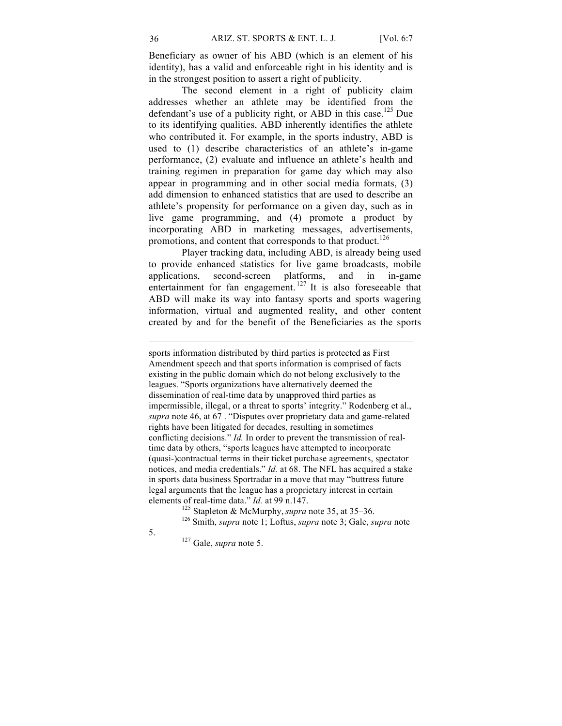Beneficiary as owner of his ABD (which is an element of his identity), has a valid and enforceable right in his identity and is in the strongest position to assert a right of publicity.

The second element in a right of publicity claim addresses whether an athlete may be identified from the defendant's use of a publicity right, or ABD in this case.<sup>125</sup> Due to its identifying qualities, ABD inherently identifies the athlete who contributed it. For example, in the sports industry, ABD is used to (1) describe characteristics of an athlete's in-game performance, (2) evaluate and influence an athlete's health and training regimen in preparation for game day which may also appear in programming and in other social media formats, (3) add dimension to enhanced statistics that are used to describe an athlete's propensity for performance on a given day, such as in live game programming, and (4) promote a product by incorporating ABD in marketing messages, advertisements, promotions, and content that corresponds to that product.<sup>126</sup>

Player tracking data, including ABD, is already being used to provide enhanced statistics for live game broadcasts, mobile applications, second-screen platforms, and in in-game entertainment for fan engagement.<sup>127</sup> It is also foreseeable that ABD will make its way into fantasy sports and sports wagering information, virtual and augmented reality, and other content created by and for the benefit of the Beneficiaries as the sports

<sup>126</sup> Smith, *supra* note 1; Loftus, *supra* note 3; Gale, *supra* note

5. <sup>127</sup> Gale, *supra* note 5.

 $\overline{a}$ 

sports information distributed by third parties is protected as First Amendment speech and that sports information is comprised of facts existing in the public domain which do not belong exclusively to the leagues. "Sports organizations have alternatively deemed the dissemination of real-time data by unapproved third parties as impermissible, illegal, or a threat to sports' integrity." Rodenberg et al., *supra* note 46, at 67 . "Disputes over proprietary data and game-related rights have been litigated for decades, resulting in sometimes conflicting decisions." *Id.* In order to prevent the transmission of realtime data by others, "sports leagues have attempted to incorporate (quasi-)contractual terms in their ticket purchase agreements, spectator notices, and media credentials." *Id.* at 68. The NFL has acquired a stake in sports data business Sportradar in a move that may "buttress future legal arguments that the league has a proprietary interest in certain elements of real-time data." *Id.* at 99 n.147.<br><sup>125</sup> Stapleton & McMurphy, *supra* note 35, at 35–36.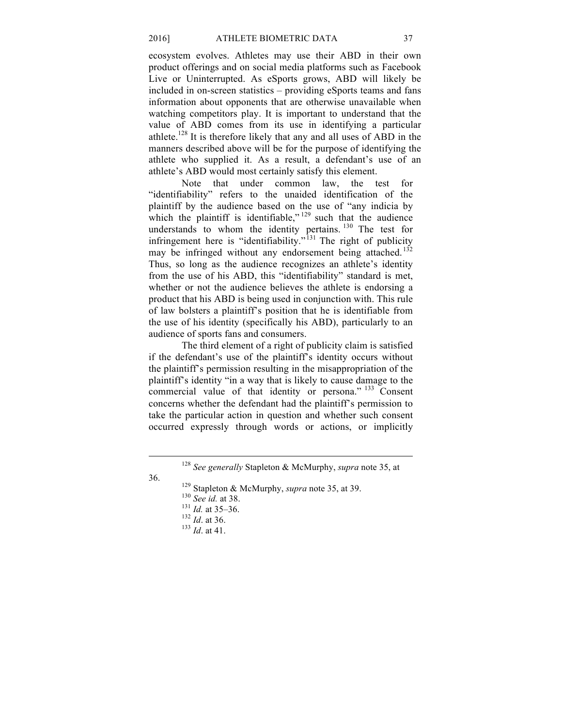ecosystem evolves. Athletes may use their ABD in their own product offerings and on social media platforms such as Facebook Live or Uninterrupted. As eSports grows, ABD will likely be included in on-screen statistics – providing eSports teams and fans information about opponents that are otherwise unavailable when watching competitors play. It is important to understand that the value of ABD comes from its use in identifying a particular athlete.<sup>128</sup> It is therefore likely that any and all uses of ABD in the manners described above will be for the purpose of identifying the athlete who supplied it. As a result, a defendant's use of an athlete's ABD would most certainly satisfy this element.

Note that under common law, the test for "identifiability" refers to the unaided identification of the plaintiff by the audience based on the use of "any indicia by which the plaintiff is identifiable," $129$  such that the audience understands to whom the identity pertains.  $130$  The test for infringement here is "identifiability."<sup>131</sup> The right of publicity may be infringed without any endorsement being attached.<sup>132</sup> Thus, so long as the audience recognizes an athlete's identity from the use of his ABD, this "identifiability" standard is met, whether or not the audience believes the athlete is endorsing a product that his ABD is being used in conjunction with. This rule of law bolsters a plaintiff's position that he is identifiable from the use of his identity (specifically his ABD), particularly to an audience of sports fans and consumers.

The third element of a right of publicity claim is satisfied if the defendant's use of the plaintiff's identity occurs without the plaintiff's permission resulting in the misappropriation of the plaintiff's identity "in a way that is likely to cause damage to the commercial value of that identity or persona." <sup>133</sup> Consent concerns whether the defendant had the plaintiff's permission to take the particular action in question and whether such consent occurred expressly through words or actions, or implicitly

<sup>128</sup> *See generally* Stapleton & McMurphy, *supra* note 35, at

<sup>36. &</sup>lt;sup>129</sup> Stapleton & McMurphy, *supra* note 35, at 39. <sup>130</sup> *See id.* at 38. <sup>131</sup> *Id.* at 35–36. <sup>132</sup> *Id.* at 36. <sup>133</sup> *Id.* at 41.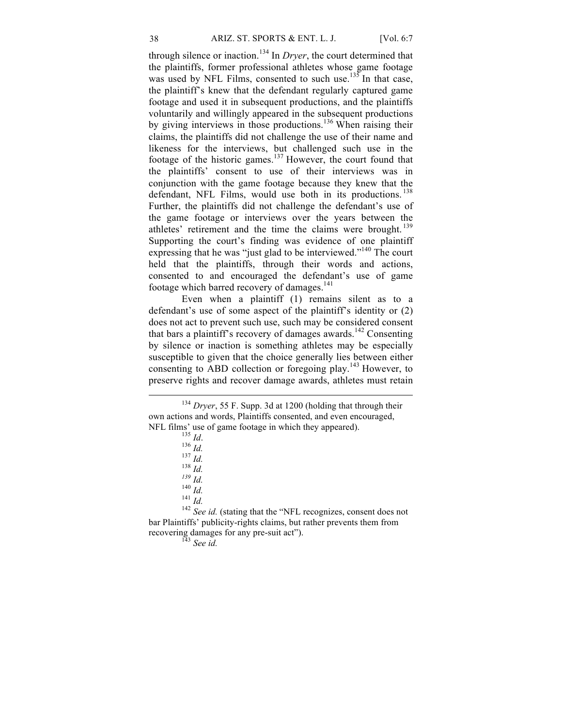through silence or inaction.<sup>134</sup> In *Dryer*, the court determined that the plaintiffs, former professional athletes whose game footage was used by NFL Films, consented to such use.<sup>135</sup> In that case, the plaintiff's knew that the defendant regularly captured game footage and used it in subsequent productions, and the plaintiffs voluntarily and willingly appeared in the subsequent productions by giving interviews in those productions.<sup>136</sup> When raising their claims, the plaintiffs did not challenge the use of their name and likeness for the interviews, but challenged such use in the footage of the historic games.<sup>137</sup> However, the court found that the plaintiffs' consent to use of their interviews was in conjunction with the game footage because they knew that the defendant, NFL Films, would use both in its productions.<sup>138</sup> Further, the plaintiffs did not challenge the defendant's use of the game footage or interviews over the years between the athletes' retirement and the time the claims were brought.<sup>139</sup> Supporting the court's finding was evidence of one plaintiff expressing that he was "just glad to be interviewed."140 The court held that the plaintiffs, through their words and actions, consented to and encouraged the defendant's use of game footage which barred recovery of damages.<sup>141</sup>

Even when a plaintiff (1) remains silent as to a defendant's use of some aspect of the plaintiff's identity or (2) does not act to prevent such use, such may be considered consent that bars a plaintiff's recovery of damages awards.<sup>142</sup> Consenting by silence or inaction is something athletes may be especially susceptible to given that the choice generally lies between either consenting to ABD collection or foregoing play.<sup>143</sup> However, to preserve rights and recover damage awards, athletes must retain

<sup>134</sup> *Dryer*, 55 F. Supp. 3d at 1200 (holding that through their own actions and words, Plaintiffs consented, and even encouraged, NFL films' use of game footage in which they appeared).<br>  $^{135}$  *Id.*<br>  $^{136}$  *Id.*<br>  $^{137}$  *Id.*<br>  $^{138}$  *Id.*<br>  $^{139}$  *Id.*<br>  $^{140}$  *Id.*<br>  $^{140}$  *Id.*<br>  $^{141}$  *Id.*<br>  $^{142}$  *See id.* (stating that the "NFL rec

bar Plaintiffs' publicity-rights claims, but rather prevents them from recovering damages for any pre-suit act"). 143 *See id.*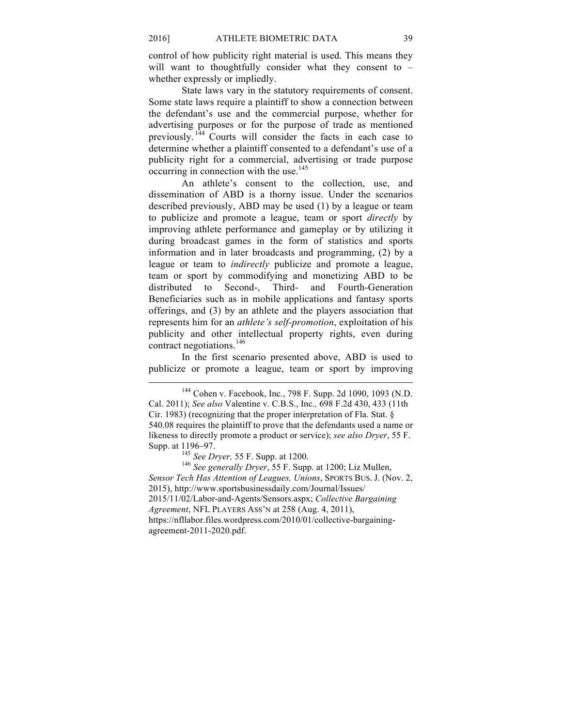control of how publicity right material is used. This means they will want to thoughtfully consider what they consent to – whether expressly or impliedly.

State laws vary in the statutory requirements of consent. Some state laws require a plaintiff to show a connection between the defendant's use and the commercial purpose, whether for advertising purposes or for the purpose of trade as mentioned previously. <sup>144</sup> Courts will consider the facts in each case to determine whether a plaintiff consented to a defendant's use of a publicity right for a commercial, advertising or trade purpose occurring in connection with the use.<sup>145</sup>

An athlete's consent to the collection, use, and dissemination of ABD is a thorny issue. Under the scenarios described previously, ABD may be used (1) by a league or team to publicize and promote a league, team or sport *directly* by improving athlete performance and gameplay or by utilizing it during broadcast games in the form of statistics and sports information and in later broadcasts and programming, (2) by a league or team to *indirectly* publicize and promote a league, team or sport by commodifying and monetizing ABD to be distributed to Second-, Third- and Fourth-Generation Beneficiaries such as in mobile applications and fantasy sports offerings, and (3) by an athlete and the players association that represents him for an *athlete's self-promotion*, exploitation of his publicity and other intellectual property rights, even during contract negotiations.<sup>146</sup>

In the first scenario presented above, ABD is used to publicize or promote a league, team or sport by improving

*Sensor Tech Has Attention of Leagues, Unions*, SPORTS BUS. J. (Nov. 2, 2015), http://www.sportsbusinessdaily.com/Journal/Issues/ 2015/11/02/Labor-and-Agents/Sensors.aspx; *Collective Bargaining Agreement*, NFL PLAYERS ASS'N at 258 (Aug. 4, 2011), https://nfllabor.files.wordpress.com/2010/01/collective-bargainingagreement-2011-2020.pdf.

<sup>144</sup> Cohen v. Facebook, Inc*.*, 798 F. Supp. 2d 1090, 1093 (N.D. Cal. 2011); *See also* Valentine v. C.B.S., Inc.*,* 698 F.2d 430, 433 (11th Cir. 1983) (recognizing that the proper interpretation of Fla. Stat. § 540.08 requires the plaintiff to prove that the defendants used a name or likeness to directly promote a product or service); *see also Dryer*, 55 F. Supp. at 1196–97. <sup>145</sup> *See Dryer,* 55 F. Supp. at 1200. <sup>146</sup> *See generally Dryer*, 55 F. Supp. at 1200; Liz Mullen,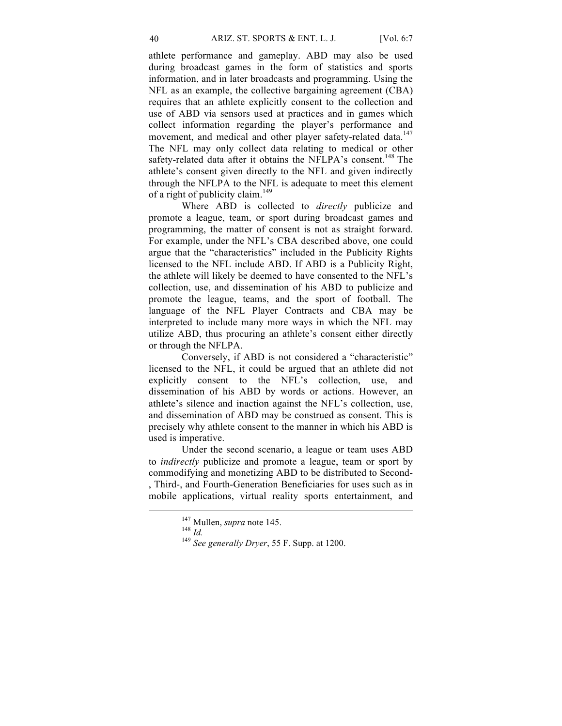athlete performance and gameplay. ABD may also be used during broadcast games in the form of statistics and sports information, and in later broadcasts and programming. Using the NFL as an example, the collective bargaining agreement (CBA) requires that an athlete explicitly consent to the collection and use of ABD via sensors used at practices and in games which collect information regarding the player's performance and movement, and medical and other player safety-related data.<sup>147</sup> The NFL may only collect data relating to medical or other safety-related data after it obtains the NFLPA's consent.<sup>148</sup> The athlete's consent given directly to the NFL and given indirectly through the NFLPA to the NFL is adequate to meet this element of a right of publicity claim.<sup>149</sup>

Where ABD is collected to *directly* publicize and promote a league, team, or sport during broadcast games and programming, the matter of consent is not as straight forward. For example, under the NFL's CBA described above, one could argue that the "characteristics" included in the Publicity Rights licensed to the NFL include ABD. If ABD is a Publicity Right, the athlete will likely be deemed to have consented to the NFL's collection, use, and dissemination of his ABD to publicize and promote the league, teams, and the sport of football. The language of the NFL Player Contracts and CBA may be interpreted to include many more ways in which the NFL may utilize ABD, thus procuring an athlete's consent either directly or through the NFLPA.

Conversely, if ABD is not considered a "characteristic" licensed to the NFL, it could be argued that an athlete did not explicitly consent to the NFL's collection, use, and dissemination of his ABD by words or actions. However, an athlete's silence and inaction against the NFL's collection, use, and dissemination of ABD may be construed as consent. This is precisely why athlete consent to the manner in which his ABD is used is imperative.

Under the second scenario, a league or team uses ABD to *indirectly* publicize and promote a league, team or sport by commodifying and monetizing ABD to be distributed to Second- , Third-, and Fourth-Generation Beneficiaries for uses such as in mobile applications, virtual reality sports entertainment, and

<sup>147</sup> Mullen, *supra* note 145. <sup>148</sup> *Id.* <sup>149</sup> *See generally Dryer*, 55 F. Supp. at 1200.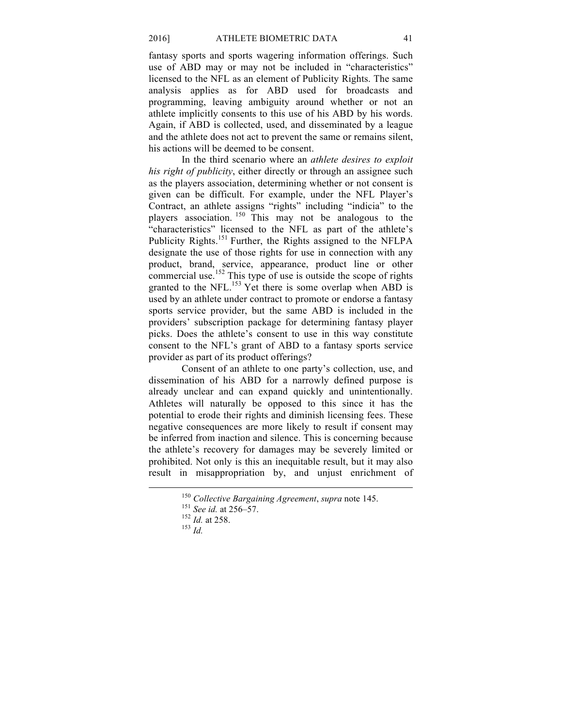fantasy sports and sports wagering information offerings. Such use of ABD may or may not be included in "characteristics" licensed to the NFL as an element of Publicity Rights. The same analysis applies as for ABD used for broadcasts and programming, leaving ambiguity around whether or not an athlete implicitly consents to this use of his ABD by his words. Again, if ABD is collected, used, and disseminated by a league and the athlete does not act to prevent the same or remains silent, his actions will be deemed to be consent.

In the third scenario where an *athlete desires to exploit his right of publicity*, either directly or through an assignee such as the players association, determining whether or not consent is given can be difficult. For example, under the NFL Player's Contract, an athlete assigns "rights" including "indicia" to the players association. <sup>150</sup> This may not be analogous to the "characteristics" licensed to the NFL as part of the athlete's Publicity Rights.<sup>151</sup> Further, the Rights assigned to the NFLPA designate the use of those rights for use in connection with any product, brand, service, appearance, product line or other commercial use.<sup>152</sup> This type of use is outside the scope of rights granted to the NFL.<sup>153</sup> Yet there is some overlap when ABD is used by an athlete under contract to promote or endorse a fantasy sports service provider, but the same ABD is included in the providers' subscription package for determining fantasy player picks. Does the athlete's consent to use in this way constitute consent to the NFL's grant of ABD to a fantasy sports service provider as part of its product offerings?

Consent of an athlete to one party's collection, use, and dissemination of his ABD for a narrowly defined purpose is already unclear and can expand quickly and unintentionally. Athletes will naturally be opposed to this since it has the potential to erode their rights and diminish licensing fees. These negative consequences are more likely to result if consent may be inferred from inaction and silence. This is concerning because the athlete's recovery for damages may be severely limited or prohibited. Not only is this an inequitable result, but it may also result in misappropriation by, and unjust enrichment of

<sup>150</sup> *Collective Bargaining Agreement*, *supra* note 145. <sup>151</sup> *See id.* at 256–57. 152 *Id.* at 258. 153 *Id.*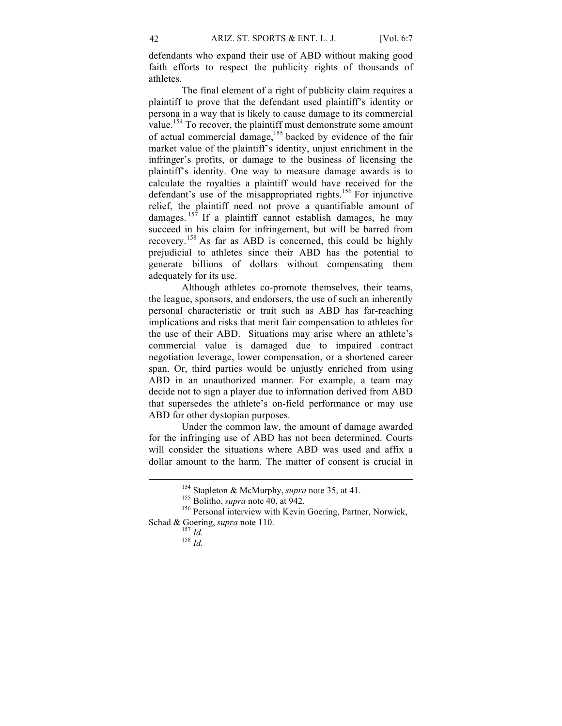defendants who expand their use of ABD without making good faith efforts to respect the publicity rights of thousands of athletes.

The final element of a right of publicity claim requires a plaintiff to prove that the defendant used plaintiff's identity or persona in a way that is likely to cause damage to its commercial value.<sup>154</sup> To recover, the plaintiff must demonstrate some amount of actual commercial damage,<sup>155</sup> backed by evidence of the fair market value of the plaintiff's identity, unjust enrichment in the infringer's profits, or damage to the business of licensing the plaintiff's identity. One way to measure damage awards is to calculate the royalties a plaintiff would have received for the defendant's use of the misappropriated rights.<sup>156</sup> For injunctive relief, the plaintiff need not prove a quantifiable amount of damages. <sup>157</sup> If a plaintiff cannot establish damages, he may succeed in his claim for infringement, but will be barred from recovery.<sup>158</sup> As far as ABD is concerned, this could be highly prejudicial to athletes since their ABD has the potential to generate billions of dollars without compensating them adequately for its use.

Although athletes co-promote themselves, their teams, the league, sponsors, and endorsers, the use of such an inherently personal characteristic or trait such as ABD has far-reaching implications and risks that merit fair compensation to athletes for the use of their ABD. Situations may arise where an athlete's commercial value is damaged due to impaired contract negotiation leverage, lower compensation, or a shortened career span. Or, third parties would be unjustly enriched from using ABD in an unauthorized manner. For example, a team may decide not to sign a player due to information derived from ABD that supersedes the athlete's on-field performance or may use ABD for other dystopian purposes.

Under the common law, the amount of damage awarded for the infringing use of ABD has not been determined. Courts will consider the situations where ABD was used and affix a dollar amount to the harm. The matter of consent is crucial in

<sup>&</sup>lt;sup>154</sup> Stapleton & McMurphy, *supra* note 35, at 41.<br><sup>155</sup> Bolitho, *supra* note 40, at 942.<br><sup>156</sup> Personal interview with Kevin Goering, Partner, Norwick, Schad & Goering, *supra* note 110.<br><sup>157</sup> *Id.* <sup>158</sup> *Id.*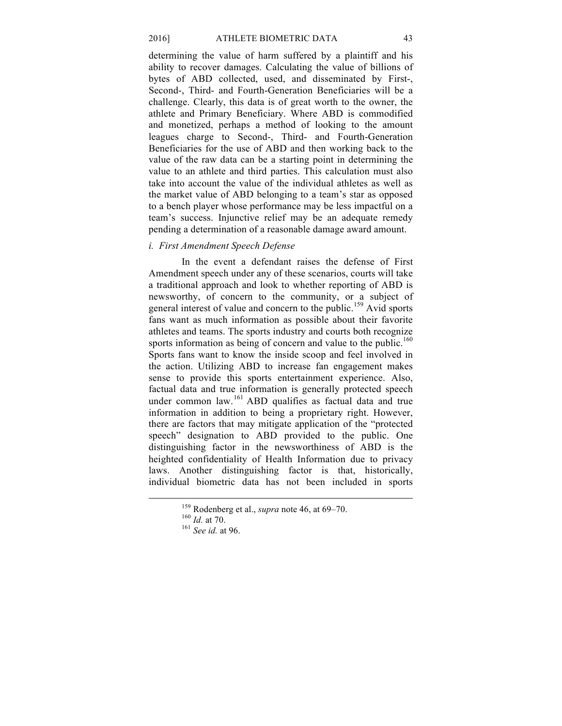determining the value of harm suffered by a plaintiff and his ability to recover damages. Calculating the value of billions of bytes of ABD collected, used, and disseminated by First-, Second-, Third- and Fourth-Generation Beneficiaries will be a challenge. Clearly, this data is of great worth to the owner, the athlete and Primary Beneficiary. Where ABD is commodified and monetized, perhaps a method of looking to the amount leagues charge to Second-, Third- and Fourth-Generation Beneficiaries for the use of ABD and then working back to the value of the raw data can be a starting point in determining the value to an athlete and third parties. This calculation must also take into account the value of the individual athletes as well as the market value of ABD belonging to a team's star as opposed to a bench player whose performance may be less impactful on a team's success. Injunctive relief may be an adequate remedy pending a determination of a reasonable damage award amount.

### *i. First Amendment Speech Defense*

In the event a defendant raises the defense of First Amendment speech under any of these scenarios, courts will take a traditional approach and look to whether reporting of ABD is newsworthy, of concern to the community, or a subject of general interest of value and concern to the public.<sup>159</sup> Avid sports fans want as much information as possible about their favorite athletes and teams. The sports industry and courts both recognize sports information as being of concern and value to the public.<sup>160</sup> Sports fans want to know the inside scoop and feel involved in the action. Utilizing ABD to increase fan engagement makes sense to provide this sports entertainment experience. Also, factual data and true information is generally protected speech under common law.<sup>161</sup> ABD qualifies as factual data and true information in addition to being a proprietary right. However, there are factors that may mitigate application of the "protected speech" designation to ABD provided to the public. One distinguishing factor in the newsworthiness of ABD is the heighted confidentiality of Health Information due to privacy laws. Another distinguishing factor is that, historically, individual biometric data has not been included in sports

<sup>159</sup> Rodenberg et al., *supra* note 46, at 69–70. 160 *Id.* at 70. <sup>161</sup> *See id.* at 96.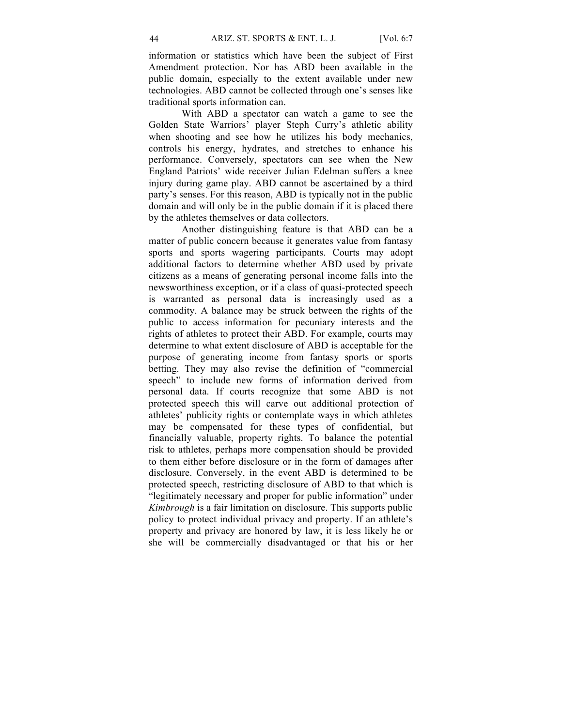information or statistics which have been the subject of First Amendment protection. Nor has ABD been available in the public domain, especially to the extent available under new technologies. ABD cannot be collected through one's senses like traditional sports information can.

With ABD a spectator can watch a game to see the Golden State Warriors' player Steph Curry's athletic ability when shooting and see how he utilizes his body mechanics, controls his energy, hydrates, and stretches to enhance his performance. Conversely, spectators can see when the New England Patriots' wide receiver Julian Edelman suffers a knee injury during game play. ABD cannot be ascertained by a third party's senses. For this reason, ABD is typically not in the public domain and will only be in the public domain if it is placed there by the athletes themselves or data collectors.

Another distinguishing feature is that ABD can be a matter of public concern because it generates value from fantasy sports and sports wagering participants. Courts may adopt additional factors to determine whether ABD used by private citizens as a means of generating personal income falls into the newsworthiness exception, or if a class of quasi-protected speech is warranted as personal data is increasingly used as a commodity. A balance may be struck between the rights of the public to access information for pecuniary interests and the rights of athletes to protect their ABD. For example, courts may determine to what extent disclosure of ABD is acceptable for the purpose of generating income from fantasy sports or sports betting. They may also revise the definition of "commercial speech" to include new forms of information derived from personal data. If courts recognize that some ABD is not protected speech this will carve out additional protection of athletes' publicity rights or contemplate ways in which athletes may be compensated for these types of confidential, but financially valuable, property rights. To balance the potential risk to athletes, perhaps more compensation should be provided to them either before disclosure or in the form of damages after disclosure. Conversely, in the event ABD is determined to be protected speech, restricting disclosure of ABD to that which is "legitimately necessary and proper for public information" under *Kimbrough* is a fair limitation on disclosure. This supports public policy to protect individual privacy and property. If an athlete's property and privacy are honored by law, it is less likely he or she will be commercially disadvantaged or that his or her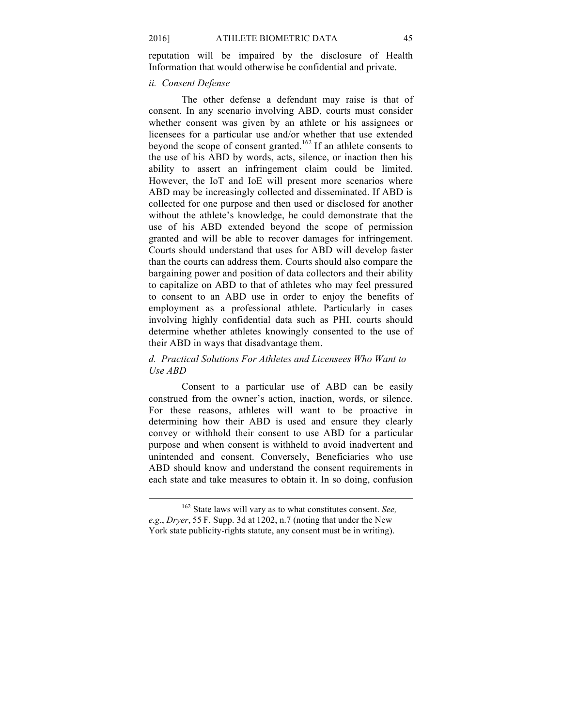reputation will be impaired by the disclosure of Health Information that would otherwise be confidential and private.

#### *ii. Consent Defense*

The other defense a defendant may raise is that of consent. In any scenario involving ABD, courts must consider whether consent was given by an athlete or his assignees or licensees for a particular use and/or whether that use extended beyond the scope of consent granted.<sup>162</sup> If an athlete consents to the use of his ABD by words, acts, silence, or inaction then his ability to assert an infringement claim could be limited. However, the IoT and IoE will present more scenarios where ABD may be increasingly collected and disseminated. If ABD is collected for one purpose and then used or disclosed for another without the athlete's knowledge, he could demonstrate that the use of his ABD extended beyond the scope of permission granted and will be able to recover damages for infringement. Courts should understand that uses for ABD will develop faster than the courts can address them. Courts should also compare the bargaining power and position of data collectors and their ability to capitalize on ABD to that of athletes who may feel pressured to consent to an ABD use in order to enjoy the benefits of employment as a professional athlete. Particularly in cases involving highly confidential data such as PHI, courts should determine whether athletes knowingly consented to the use of their ABD in ways that disadvantage them.

## *d. Practical Solutions For Athletes and Licensees Who Want to Use ABD*

Consent to a particular use of ABD can be easily construed from the owner's action, inaction, words, or silence. For these reasons, athletes will want to be proactive in determining how their ABD is used and ensure they clearly convey or withhold their consent to use ABD for a particular purpose and when consent is withheld to avoid inadvertent and unintended and consent. Conversely, Beneficiaries who use ABD should know and understand the consent requirements in each state and take measures to obtain it. In so doing, confusion

<sup>162</sup> State laws will vary as to what constitutes consent. *See, e.g*., *Dryer*, 55 F. Supp. 3d at 1202, n.7 (noting that under the New York state publicity-rights statute, any consent must be in writing).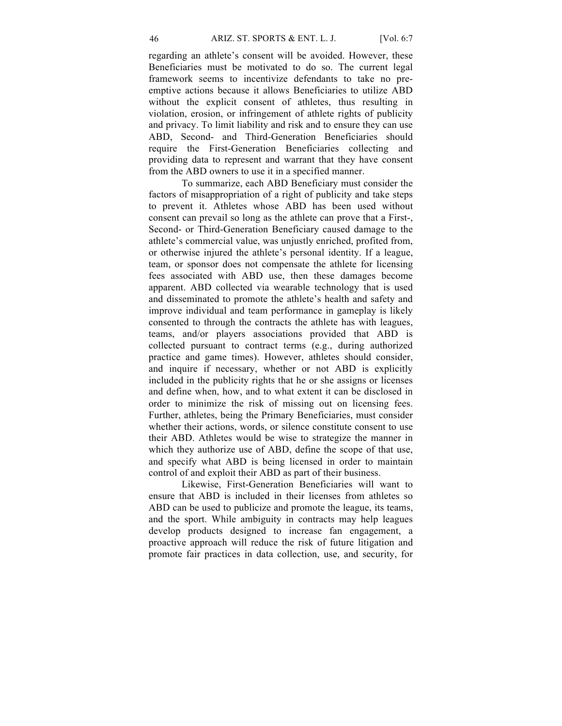regarding an athlete's consent will be avoided. However, these Beneficiaries must be motivated to do so. The current legal framework seems to incentivize defendants to take no preemptive actions because it allows Beneficiaries to utilize ABD without the explicit consent of athletes, thus resulting in violation, erosion, or infringement of athlete rights of publicity and privacy. To limit liability and risk and to ensure they can use ABD, Second- and Third-Generation Beneficiaries should require the First-Generation Beneficiaries collecting and providing data to represent and warrant that they have consent from the ABD owners to use it in a specified manner.

To summarize, each ABD Beneficiary must consider the factors of misappropriation of a right of publicity and take steps to prevent it. Athletes whose ABD has been used without consent can prevail so long as the athlete can prove that a First-, Second- or Third-Generation Beneficiary caused damage to the athlete's commercial value, was unjustly enriched, profited from, or otherwise injured the athlete's personal identity. If a league, team, or sponsor does not compensate the athlete for licensing fees associated with ABD use, then these damages become apparent. ABD collected via wearable technology that is used and disseminated to promote the athlete's health and safety and improve individual and team performance in gameplay is likely consented to through the contracts the athlete has with leagues, teams, and/or players associations provided that ABD is collected pursuant to contract terms (e.g., during authorized practice and game times). However, athletes should consider, and inquire if necessary, whether or not ABD is explicitly included in the publicity rights that he or she assigns or licenses and define when, how, and to what extent it can be disclosed in order to minimize the risk of missing out on licensing fees. Further, athletes, being the Primary Beneficiaries, must consider whether their actions, words, or silence constitute consent to use their ABD. Athletes would be wise to strategize the manner in which they authorize use of ABD, define the scope of that use. and specify what ABD is being licensed in order to maintain control of and exploit their ABD as part of their business.

Likewise, First-Generation Beneficiaries will want to ensure that ABD is included in their licenses from athletes so ABD can be used to publicize and promote the league, its teams, and the sport. While ambiguity in contracts may help leagues develop products designed to increase fan engagement, a proactive approach will reduce the risk of future litigation and promote fair practices in data collection, use, and security, for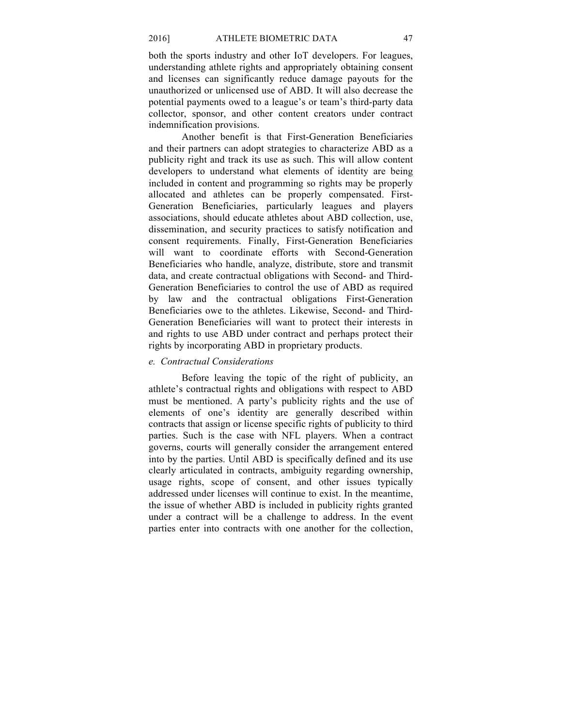both the sports industry and other IoT developers. For leagues, understanding athlete rights and appropriately obtaining consent and licenses can significantly reduce damage payouts for the unauthorized or unlicensed use of ABD. It will also decrease the potential payments owed to a league's or team's third-party data collector, sponsor, and other content creators under contract indemnification provisions.

Another benefit is that First-Generation Beneficiaries and their partners can adopt strategies to characterize ABD as a publicity right and track its use as such. This will allow content developers to understand what elements of identity are being included in content and programming so rights may be properly allocated and athletes can be properly compensated. First-Generation Beneficiaries, particularly leagues and players associations, should educate athletes about ABD collection, use, dissemination, and security practices to satisfy notification and consent requirements. Finally, First-Generation Beneficiaries will want to coordinate efforts with Second-Generation Beneficiaries who handle, analyze, distribute, store and transmit data, and create contractual obligations with Second- and Third-Generation Beneficiaries to control the use of ABD as required by law and the contractual obligations First-Generation Beneficiaries owe to the athletes. Likewise, Second- and Third-Generation Beneficiaries will want to protect their interests in and rights to use ABD under contract and perhaps protect their rights by incorporating ABD in proprietary products.

### *e. Contractual Considerations*

Before leaving the topic of the right of publicity, an athlete's contractual rights and obligations with respect to ABD must be mentioned. A party's publicity rights and the use of elements of one's identity are generally described within contracts that assign or license specific rights of publicity to third parties. Such is the case with NFL players. When a contract governs, courts will generally consider the arrangement entered into by the parties. Until ABD is specifically defined and its use clearly articulated in contracts, ambiguity regarding ownership, usage rights, scope of consent, and other issues typically addressed under licenses will continue to exist. In the meantime, the issue of whether ABD is included in publicity rights granted under a contract will be a challenge to address. In the event parties enter into contracts with one another for the collection,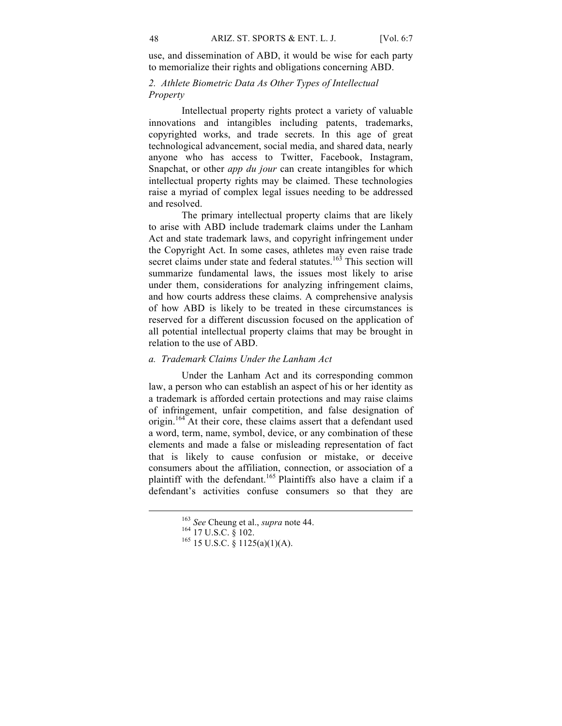use, and dissemination of ABD, it would be wise for each party to memorialize their rights and obligations concerning ABD.

# *2. Athlete Biometric Data As Other Types of Intellectual Property*

Intellectual property rights protect a variety of valuable innovations and intangibles including patents, trademarks, copyrighted works, and trade secrets. In this age of great technological advancement, social media, and shared data, nearly anyone who has access to Twitter, Facebook, Instagram, Snapchat, or other *app du jour* can create intangibles for which intellectual property rights may be claimed. These technologies raise a myriad of complex legal issues needing to be addressed and resolved.

The primary intellectual property claims that are likely to arise with ABD include trademark claims under the Lanham Act and state trademark laws, and copyright infringement under the Copyright Act. In some cases, athletes may even raise trade secret claims under state and federal statutes.<sup>163</sup> This section will summarize fundamental laws, the issues most likely to arise under them, considerations for analyzing infringement claims, and how courts address these claims. A comprehensive analysis of how ABD is likely to be treated in these circumstances is reserved for a different discussion focused on the application of all potential intellectual property claims that may be brought in relation to the use of ABD.

#### *a. Trademark Claims Under the Lanham Act*

Under the Lanham Act and its corresponding common law, a person who can establish an aspect of his or her identity as a trademark is afforded certain protections and may raise claims of infringement, unfair competition, and false designation of origin.<sup>164</sup> At their core, these claims assert that a defendant used a word, term, name, symbol, device, or any combination of these elements and made a false or misleading representation of fact that is likely to cause confusion or mistake, or deceive consumers about the affiliation, connection, or association of a plaintiff with the defendant.<sup>165</sup> Plaintiffs also have a claim if a defendant's activities confuse consumers so that they are

<sup>&</sup>lt;sup>163</sup> *See* Cheung et al., *supra* note 44.<br><sup>164</sup> 17 U.S.C. § 102.<br><sup>165</sup> 15 U.S.C. § 1125(a)(1)(A).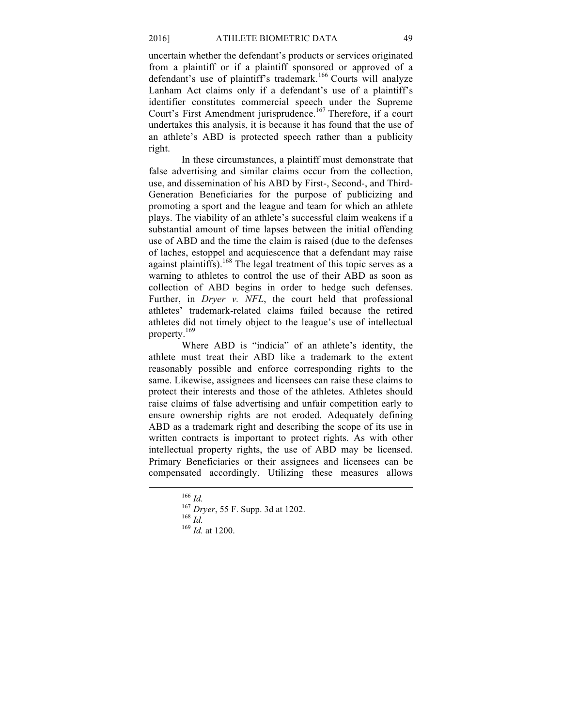uncertain whether the defendant's products or services originated from a plaintiff or if a plaintiff sponsored or approved of a defendant's use of plaintiff's trademark.<sup>166</sup> Courts will analyze Lanham Act claims only if a defendant's use of a plaintiff's identifier constitutes commercial speech under the Supreme Court's First Amendment jurisprudence.<sup>167</sup> Therefore, if a court undertakes this analysis, it is because it has found that the use of an athlete's ABD is protected speech rather than a publicity right.

In these circumstances, a plaintiff must demonstrate that false advertising and similar claims occur from the collection, use, and dissemination of his ABD by First-, Second-, and Third-Generation Beneficiaries for the purpose of publicizing and promoting a sport and the league and team for which an athlete plays. The viability of an athlete's successful claim weakens if a substantial amount of time lapses between the initial offending use of ABD and the time the claim is raised (due to the defenses of laches, estoppel and acquiescence that a defendant may raise against plaintiffs).<sup>168</sup> The legal treatment of this topic serves as a warning to athletes to control the use of their ABD as soon as collection of ABD begins in order to hedge such defenses. Further, in *Dryer v. NFL*, the court held that professional athletes' trademark-related claims failed because the retired athletes did not timely object to the league's use of intellectual property.<sup>169</sup>

Where ABD is "indicia" of an athlete's identity, the athlete must treat their ABD like a trademark to the extent reasonably possible and enforce corresponding rights to the same. Likewise, assignees and licensees can raise these claims to protect their interests and those of the athletes. Athletes should raise claims of false advertising and unfair competition early to ensure ownership rights are not eroded. Adequately defining ABD as a trademark right and describing the scope of its use in written contracts is important to protect rights. As with other intellectual property rights, the use of ABD may be licensed. Primary Beneficiaries or their assignees and licensees can be compensated accordingly. Utilizing these measures allows

<sup>166</sup> *Id.* <sup>167</sup> *Dryer*, 55 F. Supp. 3d at 1202. 168 *Id.* <sup>169</sup> *Id.* at 1200.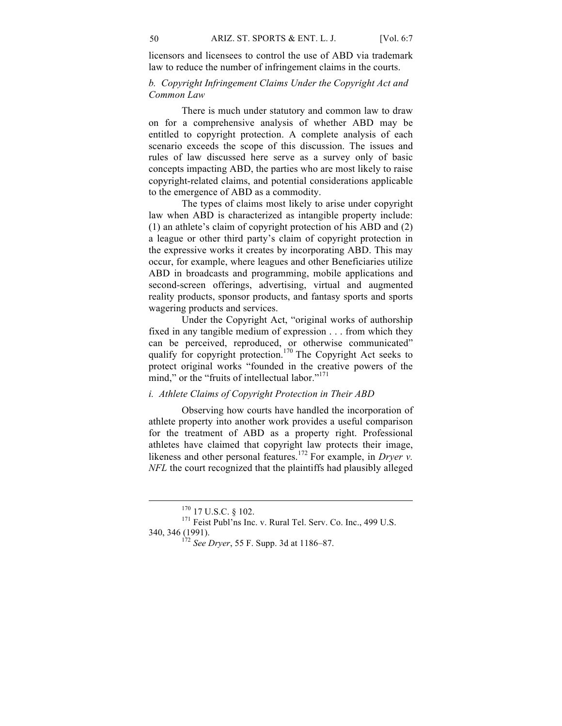licensors and licensees to control the use of ABD via trademark law to reduce the number of infringement claims in the courts.

# *b. Copyright Infringement Claims Under the Copyright Act and Common Law*

There is much under statutory and common law to draw on for a comprehensive analysis of whether ABD may be entitled to copyright protection. A complete analysis of each scenario exceeds the scope of this discussion. The issues and rules of law discussed here serve as a survey only of basic concepts impacting ABD, the parties who are most likely to raise copyright-related claims, and potential considerations applicable to the emergence of ABD as a commodity.

The types of claims most likely to arise under copyright law when ABD is characterized as intangible property include: (1) an athlete's claim of copyright protection of his ABD and (2) a league or other third party's claim of copyright protection in the expressive works it creates by incorporating ABD. This may occur, for example, where leagues and other Beneficiaries utilize ABD in broadcasts and programming, mobile applications and second-screen offerings, advertising, virtual and augmented reality products, sponsor products, and fantasy sports and sports wagering products and services.

Under the Copyright Act, "original works of authorship fixed in any tangible medium of expression . . . from which they can be perceived, reproduced, or otherwise communicated" qualify for copyright protection.<sup>170</sup> The Copyright Act seeks to protect original works "founded in the creative powers of the mind," or the "fruits of intellectual labor."<sup>171</sup>

### *i. Athlete Claims of Copyright Protection in Their ABD*

Observing how courts have handled the incorporation of athlete property into another work provides a useful comparison for the treatment of ABD as a property right. Professional athletes have claimed that copyright law protects their image, likeness and other personal features.<sup>172</sup> For example, in *Dryer v. NFL* the court recognized that the plaintiffs had plausibly alleged

 $170$  17 U.S.C. § 102.<br> $171$  Feist Publ'ns Inc. v. Rural Tel. Serv. Co. Inc., 499 U.S. 340, 346 (1991). <sup>172</sup> *See Dryer*, 55 F. Supp. 3d at 1186–87.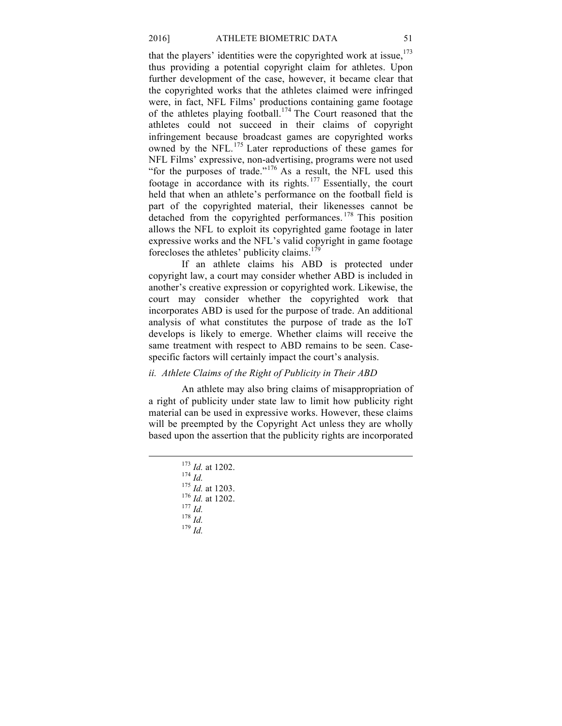that the players' identities were the copyrighted work at issue.<sup>173</sup> thus providing a potential copyright claim for athletes. Upon further development of the case, however, it became clear that the copyrighted works that the athletes claimed were infringed were, in fact, NFL Films' productions containing game footage of the athletes playing football.<sup>174</sup> The Court reasoned that the athletes could not succeed in their claims of copyright infringement because broadcast games are copyrighted works owned by the NFL.<sup>175</sup> Later reproductions of these games for NFL Films' expressive, non-advertising, programs were not used "for the purposes of trade."<sup>176</sup> As a result, the NFL used this footage in accordance with its rights. <sup>177</sup> Essentially, the court held that when an athlete's performance on the football field is part of the copyrighted material, their likenesses cannot be detached from the copyrighted performances.<sup>178</sup> This position allows the NFL to exploit its copyrighted game footage in later expressive works and the NFL's valid copyright in game footage forecloses the athletes' publicity claims.<sup>1</sup>

If an athlete claims his ABD is protected under copyright law, a court may consider whether ABD is included in another's creative expression or copyrighted work. Likewise, the court may consider whether the copyrighted work that incorporates ABD is used for the purpose of trade. An additional analysis of what constitutes the purpose of trade as the IoT develops is likely to emerge. Whether claims will receive the same treatment with respect to ABD remains to be seen. Casespecific factors will certainly impact the court's analysis.

### *ii. Athlete Claims of the Right of Publicity in Their ABD*

An athlete may also bring claims of misappropriation of a right of publicity under state law to limit how publicity right material can be used in expressive works. However, these claims will be preempted by the Copyright Act unless they are wholly based upon the assertion that the publicity rights are incorporated

<sup>173</sup> *Id.* at 1202. <sup>174</sup> *Id.* <sup>175</sup> *Id.* at 1203. <sup>176</sup> *Id.* at 1202. <sup>177</sup> *Id.* <sup>178</sup> *Id.* <sup>179</sup> *Id.*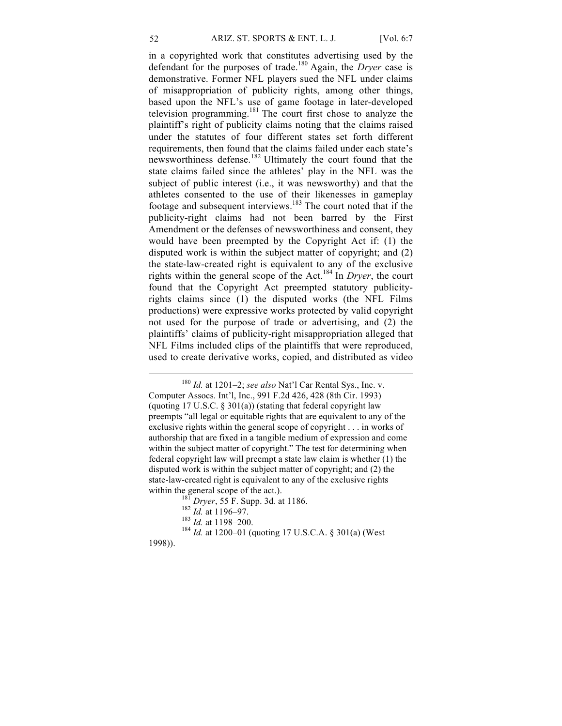in a copyrighted work that constitutes advertising used by the defendant for the purposes of trade.<sup>180</sup> Again, the *Dryer* case is demonstrative. Former NFL players sued the NFL under claims of misappropriation of publicity rights, among other things, based upon the NFL's use of game footage in later-developed television programming.<sup>181</sup> The court first chose to analyze the plaintiff's right of publicity claims noting that the claims raised under the statutes of four different states set forth different requirements, then found that the claims failed under each state's newsworthiness defense.<sup>182</sup> Ultimately the court found that the state claims failed since the athletes' play in the NFL was the subject of public interest (i.e., it was newsworthy) and that the athletes consented to the use of their likenesses in gameplay footage and subsequent interviews.<sup>183</sup> The court noted that if the publicity-right claims had not been barred by the First Amendment or the defenses of newsworthiness and consent, they would have been preempted by the Copyright Act if: (1) the disputed work is within the subject matter of copyright; and (2) the state-law-created right is equivalent to any of the exclusive rights within the general scope of the Act.<sup>184</sup> In *Dryer*, the court found that the Copyright Act preempted statutory publicityrights claims since (1) the disputed works (the NFL Films productions) were expressive works protected by valid copyright not used for the purpose of trade or advertising, and (2) the plaintiffs' claims of publicity-right misappropriation alleged that NFL Films included clips of the plaintiffs that were reproduced, used to create derivative works, copied, and distributed as video

1998)).

<sup>180</sup> *Id.* at 1201–2; *see also* Nat'l Car Rental Sys., Inc. v. Computer Assocs. Int'l, Inc., 991 F.2d 426, 428 (8th Cir. 1993) (quoting 17 U.S.C.  $\S$  301(a)) (stating that federal copyright law preempts "all legal or equitable rights that are equivalent to any of the exclusive rights within the general scope of copyright . . . in works of authorship that are fixed in a tangible medium of expression and come within the subject matter of copyright." The test for determining when federal copyright law will preempt a state law claim is whether (1) the disputed work is within the subject matter of copyright; and (2) the state-law-created right is equivalent to any of the exclusive rights within the general scope of the act.).<br><sup>181</sup> *Dryer*, 55 F. Supp. 3d. at 1186.<br><sup>182</sup> *Id.* at 1196–97.<br><sup>183</sup> *Id.* at 1200–01 (quoting 17 U.S.C.A. § 301(a) (West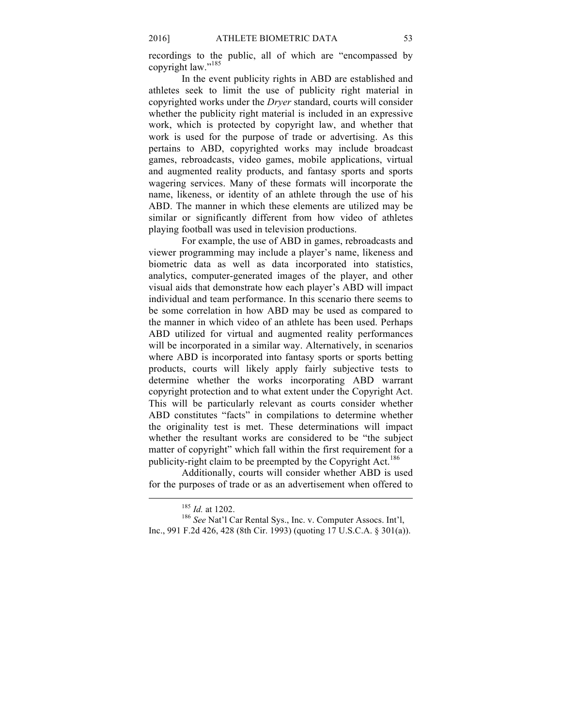recordings to the public, all of which are "encompassed by copyright law."<sup>185</sup>

In the event publicity rights in ABD are established and athletes seek to limit the use of publicity right material in copyrighted works under the *Dryer* standard, courts will consider whether the publicity right material is included in an expressive work, which is protected by copyright law, and whether that work is used for the purpose of trade or advertising. As this pertains to ABD, copyrighted works may include broadcast games, rebroadcasts, video games, mobile applications, virtual and augmented reality products, and fantasy sports and sports wagering services. Many of these formats will incorporate the name, likeness, or identity of an athlete through the use of his ABD. The manner in which these elements are utilized may be similar or significantly different from how video of athletes playing football was used in television productions.

For example, the use of ABD in games, rebroadcasts and viewer programming may include a player's name, likeness and biometric data as well as data incorporated into statistics, analytics, computer-generated images of the player, and other visual aids that demonstrate how each player's ABD will impact individual and team performance. In this scenario there seems to be some correlation in how ABD may be used as compared to the manner in which video of an athlete has been used. Perhaps ABD utilized for virtual and augmented reality performances will be incorporated in a similar way. Alternatively, in scenarios where ABD is incorporated into fantasy sports or sports betting products, courts will likely apply fairly subjective tests to determine whether the works incorporating ABD warrant copyright protection and to what extent under the Copyright Act. This will be particularly relevant as courts consider whether ABD constitutes "facts" in compilations to determine whether the originality test is met. These determinations will impact whether the resultant works are considered to be "the subject matter of copyright" which fall within the first requirement for a publicity-right claim to be preempted by the Copyright  $Act.<sup>186</sup>$ 

Additionally, courts will consider whether ABD is used for the purposes of trade or as an advertisement when offered to

<sup>&</sup>lt;sup>185</sup> *Id.* at 1202.<br><sup>186</sup> *See* Nat'l Car Rental Sys., Inc. v. Computer Assocs. Int'l, Inc., 991 F.2d 426, 428 (8th Cir. 1993) (quoting 17 U.S.C.A. § 301(a)).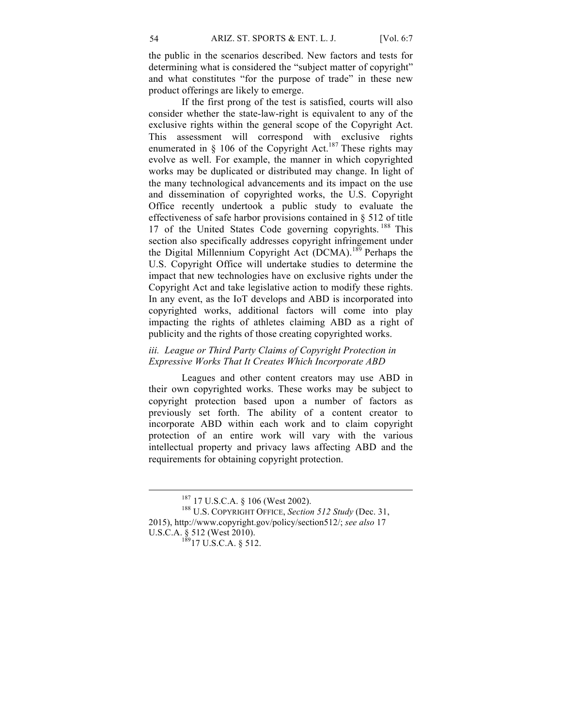the public in the scenarios described. New factors and tests for determining what is considered the "subject matter of copyright" and what constitutes "for the purpose of trade" in these new product offerings are likely to emerge.

If the first prong of the test is satisfied, courts will also consider whether the state-law-right is equivalent to any of the exclusive rights within the general scope of the Copyright Act. This assessment will correspond with exclusive rights enumerated in  $\S$  106 of the Copyright Act.<sup>187</sup> These rights may evolve as well. For example, the manner in which copyrighted works may be duplicated or distributed may change. In light of the many technological advancements and its impact on the use and dissemination of copyrighted works, the U.S. Copyright Office recently undertook a public study to evaluate the effectiveness of safe harbor provisions contained in § 512 of title 17 of the United States Code governing copyrights. <sup>188</sup> This section also specifically addresses copyright infringement under the Digital Millennium Copyright Act (DCMA).<sup>189</sup> Perhaps the U.S. Copyright Office will undertake studies to determine the impact that new technologies have on exclusive rights under the Copyright Act and take legislative action to modify these rights. In any event, as the IoT develops and ABD is incorporated into copyrighted works, additional factors will come into play impacting the rights of athletes claiming ABD as a right of publicity and the rights of those creating copyrighted works.

# *iii. League or Third Party Claims of Copyright Protection in Expressive Works That It Creates Which Incorporate ABD*

Leagues and other content creators may use ABD in their own copyrighted works. These works may be subject to copyright protection based upon a number of factors as previously set forth. The ability of a content creator to incorporate ABD within each work and to claim copyright protection of an entire work will vary with the various intellectual property and privacy laws affecting ABD and the requirements for obtaining copyright protection.

<sup>&</sup>lt;sup>187</sup> 17 U.S.C.A. § 106 (West 2002).<br><sup>188</sup> U.S. COPYRIGHT OFFICE, *Section 512 Study* (Dec. 31, 2015), http://www.copyright.gov/policy/section512/; *see also* 17 U.S.C.A. § 512 (West 2010).<br><sup>189</sup>17 U.S.C.A. § 512.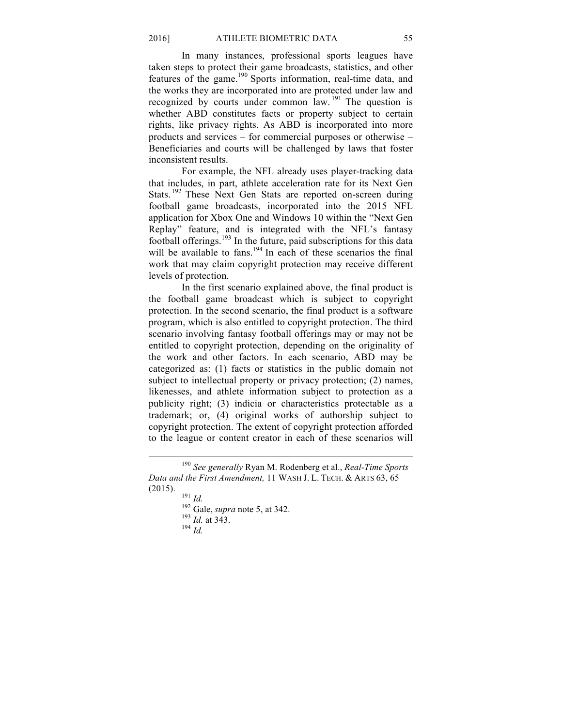In many instances, professional sports leagues have taken steps to protect their game broadcasts, statistics, and other features of the game.<sup>190</sup> Sports information, real-time data, and the works they are incorporated into are protected under law and recognized by courts under common law. <sup>191</sup> The question is whether ABD constitutes facts or property subject to certain rights, like privacy rights. As ABD is incorporated into more products and services – for commercial purposes or otherwise – Beneficiaries and courts will be challenged by laws that foster inconsistent results.

For example, the NFL already uses player-tracking data that includes, in part, athlete acceleration rate for its Next Gen Stats.<sup>192</sup> These Next Gen Stats are reported on-screen during football game broadcasts, incorporated into the 2015 NFL application for Xbox One and Windows 10 within the "Next Gen Replay" feature, and is integrated with the NFL's fantasy football offerings.<sup>193</sup> In the future, paid subscriptions for this data will be available to fans.<sup>194</sup> In each of these scenarios the final work that may claim copyright protection may receive different levels of protection.

In the first scenario explained above, the final product is the football game broadcast which is subject to copyright protection. In the second scenario, the final product is a software program, which is also entitled to copyright protection. The third scenario involving fantasy football offerings may or may not be entitled to copyright protection, depending on the originality of the work and other factors. In each scenario, ABD may be categorized as: (1) facts or statistics in the public domain not subject to intellectual property or privacy protection; (2) names, likenesses, and athlete information subject to protection as a publicity right; (3) indicia or characteristics protectable as a trademark; or, (4) original works of authorship subject to copyright protection. The extent of copyright protection afforded to the league or content creator in each of these scenarios will

<sup>190</sup> *See generally* Ryan M. Rodenberg et al., *Real-Time Sports Data and the First Amendment,* 11 WASH J. L. TECH. & ARTS 63, 65

<sup>(2015). &</sup>lt;sup>191</sup> *Id.* <sup>192</sup> Gale, *supra* note 5, at 342. <sup>193</sup> *Id.* at 343. <sup>194</sup> *Id.*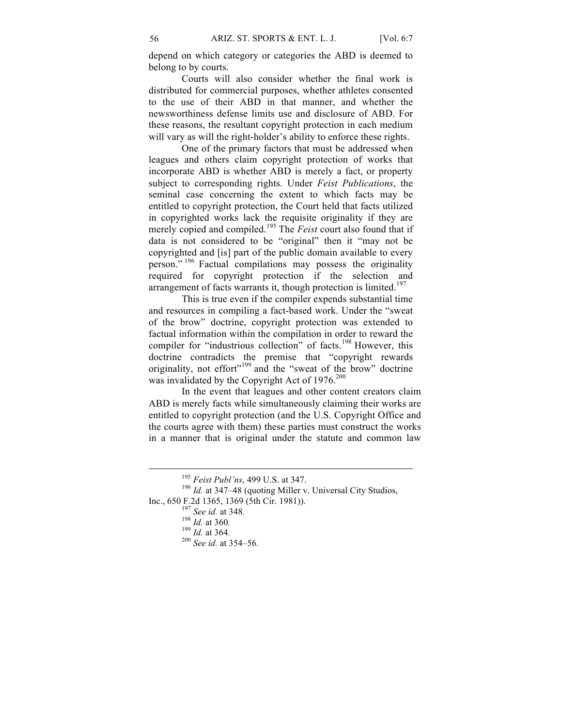depend on which category or categories the ABD is deemed to belong to by courts.

Courts will also consider whether the final work is distributed for commercial purposes, whether athletes consented to the use of their ABD in that manner, and whether the newsworthiness defense limits use and disclosure of ABD. For these reasons, the resultant copyright protection in each medium will vary as will the right-holder's ability to enforce these rights.

One of the primary factors that must be addressed when leagues and others claim copyright protection of works that incorporate ABD is whether ABD is merely a fact, or property subject to corresponding rights. Under *Feist Publications*, the seminal case concerning the extent to which facts may be entitled to copyright protection, the Court held that facts utilized in copyrighted works lack the requisite originality if they are merely copied and compiled.<sup>195</sup> The *Feist* court also found that if data is not considered to be "original" then it "may not be copyrighted and [is] part of the public domain available to every person." <sup>196</sup> Factual compilations may possess the originality required for copyright protection if the selection and arrangement of facts warrants it, though protection is limited.<sup>197</sup>

This is true even if the compiler expends substantial time and resources in compiling a fact-based work. Under the "sweat of the brow" doctrine, copyright protection was extended to factual information within the compilation in order to reward the compiler for "industrious collection" of facts.<sup>198</sup> However, this doctrine contradicts the premise that "copyright rewards originality, not effort"<sup>199</sup> and the "sweat of the brow" doctrine was invalidated by the Copyright Act of  $1976^{200}$ 

In the event that leagues and other content creators claim ABD is merely facts while simultaneously claiming their works are entitled to copyright protection (and the U.S. Copyright Office and the courts agree with them) these parties must construct the works in a manner that is original under the statute and common law

<sup>&</sup>lt;sup>195</sup> *Feist Publ'ns*, 499 U.S. at 347.<br><sup>196</sup> *Id.* at 347–48 (quoting Miller v. Universal City Studios, Inc., 650 F.2d 1365, 1369 (5th Cir. 1981)).<br>
<sup>197</sup> *See id.* at 348*.*<br>
<sup>198</sup> *Id.* at 360*.*<br>
<sup>199</sup> *Id.* at 364*.*<br>
<sup>200</sup> *See id.* at 354–56*.*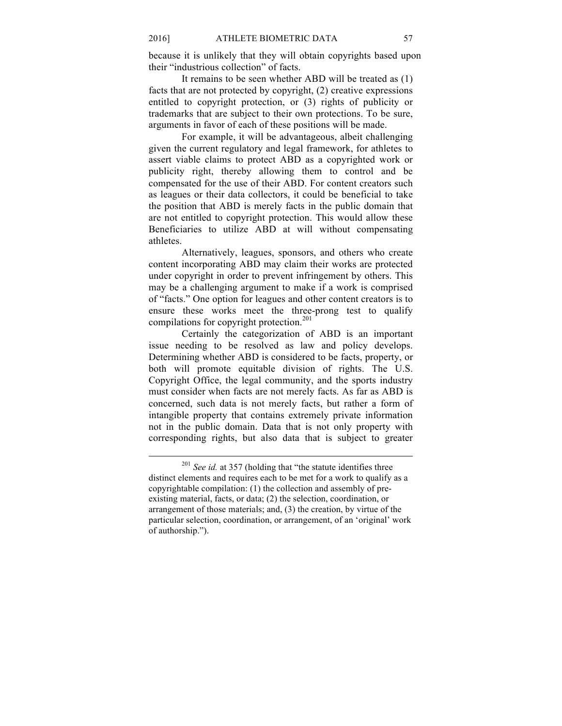because it is unlikely that they will obtain copyrights based upon their "industrious collection" of facts.

It remains to be seen whether ABD will be treated as (1) facts that are not protected by copyright, (2) creative expressions entitled to copyright protection, or (3) rights of publicity or trademarks that are subject to their own protections. To be sure, arguments in favor of each of these positions will be made.

For example, it will be advantageous, albeit challenging given the current regulatory and legal framework, for athletes to assert viable claims to protect ABD as a copyrighted work or publicity right, thereby allowing them to control and be compensated for the use of their ABD. For content creators such as leagues or their data collectors, it could be beneficial to take the position that ABD is merely facts in the public domain that are not entitled to copyright protection. This would allow these Beneficiaries to utilize ABD at will without compensating athletes.

Alternatively, leagues, sponsors, and others who create content incorporating ABD may claim their works are protected under copyright in order to prevent infringement by others. This may be a challenging argument to make if a work is comprised of "facts." One option for leagues and other content creators is to ensure these works meet the three-prong test to qualify compilations for copyright protection.<sup>201</sup>

Certainly the categorization of ABD is an important issue needing to be resolved as law and policy develops. Determining whether ABD is considered to be facts, property, or both will promote equitable division of rights. The U.S. Copyright Office, the legal community, and the sports industry must consider when facts are not merely facts. As far as ABD is concerned, such data is not merely facts, but rather a form of intangible property that contains extremely private information not in the public domain. Data that is not only property with corresponding rights, but also data that is subject to greater

<sup>&</sup>lt;sup>201</sup> *See id.* at 357 (holding that "the statute identifies three distinct elements and requires each to be met for a work to qualify as a copyrightable compilation: (1) the collection and assembly of preexisting material, facts, or data; (2) the selection, coordination, or arrangement of those materials; and, (3) the creation, by virtue of the particular selection, coordination, or arrangement, of an 'original' work of authorship.").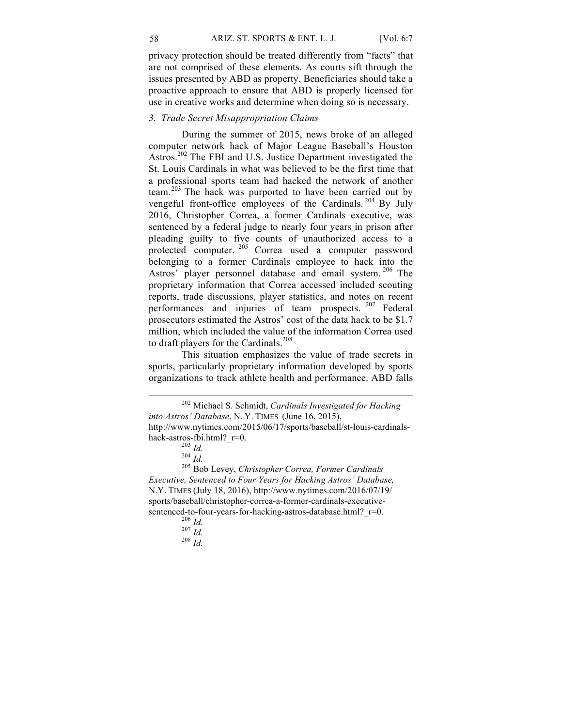privacy protection should be treated differently from "facts" that are not comprised of these elements. As courts sift through the issues presented by ABD as property, Beneficiaries should take a proactive approach to ensure that ABD is properly licensed for use in creative works and determine when doing so is necessary.

#### *3. Trade Secret Misappropriation Claims*

During the summer of 2015, news broke of an alleged computer network hack of Major League Baseball's Houston Astros.<sup>202</sup> The FBI and U.S. Justice Department investigated the St. Louis Cardinals in what was believed to be the first time that a professional sports team had hacked the network of another team.<sup>203</sup> The hack was purported to have been carried out by vengeful front-office employees of the Cardinals. <sup>204</sup> By July 2016, Christopher Correa, a former Cardinals executive, was sentenced by a federal judge to nearly four years in prison after pleading guilty to five counts of unauthorized access to a protected computer. <sup>205</sup> Correa used a computer password belonging to a former Cardinals employee to hack into the Astros' player personnel database and email system.<sup>206</sup> The proprietary information that Correa accessed included scouting reports, trade discussions, player statistics, and notes on recent performances and injuries of team prospects. <sup>207</sup> Federal prosecutors estimated the Astros' cost of the data hack to be \$1.7 million, which included the value of the information Correa used to draft players for the Cardinals.<sup>208</sup>

This situation emphasizes the value of trade secrets in sports, particularly proprietary information developed by sports organizations to track athlete health and performance. ABD falls

hack-astros-fbi.html?\_r=0.<br><sup>203</sup> *Id.* <sup>204</sup> *Id.* <sup>204</sup> *Id.* <sup>205</sup> Bob Levey, *Christopher Correa, Former Cardinals Executive, Sentenced to Four Years for Hacking Astros' Database,*  N.Y. TIMES (July 18, 2016), http://www.nytimes.com/2016/07/19/ sports/baseball/christopher-correa-a-former-cardinals-executivesentenced-to-four-years-for-hacking-astros-database.html?\_r=0.<br><sup>206</sup> *Id.* 207 *Id.* 208 *Id* 

<sup>202</sup> Michael S. Schmidt, *Cardinals Investigated for Hacking into Astros' Database*, N. Y. TIMES (June 16, 2015), http://www.nytimes.com/2015/06/17/sports/baseball/st-louis-cardinals-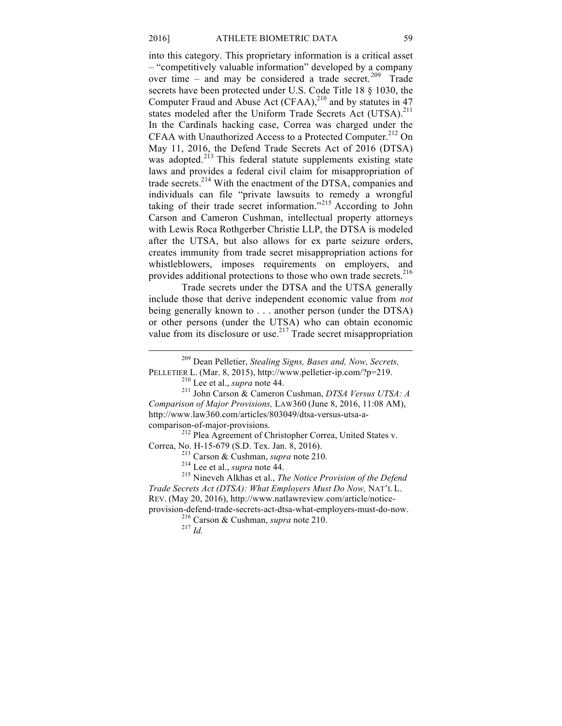into this category. This proprietary information is a critical asset – "competitively valuable information" developed by a company over time – and may be considered a trade secret.<sup>209</sup> Trade secrets have been protected under U.S. Code Title 18 § 1030, the Computer Fraud and Abuse Act  $(CFAA)$ ,<sup>210</sup> and by statutes in 47 states modeled after the Uniform Trade Secrets Act (UTSA).<sup>211</sup> In the Cardinals hacking case, Correa was charged under the CFAA with Unauthorized Access to a Protected Computer.<sup>212</sup> On May 11, 2016, the Defend Trade Secrets Act of 2016 (DTSA) was adopted.<sup>213</sup> This federal statute supplements existing state laws and provides a federal civil claim for misappropriation of trade secrets.<sup>214</sup> With the enactment of the DTSA, companies and individuals can file "private lawsuits to remedy a wrongful taking of their trade secret information."<sup>215</sup> According to John Carson and Cameron Cushman, intellectual property attorneys with Lewis Roca Rothgerber Christie LLP, the DTSA is modeled after the UTSA, but also allows for ex parte seizure orders, creates immunity from trade secret misappropriation actions for whistleblowers, imposes requirements on employers, and provides additional protections to those who own trade secrets.<sup>216</sup>

Trade secrets under the DTSA and the UTSA generally include those that derive independent economic value from *not* being generally known to . . . another person (under the DTSA) or other persons (under the UTSA) who can obtain economic value from its disclosure or use.<sup>217</sup> Trade secret misappropriation

<sup>210</sup> Lee et al., *supra* note 44. <sup>211</sup> John Carson & Cameron Cushman, *DTSA Versus UTSA: A Comparison of Major Provisions,* LAW360 (June 8, 2016, 11:08 AM), http://www.law360.com/articles/803049/dtsa-versus-utsa-acomparison-of-major-provisions. 212 Plea Agreement of Christopher Correa, United States v.

Correa, No. H-15-679 (S.D. Tex. Jan. 8, 2016). 213 Carson & Cushman, *supra* note 210. 214 Lee et al., *supra* note 44. <sup>215</sup> Nineveh Alkhas et al., *The Notice Provision of the Defend Trade Secrets Act (DTSA): What Employers Must Do Now,* NAT'L L. REV. (May 20, 2016), http://www.natlawreview.com/article/noticeprovision-defend-trade-secrets-act-dtsa-what-employers-must-do-now.<br><sup>216</sup> Carson & Cushman, *supra* note 210.<br><sup>217</sup> *Id.* 

<sup>&</sup>lt;sup>209</sup> Dean Pelletier, *Stealing Signs, Bases and, Now, Secrets,* PELLETIER L. (Mar. 8, 2015), http://www.pelletier-ip.com/?p=219.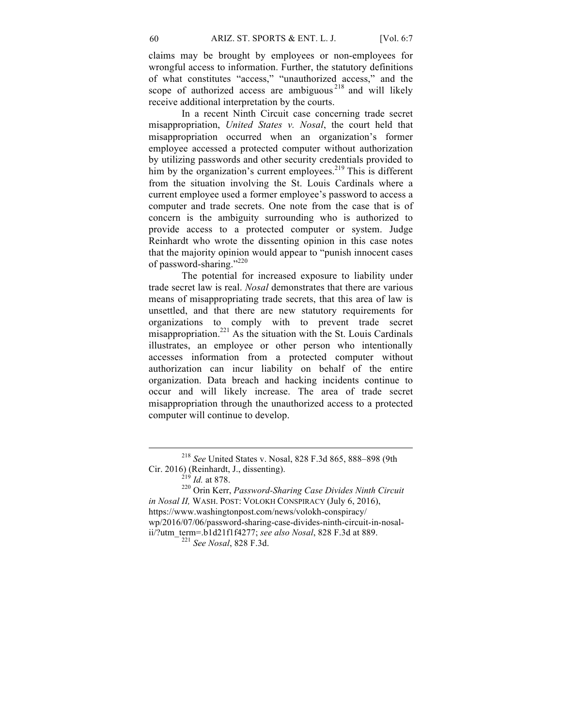claims may be brought by employees or non-employees for wrongful access to information. Further, the statutory definitions of what constitutes "access," "unauthorized access," and the scope of authorized access are ambiguous<sup> $218$ </sup> and will likely receive additional interpretation by the courts.

In a recent Ninth Circuit case concerning trade secret misappropriation, *United States v. Nosal*, the court held that misappropriation occurred when an organization's former employee accessed a protected computer without authorization by utilizing passwords and other security credentials provided to him by the organization's current employees.<sup>219</sup> This is different from the situation involving the St. Louis Cardinals where a current employee used a former employee's password to access a computer and trade secrets. One note from the case that is of concern is the ambiguity surrounding who is authorized to provide access to a protected computer or system. Judge Reinhardt who wrote the dissenting opinion in this case notes that the majority opinion would appear to "punish innocent cases of password-sharing."220

The potential for increased exposure to liability under trade secret law is real. *Nosal* demonstrates that there are various means of misappropriating trade secrets, that this area of law is unsettled, and that there are new statutory requirements for organizations to comply with to prevent trade secret misappropriation.<sup>221</sup> As the situation with the St. Louis Cardinals illustrates, an employee or other person who intentionally accesses information from a protected computer without authorization can incur liability on behalf of the entire organization. Data breach and hacking incidents continue to occur and will likely increase. The area of trade secret misappropriation through the unauthorized access to a protected computer will continue to develop.

<sup>218</sup> *See* United States v. Nosal, 828 F.3d 865, 888–898 (9th Cir. 2016) (Reinhardt, J., dissenting). 219 *Id.* at 878. <sup>220</sup> Orin Kerr, *Password-Sharing Case Divides Ninth Circuit* 

*in Nosal II,* WASH. POST: VOLOKH CONSPIRACY (July 6, 2016), https://www.washingtonpost.com/news/volokh-conspiracy/ wp/2016/07/06/password-sharing-case-divides-ninth-circuit-in-nosalii/?utm\_term=.b1d21f1f4277; *see also Nosal*, 828 F.3d at 889. 221 *See Nosal*, 828 F.3d.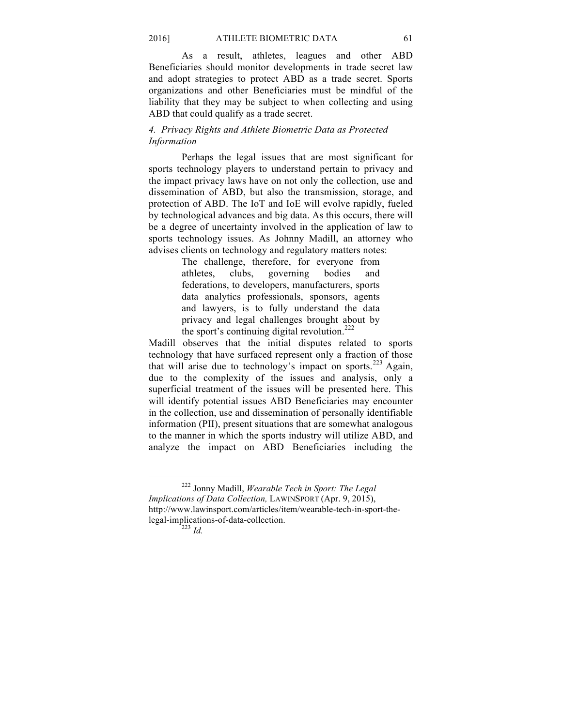As a result, athletes, leagues and other ABD Beneficiaries should monitor developments in trade secret law and adopt strategies to protect ABD as a trade secret. Sports organizations and other Beneficiaries must be mindful of the liability that they may be subject to when collecting and using ABD that could qualify as a trade secret.

# *4. Privacy Rights and Athlete Biometric Data as Protected Information*

Perhaps the legal issues that are most significant for sports technology players to understand pertain to privacy and the impact privacy laws have on not only the collection, use and dissemination of ABD, but also the transmission, storage, and protection of ABD. The IoT and IoE will evolve rapidly, fueled by technological advances and big data. As this occurs, there will be a degree of uncertainty involved in the application of law to sports technology issues. As Johnny Madill, an attorney who advises clients on technology and regulatory matters notes:

> The challenge, therefore, for everyone from athletes, clubs, governing bodies and federations, to developers, manufacturers, sports data analytics professionals, sponsors, agents and lawyers, is to fully understand the data privacy and legal challenges brought about by the sport's continuing digital revolution.<sup>222</sup>

Madill observes that the initial disputes related to sports technology that have surfaced represent only a fraction of those that will arise due to technology's impact on sports.<sup>223</sup> Again, due to the complexity of the issues and analysis, only a superficial treatment of the issues will be presented here. This will identify potential issues ABD Beneficiaries may encounter in the collection, use and dissemination of personally identifiable information (PII), present situations that are somewhat analogous to the manner in which the sports industry will utilize ABD, and analyze the impact on ABD Beneficiaries including the

<sup>222</sup> Jonny Madill, *Wearable Tech in Sport: The Legal Implications of Data Collection,* LAWINSPORT (Apr. 9, 2015), http://www.lawinsport.com/articles/item/wearable-tech-in-sport-thelegal-implications-of-data-collection. <sup>223</sup> *Id.*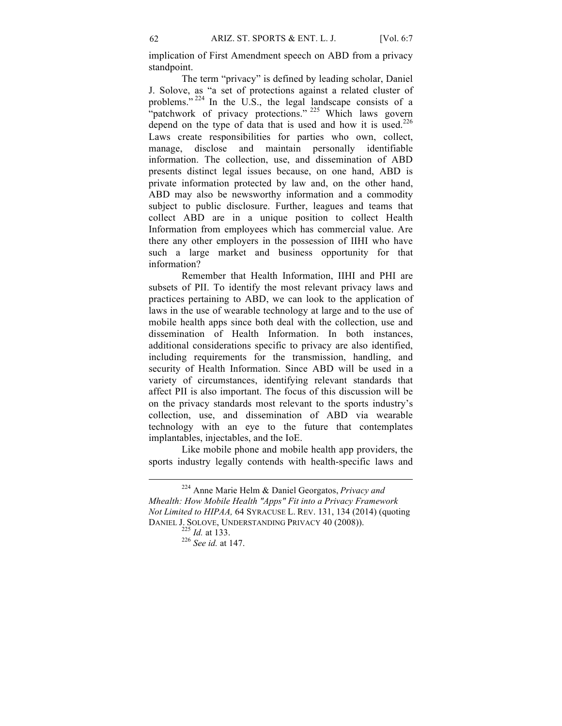implication of First Amendment speech on ABD from a privacy standpoint.

The term "privacy" is defined by leading scholar, Daniel J. Solove, as "a set of protections against a related cluster of problems."  $224$  In the U.S., the legal landscape consists of a "patchwork of privacy protections."  $225$  Which laws govern depend on the type of data that is used and how it is used.<sup>226</sup> Laws create responsibilities for parties who own, collect, manage, disclose and maintain personally identifiable information. The collection, use, and dissemination of ABD presents distinct legal issues because, on one hand, ABD is private information protected by law and, on the other hand, ABD may also be newsworthy information and a commodity subject to public disclosure. Further, leagues and teams that collect ABD are in a unique position to collect Health Information from employees which has commercial value. Are there any other employers in the possession of IIHI who have such a large market and business opportunity for that information?

Remember that Health Information, IIHI and PHI are subsets of PII. To identify the most relevant privacy laws and practices pertaining to ABD, we can look to the application of laws in the use of wearable technology at large and to the use of mobile health apps since both deal with the collection, use and dissemination of Health Information. In both instances, additional considerations specific to privacy are also identified, including requirements for the transmission, handling, and security of Health Information. Since ABD will be used in a variety of circumstances, identifying relevant standards that affect PII is also important. The focus of this discussion will be on the privacy standards most relevant to the sports industry's collection, use, and dissemination of ABD via wearable technology with an eye to the future that contemplates implantables, injectables, and the IoE.

Like mobile phone and mobile health app providers, the sports industry legally contends with health-specific laws and

<sup>224</sup> Anne Marie Helm & Daniel Georgatos, *Privacy and Mhealth: How Mobile Health "Apps" Fit into a Privacy Framework Not Limited to HIPAA,* 64 SYRACUSE L. REV. 131, 134 (2014) (quoting DANIEL J. SOLOVE, UNDERSTANDING PRIVACY 40 (2008)). <sup>225</sup> *Id.* at 133. <sup>226</sup> *See id.* at 147.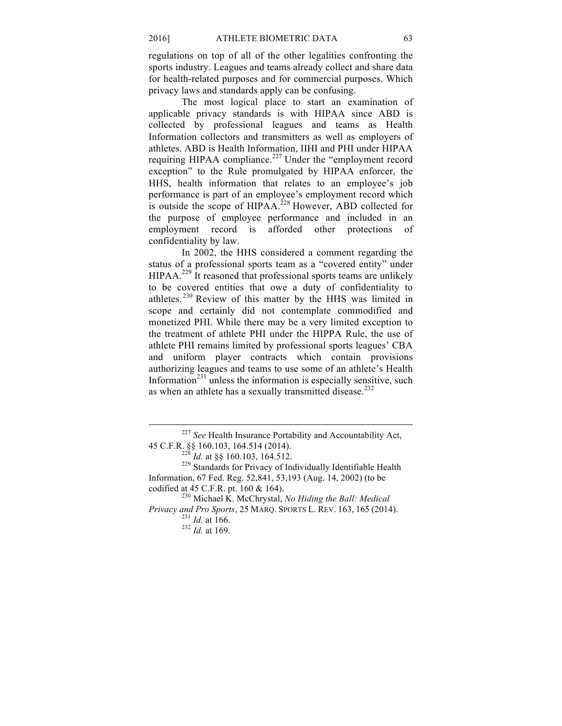regulations on top of all of the other legalities confronting the sports industry. Leagues and teams already collect and share data for health-related purposes and for commercial purposes. Which privacy laws and standards apply can be confusing.

The most logical place to start an examination of applicable privacy standards is with HIPAA since ABD is collected by professional leagues and teams as Health Information collectors and transmitters as well as employers of athletes. ABD is Health Information, IIHI and PHI under HIPAA requiring HIPAA compliance.<sup>227</sup> Under the "employment record exception" to the Rule promulgated by HIPAA enforcer, the HHS, health information that relates to an employee's job performance is part of an employee's employment record which is outside the scope of HIPAA.<sup>228</sup> However, ABD collected for the purpose of employee performance and included in an employment record is afforded other protections confidentiality by law.

In 2002, the HHS considered a comment regarding the status of a professional sports team as a "covered entity" under  $HIPAA<sup>229</sup>$  It reasoned that professional sports teams are unlikely to be covered entities that owe a duty of confidentiality to athletes. <sup>230</sup> Review of this matter by the HHS was limited in scope and certainly did not contemplate commodified and monetized PHI. While there may be a very limited exception to the treatment of athlete PHI under the HIPPA Rule, the use of athlete PHI remains limited by professional sports leagues' CBA and uniform player contracts which contain provisions authorizing leagues and teams to use some of an athlete's Health Information<sup>231</sup> unless the information is especially sensitive, such as when an athlete has a sexually transmitted disease.<sup>232</sup>

<sup>&</sup>lt;sup>227</sup> *See* Health Insurance Portability and Accountability Act, 45 C.F.R. §§ 160.103, 164.514 (2014).

<sup>&</sup>lt;sup>228</sup> *Id.* at §§ 160.103, 164.512.<br><sup>229</sup> Standards for Privacy of Individually Identifiable Health Information, 67 Fed. Reg. 52,841, 53,193 (Aug. 14, 2002) (to be codified at 45 C.F.R. pt. 160 & 164). <sup>230</sup> Michael K. McChrystal, *No Hiding the Ball: Medical* 

*Privacy and Pro Sports*, 25 MARQ. SPORTS L. REV. 163, 165 (2014).<br><sup>231</sup> *Id.* at 166.<br><sup>232</sup> *Id.* at 169.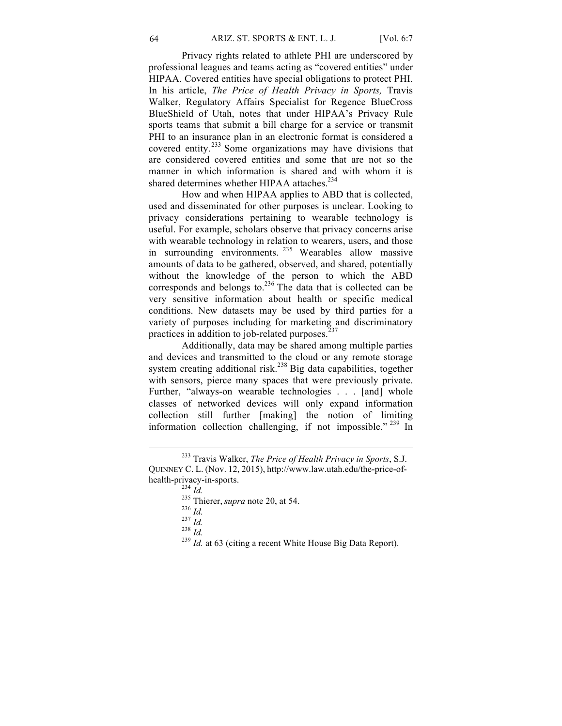Privacy rights related to athlete PHI are underscored by professional leagues and teams acting as "covered entities" under HIPAA. Covered entities have special obligations to protect PHI. In his article, *The Price of Health Privacy in Sports,* Travis Walker, Regulatory Affairs Specialist for Regence BlueCross BlueShield of Utah, notes that under HIPAA's Privacy Rule sports teams that submit a bill charge for a service or transmit PHI to an insurance plan in an electronic format is considered a covered entity.<sup>233</sup> Some organizations may have divisions that are considered covered entities and some that are not so the manner in which information is shared and with whom it is shared determines whether HIPAA attaches.<sup>234</sup>

How and when HIPAA applies to ABD that is collected, used and disseminated for other purposes is unclear. Looking to privacy considerations pertaining to wearable technology is useful. For example, scholars observe that privacy concerns arise with wearable technology in relation to wearers, users, and those in surrounding environments. <sup>235</sup> Wearables allow massive amounts of data to be gathered, observed, and shared, potentially without the knowledge of the person to which the ABD corresponds and belongs to.<sup>236</sup> The data that is collected can be very sensitive information about health or specific medical conditions. New datasets may be used by third parties for a variety of purposes including for marketing and discriminatory practices in addition to job-related purposes.<sup>237</sup>

Additionally, data may be shared among multiple parties and devices and transmitted to the cloud or any remote storage system creating additional risk.<sup>238</sup> Big data capabilities, together with sensors, pierce many spaces that were previously private. Further, "always-on wearable technologies . . . [and] whole classes of networked devices will only expand information collection still further [making] the notion of limiting information collection challenging, if not impossible."  $239$  In

- 
- 

<sup>233</sup> Travis Walker, *The Price of Health Privacy in Sports*, S.J. QUINNEY C. L. (Nov. 12, 2015), http://www.law.utah.edu/the-price-ofhealth-privacy-in-sports.<br>
<sup>234</sup> *Id.*<br>
<sup>235</sup> Thierer, *supra* note 20, at 54.<br>
<sup>236</sup> *Id.*<br>
<sup>237</sup> *Id.*<br>
<sup>238</sup> *Id.*<br>
<sup>239</sup> *Id.* at 63 (citing a recent White House Big Data Report).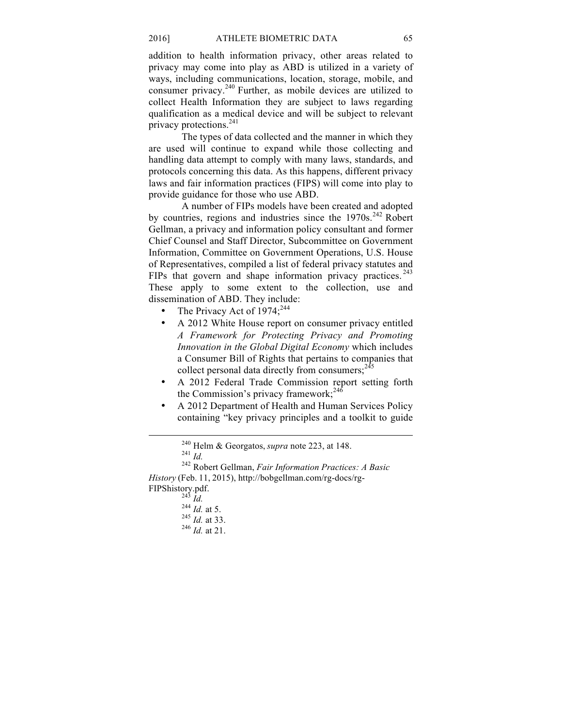addition to health information privacy, other areas related to privacy may come into play as ABD is utilized in a variety of ways, including communications, location, storage, mobile, and consumer privacy.<sup>240</sup> Further, as mobile devices are utilized to collect Health Information they are subject to laws regarding qualification as a medical device and will be subject to relevant privacy protections.<sup>241</sup>

The types of data collected and the manner in which they are used will continue to expand while those collecting and handling data attempt to comply with many laws, standards, and protocols concerning this data. As this happens, different privacy laws and fair information practices (FIPS) will come into play to provide guidance for those who use ABD.

A number of FIPs models have been created and adopted by countries, regions and industries since the  $1970s$ <sup>242</sup> Robert Gellman, a privacy and information policy consultant and former Chief Counsel and Staff Director, Subcommittee on Government Information, Committee on Government Operations, U.S. House of Representatives, compiled a list of federal privacy statutes and FIPs that govern and shape information privacy practices.<sup>243</sup> These apply to some extent to the collection, use and dissemination of ABD. They include:

- The Privacy Act of  $1974$ ;<sup>244</sup>
- A 2012 White House report on consumer privacy entitled *A Framework for Protecting Privacy and Promoting Innovation in the Global Digital Economy* which includes a Consumer Bill of Rights that pertains to companies that collect personal data directly from consumers; $245$
- A 2012 Federal Trade Commission report setting forth the Commission's privacy framework;  $246$
- A 2012 Department of Health and Human Services Policy containing "key privacy principles and a toolkit to guide

*History* (Feb. 11, 2015), http://bobgellman.com/rg-docs/rg-

FIPShistory.pdf. 243 *Id.* <sup>244</sup> *Id.* at 5. <sup>245</sup> *Id.* at 33. <sup>246</sup> *Id.* at 21.

<sup>240</sup> Helm & Georgatos, *supra* note 223, at 148. <sup>241</sup> *Id.* <sup>242</sup> Robert Gellman, *Fair Information Practices: A Basic*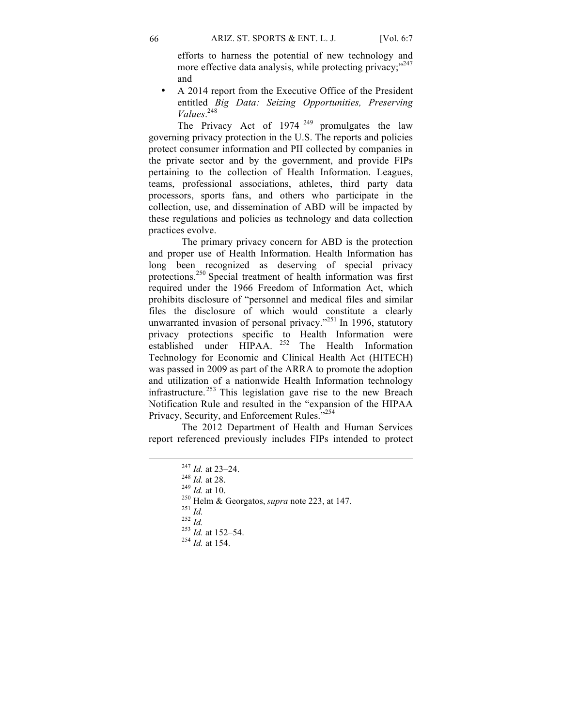efforts to harness the potential of new technology and more effective data analysis, while protecting privacy: $v^{247}$ and

• A 2014 report from the Executive Office of the President entitled *Big Data: Seizing Opportunities, Preserving Values*. 248

The Privacy Act of  $1974^{249}$  promulgates the law governing privacy protection in the U.S. The reports and policies protect consumer information and PII collected by companies in the private sector and by the government, and provide FIPs pertaining to the collection of Health Information. Leagues, teams, professional associations, athletes, third party data processors, sports fans, and others who participate in the collection, use, and dissemination of ABD will be impacted by these regulations and policies as technology and data collection practices evolve.

The primary privacy concern for ABD is the protection and proper use of Health Information. Health Information has long been recognized as deserving of special privacy protections.<sup>250</sup> Special treatment of health information was first required under the 1966 Freedom of Information Act, which prohibits disclosure of "personnel and medical files and similar files the disclosure of which would constitute a clearly unwarranted invasion of personal privacy. $251$  In 1996, statutory privacy protections specific to Health Information were established under HIPAA.<sup>252</sup> The Health Information Technology for Economic and Clinical Health Act (HITECH) was passed in 2009 as part of the ARRA to promote the adoption and utilization of a nationwide Health Information technology infrastructure. <sup>253</sup> This legislation gave rise to the new Breach Notification Rule and resulted in the "expansion of the HIPAA Privacy, Security, and Enforcement Rules."<sup>254</sup>

The 2012 Department of Health and Human Services report referenced previously includes FIPs intended to protect

<sup>&</sup>lt;sup>247</sup> *Id.* at 23–24.<br><sup>248</sup> *Id.* at 28.<br><sup>249</sup> *Id.* at 10.<br><sup>250</sup> Helm & Georgatos, *supra* note 223, at 147.<br><sup>251</sup> *Id.*<br><sup>252</sup> *Id.* at 152–54.<br><sup>254</sup> *Id.* at 154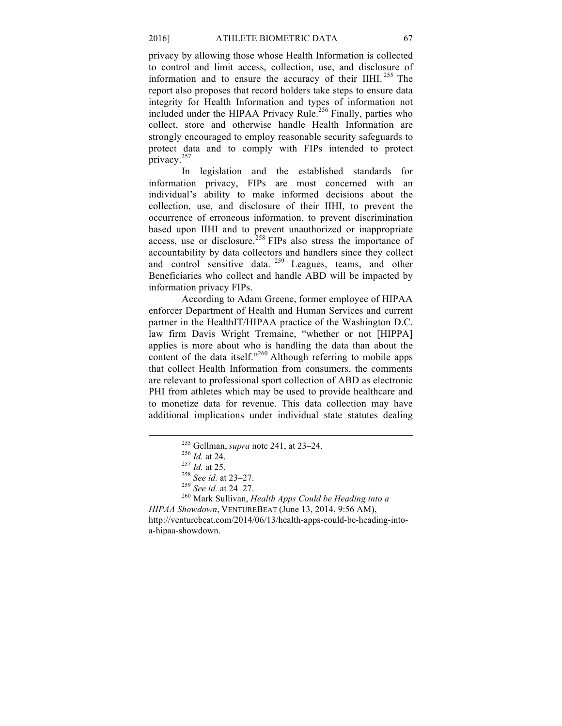privacy by allowing those whose Health Information is collected to control and limit access, collection, use, and disclosure of information and to ensure the accuracy of their IIHI.  $^{255}$  The report also proposes that record holders take steps to ensure data integrity for Health Information and types of information not included under the HIPAA Privacy Rule.<sup>256</sup> Finally, parties who collect, store and otherwise handle Health Information are strongly encouraged to employ reasonable security safeguards to protect data and to comply with FIPs intended to protect privacy.<sup>257</sup>

In legislation and the established standards for information privacy, FIPs are most concerned with an individual's ability to make informed decisions about the collection, use, and disclosure of their IIHI, to prevent the occurrence of erroneous information, to prevent discrimination based upon IIHI and to prevent unauthorized or inappropriate access, use or disclosure.<sup>258</sup> FIPs also stress the importance of accountability by data collectors and handlers since they collect and control sensitive data. <sup>259</sup> Leagues, teams, and other Beneficiaries who collect and handle ABD will be impacted by information privacy FIPs.

According to Adam Greene, former employee of HIPAA enforcer Department of Health and Human Services and current partner in the HealthIT/HIPAA practice of the Washington D.C. law firm Davis Wright Tremaine, "whether or not [HIPPA] applies is more about who is handling the data than about the content of the data itself."<sup>260</sup> Although referring to mobile apps that collect Health Information from consumers, the comments are relevant to professional sport collection of ABD as electronic PHI from athletes which may be used to provide healthcare and to monetize data for revenue. This data collection may have additional implications under individual state statutes dealing

<sup>255</sup> Gellman, *supra* note 241, at 23–24.<br><sup>256</sup> *Id.* at 24.<br><sup>257</sup> *Id.* at 25.<br><sup>258</sup> *See id.* at 23–27.<br><sup>259</sup> *See id.* at 24–27.<br><sup>260</sup> Mark Sullivan, *Health Apps Could be Heading into a HIPAA Showdown*, VENTUREBEAT (June 13, 2014, 9:56 AM), http://venturebeat.com/2014/06/13/health-apps-could-be-heading-intoa-hipaa-showdown.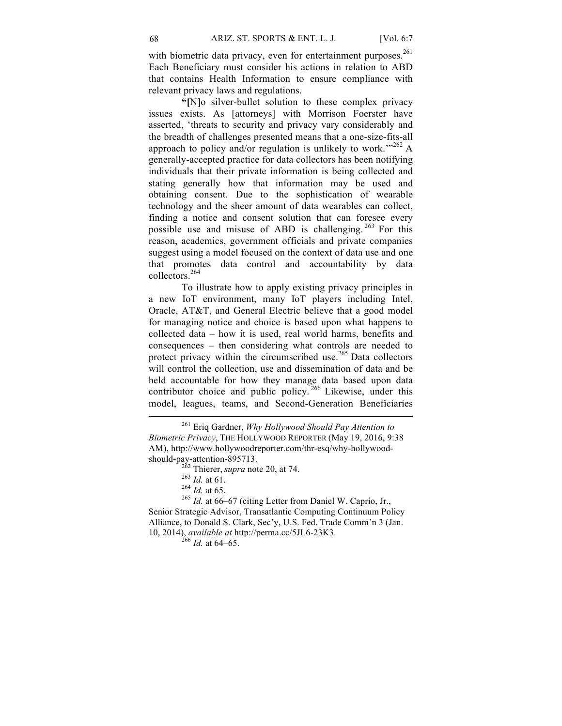with biometric data privacy, even for entertainment purposes.<sup>261</sup> Each Beneficiary must consider his actions in relation to ABD that contains Health Information to ensure compliance with relevant privacy laws and regulations.

**"[**N]o silver-bullet solution to these complex privacy issues exists. As [attorneys] with Morrison Foerster have asserted, 'threats to security and privacy vary considerably and the breadth of challenges presented means that a one-size-fits-all approach to policy and/or regulation is unlikely to work.<sup>"262</sup> A generally-accepted practice for data collectors has been notifying individuals that their private information is being collected and stating generally how that information may be used and obtaining consent. Due to the sophistication of wearable technology and the sheer amount of data wearables can collect, finding a notice and consent solution that can foresee every possible use and misuse of ABD is challenging. <sup>263</sup> For this reason, academics, government officials and private companies suggest using a model focused on the context of data use and one that promotes data control and accountability by data collectors.264

To illustrate how to apply existing privacy principles in a new IoT environment, many IoT players including Intel, Oracle, AT&T, and General Electric believe that a good model for managing notice and choice is based upon what happens to collected data – how it is used, real world harms, benefits and consequences – then considering what controls are needed to protect privacy within the circumscribed use.<sup>265</sup> Data collectors will control the collection, use and dissemination of data and be held accountable for how they manage data based upon data contributor choice and public policy.<sup>266</sup> Likewise, under this model, leagues, teams, and Second-Generation Beneficiaries

Senior Strategic Advisor, Transatlantic Computing Continuum Policy Alliance, to Donald S. Clark, Sec'y, U.S. Fed. Trade Comm'n 3 (Jan. 10, 2014), *available at* http://perma.cc/5JL6-23K3. <sup>266</sup> *Id.* at 64–65.

<sup>261</sup> Eriq Gardner, *Why Hollywood Should Pay Attention to Biometric Privacy*, THE HOLLYWOOD REPORTER (May 19, 2016, 9:38 AM), http://www.hollywoodreporter.com/thr-esq/why-hollywoodshould-pay-attention-895713.<br><sup>262</sup> Thierer, *supra* note 20, at 74.<br><sup>263</sup> *Id.* at 61.<br><sup>264</sup> *Id.* at 65.<br><sup>265</sup> *Id.* at 66–67 (citing Letter from Daniel W. Caprio, Jr.,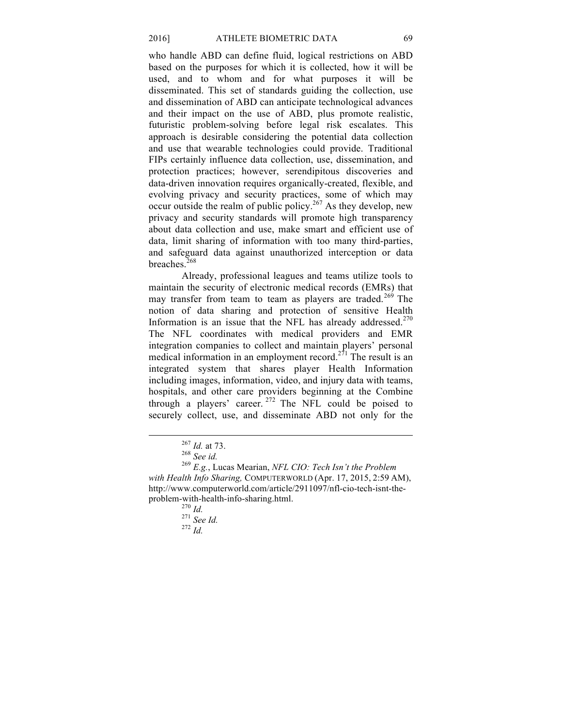who handle ABD can define fluid, logical restrictions on ABD based on the purposes for which it is collected, how it will be used, and to whom and for what purposes it will be disseminated. This set of standards guiding the collection, use and dissemination of ABD can anticipate technological advances and their impact on the use of ABD, plus promote realistic, futuristic problem-solving before legal risk escalates. This approach is desirable considering the potential data collection and use that wearable technologies could provide. Traditional FIPs certainly influence data collection, use, dissemination, and protection practices; however, serendipitous discoveries and data-driven innovation requires organically-created, flexible, and evolving privacy and security practices, some of which may occur outside the realm of public policy.<sup>267</sup> As they develop, new privacy and security standards will promote high transparency about data collection and use, make smart and efficient use of data, limit sharing of information with too many third-parties, and safeguard data against unauthorized interception or data breaches.<sup>268</sup>

Already, professional leagues and teams utilize tools to maintain the security of electronic medical records (EMRs) that may transfer from team to team as players are traded.<sup>269</sup> The notion of data sharing and protection of sensitive Health Information is an issue that the NFL has already addressed. $270$ The NFL coordinates with medical providers and EMR integration companies to collect and maintain players' personal medical information in an employment record.<sup>271</sup> The result is an integrated system that shares player Health Information including images, information, video, and injury data with teams, hospitals, and other care providers beginning at the Combine through a players' career.  $272$  The NFL could be poised to securely collect, use, and disseminate ABD not only for the

<sup>267</sup> *Id.* at 73. <sup>268</sup> *See id.* <sup>269</sup> *E.g.*, Lucas Mearian, *NFL CIO: Tech Isn't the Problem with Health Info Sharing,* COMPUTERWORLD (Apr. 17, 2015, 2:59 AM), http://www.computerworld.com/article/2911097/nfl-cio-tech-isnt-theproblem-with-health-info-sharing.html.<br><sup>270</sup> *Id.* <sup>271</sup> *See Id.* <sup>271</sup> *Id.* <sup>272</sup> *Id.*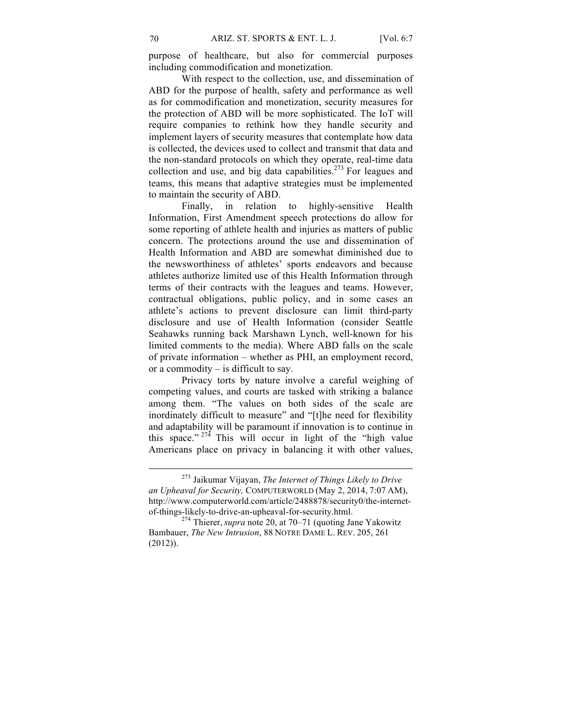purpose of healthcare, but also for commercial purposes including commodification and monetization.

With respect to the collection, use, and dissemination of ABD for the purpose of health, safety and performance as well as for commodification and monetization, security measures for the protection of ABD will be more sophisticated. The IoT will require companies to rethink how they handle security and implement layers of security measures that contemplate how data is collected, the devices used to collect and transmit that data and the non-standard protocols on which they operate, real-time data collection and use, and big data capabilities.<sup>273</sup> For leagues and teams, this means that adaptive strategies must be implemented to maintain the security of ABD.

Finally, in relation to highly-sensitive Health Information, First Amendment speech protections do allow for some reporting of athlete health and injuries as matters of public concern. The protections around the use and dissemination of Health Information and ABD are somewhat diminished due to the newsworthiness of athletes' sports endeavors and because athletes authorize limited use of this Health Information through terms of their contracts with the leagues and teams. However, contractual obligations, public policy, and in some cases an athlete's actions to prevent disclosure can limit third-party disclosure and use of Health Information (consider Seattle Seahawks running back Marshawn Lynch, well-known for his limited comments to the media). Where ABD falls on the scale of private information – whether as PHI, an employment record, or a commodity – is difficult to say.

Privacy torts by nature involve a careful weighing of competing values, and courts are tasked with striking a balance among them. "The values on both sides of the scale are inordinately difficult to measure" and "[t]he need for flexibility and adaptability will be paramount if innovation is to continue in this space."<sup>274</sup> This will occur in light of the "high value Americans place on privacy in balancing it with other values,

<sup>273</sup> Jaikumar Vijayan, *The Internet of Things Likely to Drive an Upheaval for Security,* COMPUTERWORLD (May 2, 2014, 7:07 AM), http://www.computerworld.com/article/2488878/security0/the-internetof-things-likely-to-drive-an-upheaval-for-security.html. <sup>274</sup> Thierer, *supra* note 20, at 70–71 (quoting Jane Yakowitz

Bambauer, *The New Intrusion*, 88 NOTRE DAME L. REV. 205, 261 (2012)).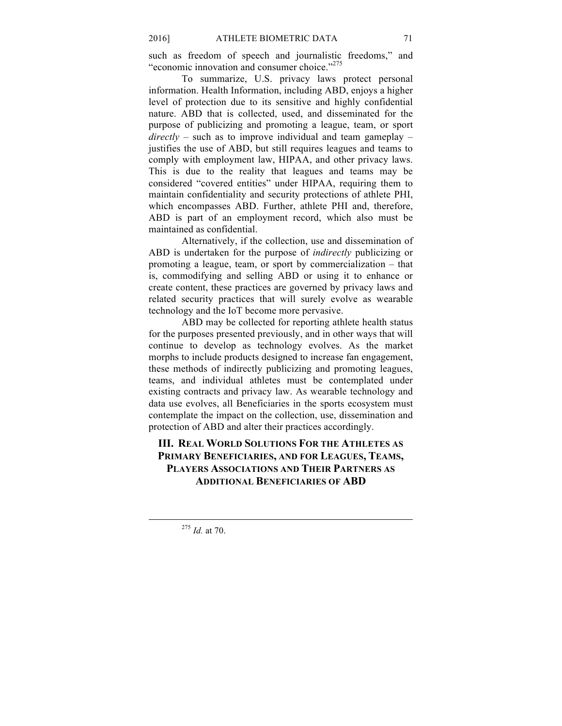such as freedom of speech and journalistic freedoms," and "economic innovation and consumer choice."<sup>275</sup>

To summarize, U.S. privacy laws protect personal information. Health Information, including ABD, enjoys a higher level of protection due to its sensitive and highly confidential nature. ABD that is collected, used, and disseminated for the purpose of publicizing and promoting a league, team, or sport *directly* – such as to improve individual and team gameplay – justifies the use of ABD, but still requires leagues and teams to comply with employment law, HIPAA, and other privacy laws. This is due to the reality that leagues and teams may be considered "covered entities" under HIPAA, requiring them to maintain confidentiality and security protections of athlete PHI, which encompasses ABD. Further, athlete PHI and, therefore, ABD is part of an employment record, which also must be maintained as confidential.

Alternatively, if the collection, use and dissemination of ABD is undertaken for the purpose of *indirectly* publicizing or promoting a league, team, or sport by commercialization – that is, commodifying and selling ABD or using it to enhance or create content, these practices are governed by privacy laws and related security practices that will surely evolve as wearable technology and the IoT become more pervasive.

ABD may be collected for reporting athlete health status for the purposes presented previously, and in other ways that will continue to develop as technology evolves. As the market morphs to include products designed to increase fan engagement, these methods of indirectly publicizing and promoting leagues, teams, and individual athletes must be contemplated under existing contracts and privacy law. As wearable technology and data use evolves, all Beneficiaries in the sports ecosystem must contemplate the impact on the collection, use, dissemination and protection of ABD and alter their practices accordingly.

# **III. REAL WORLD SOLUTIONS FOR THE ATHLETES AS PRIMARY BENEFICIARIES, AND FOR LEAGUES, TEAMS, PLAYERS ASSOCIATIONS AND THEIR PARTNERS AS ADDITIONAL BENEFICIARIES OF ABD**

<sup>275</sup> *Id.* at 70.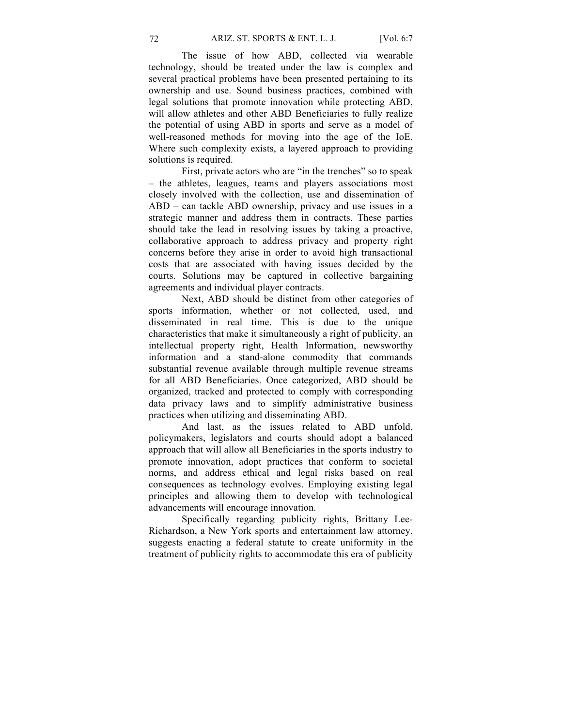The issue of how ABD, collected via wearable technology, should be treated under the law is complex and several practical problems have been presented pertaining to its ownership and use. Sound business practices, combined with legal solutions that promote innovation while protecting ABD, will allow athletes and other ABD Beneficiaries to fully realize the potential of using ABD in sports and serve as a model of well-reasoned methods for moving into the age of the IoE. Where such complexity exists, a layered approach to providing solutions is required.

First, private actors who are "in the trenches" so to speak – the athletes, leagues, teams and players associations most closely involved with the collection, use and dissemination of ABD – can tackle ABD ownership, privacy and use issues in a strategic manner and address them in contracts. These parties should take the lead in resolving issues by taking a proactive, collaborative approach to address privacy and property right concerns before they arise in order to avoid high transactional costs that are associated with having issues decided by the courts. Solutions may be captured in collective bargaining agreements and individual player contracts.

Next, ABD should be distinct from other categories of sports information, whether or not collected, used, and disseminated in real time. This is due to the unique characteristics that make it simultaneously a right of publicity, an intellectual property right, Health Information, newsworthy information and a stand-alone commodity that commands substantial revenue available through multiple revenue streams for all ABD Beneficiaries. Once categorized, ABD should be organized, tracked and protected to comply with corresponding data privacy laws and to simplify administrative business practices when utilizing and disseminating ABD.

And last, as the issues related to ABD unfold, policymakers, legislators and courts should adopt a balanced approach that will allow all Beneficiaries in the sports industry to promote innovation, adopt practices that conform to societal norms, and address ethical and legal risks based on real consequences as technology evolves. Employing existing legal principles and allowing them to develop with technological advancements will encourage innovation.

Specifically regarding publicity rights, Brittany Lee-Richardson, a New York sports and entertainment law attorney, suggests enacting a federal statute to create uniformity in the treatment of publicity rights to accommodate this era of publicity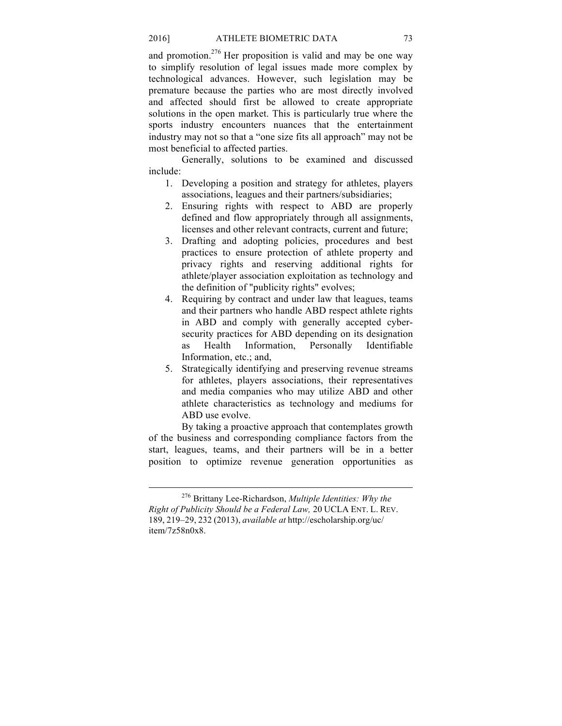and promotion.<sup>276</sup> Her proposition is valid and may be one way to simplify resolution of legal issues made more complex by technological advances. However, such legislation may be premature because the parties who are most directly involved and affected should first be allowed to create appropriate solutions in the open market. This is particularly true where the sports industry encounters nuances that the entertainment industry may not so that a "one size fits all approach" may not be most beneficial to affected parties.

Generally, solutions to be examined and discussed include:

- 1. Developing a position and strategy for athletes, players associations, leagues and their partners/subsidiaries;
- 2. Ensuring rights with respect to ABD are properly defined and flow appropriately through all assignments, licenses and other relevant contracts, current and future;
- 3. Drafting and adopting policies, procedures and best practices to ensure protection of athlete property and privacy rights and reserving additional rights for athlete/player association exploitation as technology and the definition of "publicity rights" evolves;
- 4. Requiring by contract and under law that leagues, teams and their partners who handle ABD respect athlete rights in ABD and comply with generally accepted cybersecurity practices for ABD depending on its designation as Health Information, Personally Identifiable Information, etc.; and,
- 5. Strategically identifying and preserving revenue streams for athletes, players associations, their representatives and media companies who may utilize ABD and other athlete characteristics as technology and mediums for ABD use evolve.

By taking a proactive approach that contemplates growth of the business and corresponding compliance factors from the start, leagues, teams, and their partners will be in a better position to optimize revenue generation opportunities as

<sup>276</sup> Brittany Lee-Richardson, *Multiple Identities: Why the Right of Publicity Should be a Federal Law,* 20 UCLA ENT. L. REV. 189, 219–29, 232 (2013), *available at* http://escholarship.org/uc/ item/7z58n0x8.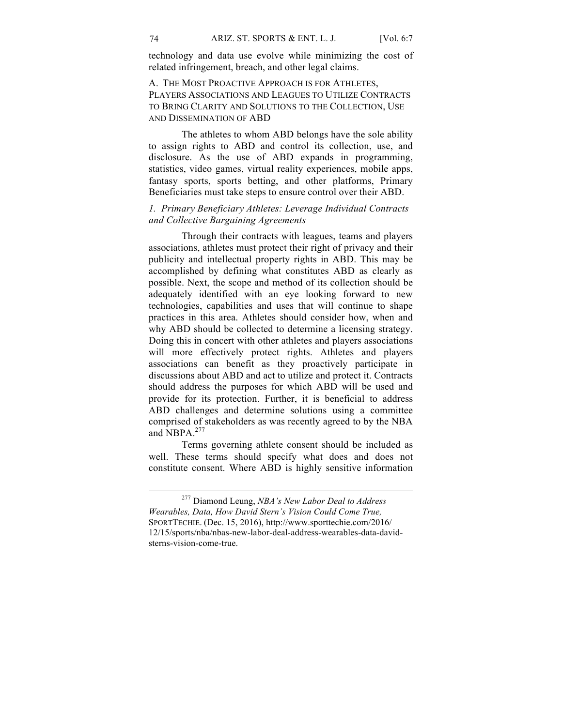technology and data use evolve while minimizing the cost of related infringement, breach, and other legal claims.

A. THE MOST PROACTIVE APPROACH IS FOR ATHLETES, PLAYERS ASSOCIATIONS AND LEAGUES TO UTILIZE CONTRACTS TO BRING CLARITY AND SOLUTIONS TO THE COLLECTION, USE AND DISSEMINATION OF ABD

The athletes to whom ABD belongs have the sole ability to assign rights to ABD and control its collection, use, and disclosure. As the use of ABD expands in programming, statistics, video games, virtual reality experiences, mobile apps, fantasy sports, sports betting, and other platforms, Primary Beneficiaries must take steps to ensure control over their ABD.

# *1. Primary Beneficiary Athletes: Leverage Individual Contracts and Collective Bargaining Agreements*

Through their contracts with leagues, teams and players associations, athletes must protect their right of privacy and their publicity and intellectual property rights in ABD. This may be accomplished by defining what constitutes ABD as clearly as possible. Next, the scope and method of its collection should be adequately identified with an eye looking forward to new technologies, capabilities and uses that will continue to shape practices in this area. Athletes should consider how, when and why ABD should be collected to determine a licensing strategy. Doing this in concert with other athletes and players associations will more effectively protect rights. Athletes and players associations can benefit as they proactively participate in discussions about ABD and act to utilize and protect it. Contracts should address the purposes for which ABD will be used and provide for its protection. Further, it is beneficial to address ABD challenges and determine solutions using a committee comprised of stakeholders as was recently agreed to by the NBA and NBPA.<sup>277</sup>

Terms governing athlete consent should be included as well. These terms should specify what does and does not constitute consent. Where ABD is highly sensitive information

<sup>277</sup> Diamond Leung, *NBA's New Labor Deal to Address Wearables, Data, How David Stern's Vision Could Come True,* SPORTTECHIE. (Dec. 15, 2016), http://www.sporttechie.com/2016/ 12/15/sports/nba/nbas-new-labor-deal-address-wearables-data-davidsterns-vision-come-true.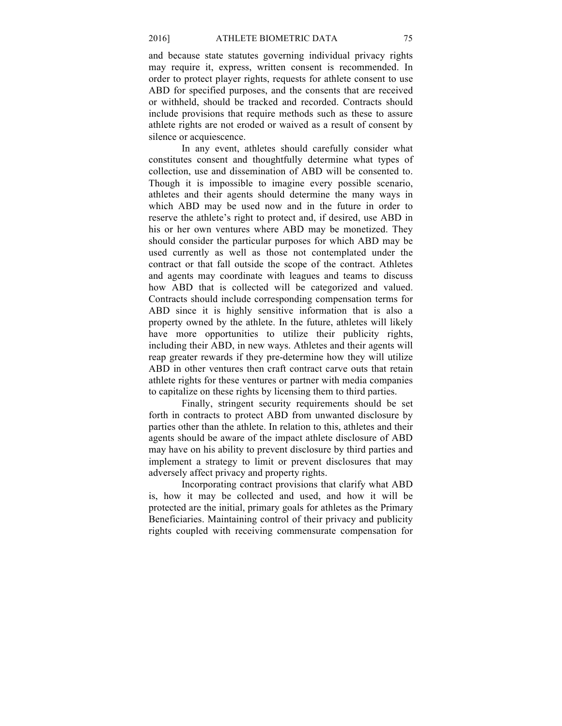and because state statutes governing individual privacy rights may require it, express, written consent is recommended. In order to protect player rights, requests for athlete consent to use ABD for specified purposes, and the consents that are received or withheld, should be tracked and recorded. Contracts should include provisions that require methods such as these to assure athlete rights are not eroded or waived as a result of consent by silence or acquiescence.

In any event, athletes should carefully consider what constitutes consent and thoughtfully determine what types of collection, use and dissemination of ABD will be consented to. Though it is impossible to imagine every possible scenario, athletes and their agents should determine the many ways in which ABD may be used now and in the future in order to reserve the athlete's right to protect and, if desired, use ABD in his or her own ventures where ABD may be monetized. They should consider the particular purposes for which ABD may be used currently as well as those not contemplated under the contract or that fall outside the scope of the contract. Athletes and agents may coordinate with leagues and teams to discuss how ABD that is collected will be categorized and valued. Contracts should include corresponding compensation terms for ABD since it is highly sensitive information that is also a property owned by the athlete. In the future, athletes will likely have more opportunities to utilize their publicity rights, including their ABD, in new ways. Athletes and their agents will reap greater rewards if they pre-determine how they will utilize ABD in other ventures then craft contract carve outs that retain athlete rights for these ventures or partner with media companies to capitalize on these rights by licensing them to third parties.

Finally, stringent security requirements should be set forth in contracts to protect ABD from unwanted disclosure by parties other than the athlete. In relation to this, athletes and their agents should be aware of the impact athlete disclosure of ABD may have on his ability to prevent disclosure by third parties and implement a strategy to limit or prevent disclosures that may adversely affect privacy and property rights.

Incorporating contract provisions that clarify what ABD is, how it may be collected and used, and how it will be protected are the initial, primary goals for athletes as the Primary Beneficiaries. Maintaining control of their privacy and publicity rights coupled with receiving commensurate compensation for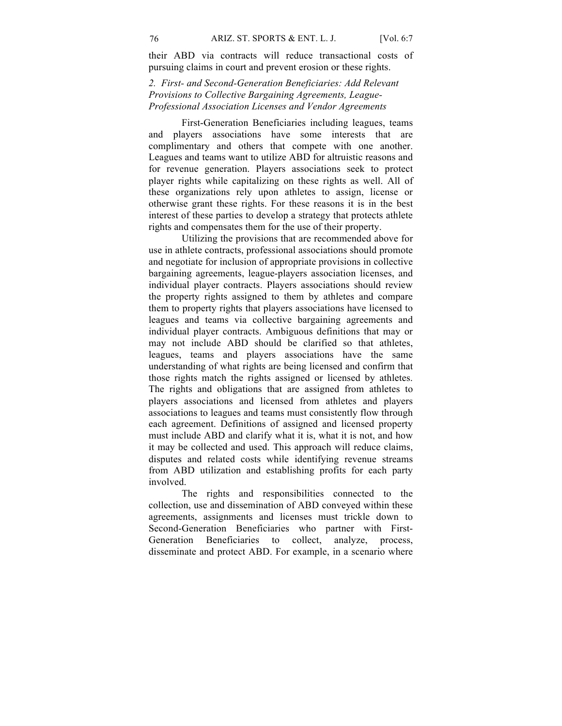their ABD via contracts will reduce transactional costs of pursuing claims in court and prevent erosion or these rights.

# *2. First- and Second-Generation Beneficiaries: Add Relevant Provisions to Collective Bargaining Agreements, League-Professional Association Licenses and Vendor Agreements*

First-Generation Beneficiaries including leagues, teams and players associations have some interests that are complimentary and others that compete with one another. Leagues and teams want to utilize ABD for altruistic reasons and for revenue generation. Players associations seek to protect player rights while capitalizing on these rights as well. All of these organizations rely upon athletes to assign, license or otherwise grant these rights. For these reasons it is in the best interest of these parties to develop a strategy that protects athlete rights and compensates them for the use of their property.

Utilizing the provisions that are recommended above for use in athlete contracts, professional associations should promote and negotiate for inclusion of appropriate provisions in collective bargaining agreements, league-players association licenses, and individual player contracts. Players associations should review the property rights assigned to them by athletes and compare them to property rights that players associations have licensed to leagues and teams via collective bargaining agreements and individual player contracts. Ambiguous definitions that may or may not include ABD should be clarified so that athletes, leagues, teams and players associations have the same understanding of what rights are being licensed and confirm that those rights match the rights assigned or licensed by athletes. The rights and obligations that are assigned from athletes to players associations and licensed from athletes and players associations to leagues and teams must consistently flow through each agreement. Definitions of assigned and licensed property must include ABD and clarify what it is, what it is not, and how it may be collected and used. This approach will reduce claims, disputes and related costs while identifying revenue streams from ABD utilization and establishing profits for each party involved.

The rights and responsibilities connected to the collection, use and dissemination of ABD conveyed within these agreements, assignments and licenses must trickle down to Second-Generation Beneficiaries who partner with First-Generation Beneficiaries to collect, analyze, process, disseminate and protect ABD. For example, in a scenario where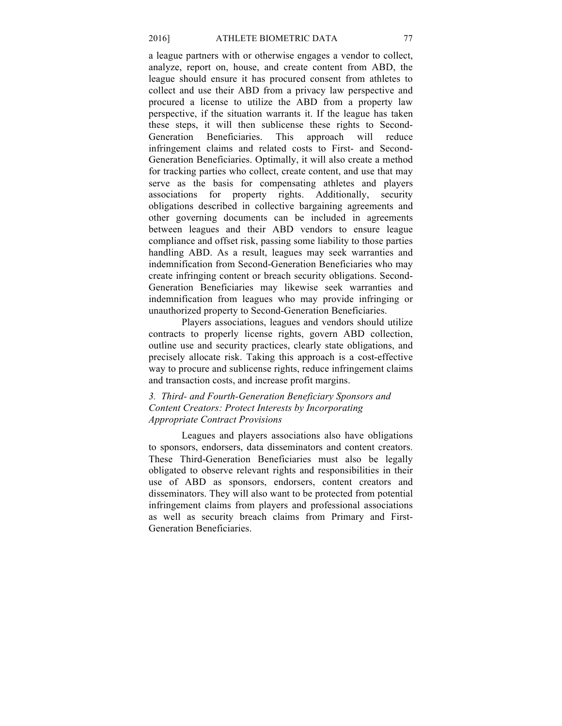a league partners with or otherwise engages a vendor to collect, analyze, report on, house, and create content from ABD, the league should ensure it has procured consent from athletes to collect and use their ABD from a privacy law perspective and procured a license to utilize the ABD from a property law perspective, if the situation warrants it. If the league has taken these steps, it will then sublicense these rights to Second-Generation Beneficiaries. This approach will reduce infringement claims and related costs to First- and Second-Generation Beneficiaries. Optimally, it will also create a method for tracking parties who collect, create content, and use that may serve as the basis for compensating athletes and players associations for property rights. Additionally, security obligations described in collective bargaining agreements and other governing documents can be included in agreements between leagues and their ABD vendors to ensure league compliance and offset risk, passing some liability to those parties handling ABD. As a result, leagues may seek warranties and indemnification from Second-Generation Beneficiaries who may create infringing content or breach security obligations. Second-Generation Beneficiaries may likewise seek warranties and indemnification from leagues who may provide infringing or unauthorized property to Second-Generation Beneficiaries.

Players associations, leagues and vendors should utilize contracts to properly license rights, govern ABD collection, outline use and security practices, clearly state obligations, and precisely allocate risk. Taking this approach is a cost-effective way to procure and sublicense rights, reduce infringement claims and transaction costs, and increase profit margins.

### *3. Third- and Fourth-Generation Beneficiary Sponsors and Content Creators: Protect Interests by Incorporating Appropriate Contract Provisions*

Leagues and players associations also have obligations to sponsors, endorsers, data disseminators and content creators. These Third-Generation Beneficiaries must also be legally obligated to observe relevant rights and responsibilities in their use of ABD as sponsors, endorsers, content creators and disseminators. They will also want to be protected from potential infringement claims from players and professional associations as well as security breach claims from Primary and First-Generation Beneficiaries.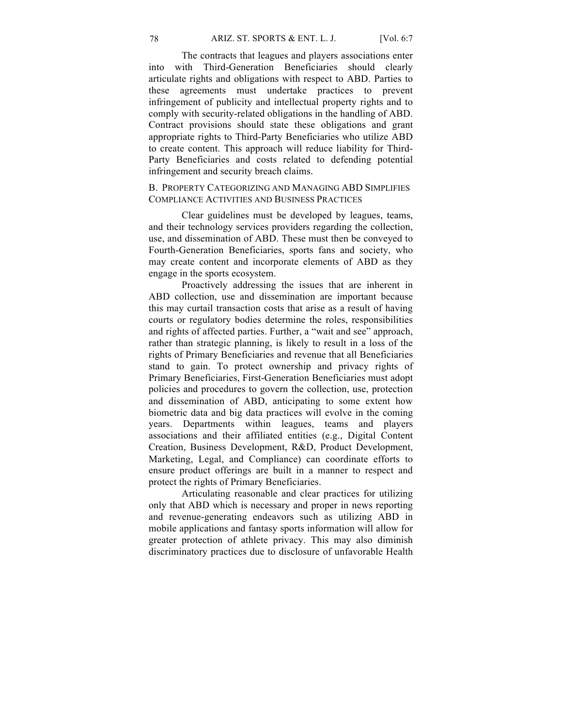The contracts that leagues and players associations enter into with Third-Generation Beneficiaries should clearly articulate rights and obligations with respect to ABD. Parties to these agreements must undertake practices to prevent infringement of publicity and intellectual property rights and to comply with security-related obligations in the handling of ABD. Contract provisions should state these obligations and grant appropriate rights to Third-Party Beneficiaries who utilize ABD to create content. This approach will reduce liability for Third-Party Beneficiaries and costs related to defending potential infringement and security breach claims.

# B. PROPERTY CATEGORIZING AND MANAGING ABD SIMPLIFIES COMPLIANCE ACTIVITIES AND BUSINESS PRACTICES

Clear guidelines must be developed by leagues, teams, and their technology services providers regarding the collection, use, and dissemination of ABD. These must then be conveyed to Fourth-Generation Beneficiaries, sports fans and society, who may create content and incorporate elements of ABD as they engage in the sports ecosystem.

Proactively addressing the issues that are inherent in ABD collection, use and dissemination are important because this may curtail transaction costs that arise as a result of having courts or regulatory bodies determine the roles, responsibilities and rights of affected parties. Further, a "wait and see" approach, rather than strategic planning, is likely to result in a loss of the rights of Primary Beneficiaries and revenue that all Beneficiaries stand to gain. To protect ownership and privacy rights of Primary Beneficiaries, First-Generation Beneficiaries must adopt policies and procedures to govern the collection, use, protection and dissemination of ABD, anticipating to some extent how biometric data and big data practices will evolve in the coming years. Departments within leagues, teams and players associations and their affiliated entities (e.g., Digital Content Creation, Business Development, R&D, Product Development, Marketing, Legal, and Compliance) can coordinate efforts to ensure product offerings are built in a manner to respect and protect the rights of Primary Beneficiaries.

Articulating reasonable and clear practices for utilizing only that ABD which is necessary and proper in news reporting and revenue-generating endeavors such as utilizing ABD in mobile applications and fantasy sports information will allow for greater protection of athlete privacy. This may also diminish discriminatory practices due to disclosure of unfavorable Health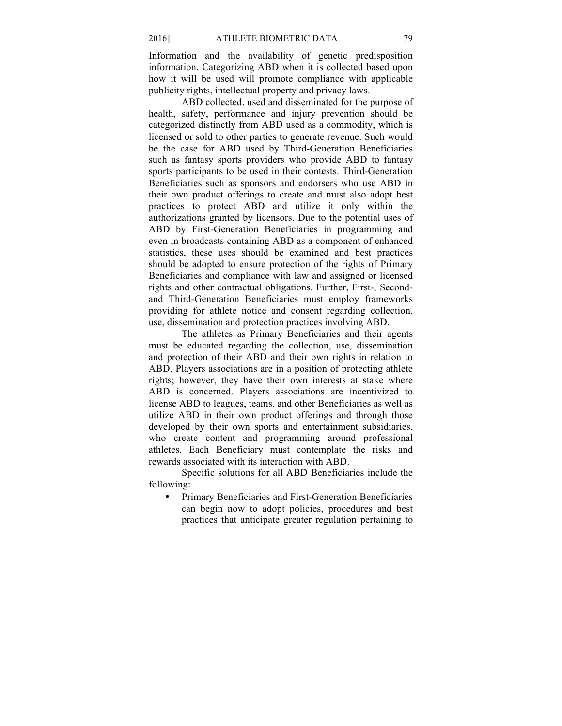Information and the availability of genetic predisposition information. Categorizing ABD when it is collected based upon how it will be used will promote compliance with applicable publicity rights, intellectual property and privacy laws.

ABD collected, used and disseminated for the purpose of health, safety, performance and injury prevention should be categorized distinctly from ABD used as a commodity, which is licensed or sold to other parties to generate revenue. Such would be the case for ABD used by Third-Generation Beneficiaries such as fantasy sports providers who provide ABD to fantasy sports participants to be used in their contests. Third-Generation Beneficiaries such as sponsors and endorsers who use ABD in their own product offerings to create and must also adopt best practices to protect ABD and utilize it only within the authorizations granted by licensors. Due to the potential uses of ABD by First-Generation Beneficiaries in programming and even in broadcasts containing ABD as a component of enhanced statistics, these uses should be examined and best practices should be adopted to ensure protection of the rights of Primary Beneficiaries and compliance with law and assigned or licensed rights and other contractual obligations. Further, First-, Secondand Third-Generation Beneficiaries must employ frameworks providing for athlete notice and consent regarding collection, use, dissemination and protection practices involving ABD.

The athletes as Primary Beneficiaries and their agents must be educated regarding the collection, use, dissemination and protection of their ABD and their own rights in relation to ABD. Players associations are in a position of protecting athlete rights; however, they have their own interests at stake where ABD is concerned. Players associations are incentivized to license ABD to leagues, teams, and other Beneficiaries as well as utilize ABD in their own product offerings and through those developed by their own sports and entertainment subsidiaries, who create content and programming around professional athletes. Each Beneficiary must contemplate the risks and rewards associated with its interaction with ABD.

Specific solutions for all ABD Beneficiaries include the following:

• Primary Beneficiaries and First-Generation Beneficiaries can begin now to adopt policies, procedures and best practices that anticipate greater regulation pertaining to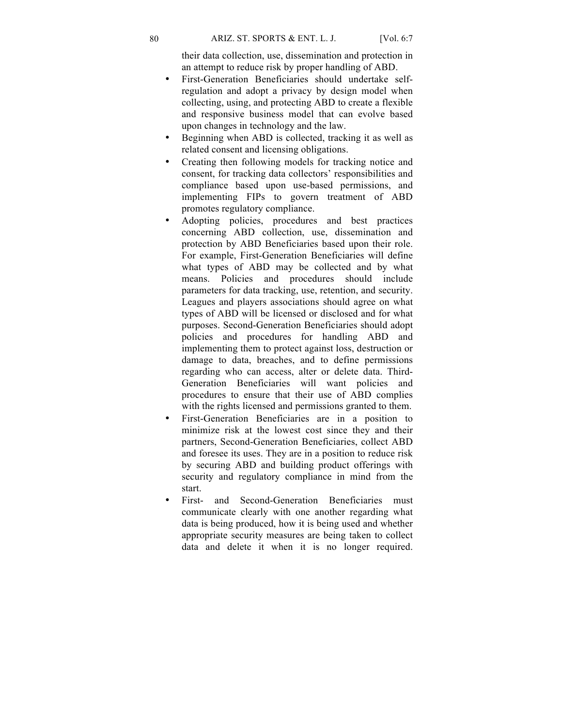their data collection, use, dissemination and protection in an attempt to reduce risk by proper handling of ABD.

- First-Generation Beneficiaries should undertake selfregulation and adopt a privacy by design model when collecting, using, and protecting ABD to create a flexible and responsive business model that can evolve based upon changes in technology and the law.
- Beginning when ABD is collected, tracking it as well as related consent and licensing obligations.
- Creating then following models for tracking notice and consent, for tracking data collectors' responsibilities and compliance based upon use-based permissions, and implementing FIPs to govern treatment of ABD promotes regulatory compliance.
- Adopting policies, procedures and best practices concerning ABD collection, use, dissemination and protection by ABD Beneficiaries based upon their role. For example, First-Generation Beneficiaries will define what types of ABD may be collected and by what means. Policies and procedures should include parameters for data tracking, use, retention, and security. Leagues and players associations should agree on what types of ABD will be licensed or disclosed and for what purposes. Second-Generation Beneficiaries should adopt policies and procedures for handling ABD and implementing them to protect against loss, destruction or damage to data, breaches, and to define permissions regarding who can access, alter or delete data. Third-Generation Beneficiaries will want policies and procedures to ensure that their use of ABD complies with the rights licensed and permissions granted to them.
- First-Generation Beneficiaries are in a position to minimize risk at the lowest cost since they and their partners, Second-Generation Beneficiaries, collect ABD and foresee its uses. They are in a position to reduce risk by securing ABD and building product offerings with security and regulatory compliance in mind from the start.
- First- and Second-Generation Beneficiaries must communicate clearly with one another regarding what data is being produced, how it is being used and whether appropriate security measures are being taken to collect data and delete it when it is no longer required.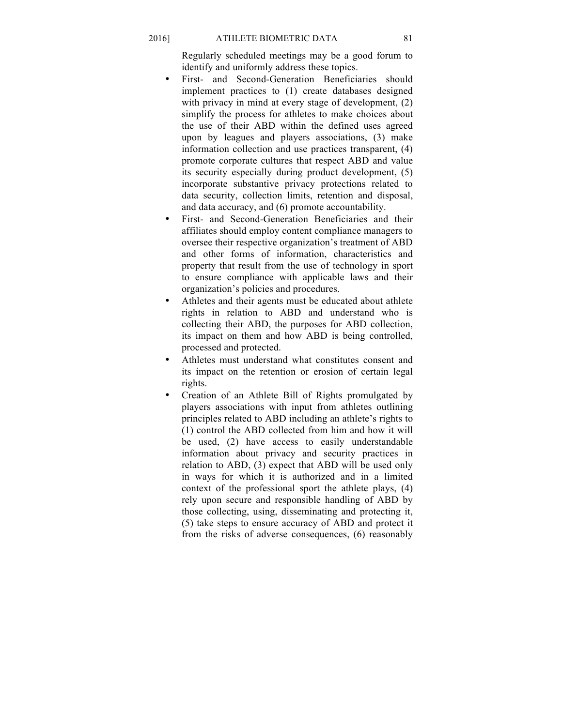Regularly scheduled meetings may be a good forum to identify and uniformly address these topics.

- First- and Second-Generation Beneficiaries should implement practices to (1) create databases designed with privacy in mind at every stage of development,  $(2)$ simplify the process for athletes to make choices about the use of their ABD within the defined uses agreed upon by leagues and players associations, (3) make information collection and use practices transparent, (4) promote corporate cultures that respect ABD and value its security especially during product development, (5) incorporate substantive privacy protections related to data security, collection limits, retention and disposal, and data accuracy, and (6) promote accountability.
- First- and Second-Generation Beneficiaries and their affiliates should employ content compliance managers to oversee their respective organization's treatment of ABD and other forms of information, characteristics and property that result from the use of technology in sport to ensure compliance with applicable laws and their organization's policies and procedures.
- Athletes and their agents must be educated about athlete rights in relation to ABD and understand who is collecting their ABD, the purposes for ABD collection, its impact on them and how ABD is being controlled, processed and protected.
- Athletes must understand what constitutes consent and its impact on the retention or erosion of certain legal rights.
- Creation of an Athlete Bill of Rights promulgated by players associations with input from athletes outlining principles related to ABD including an athlete's rights to (1) control the ABD collected from him and how it will be used, (2) have access to easily understandable information about privacy and security practices in relation to ABD, (3) expect that ABD will be used only in ways for which it is authorized and in a limited context of the professional sport the athlete plays, (4) rely upon secure and responsible handling of ABD by those collecting, using, disseminating and protecting it, (5) take steps to ensure accuracy of ABD and protect it from the risks of adverse consequences, (6) reasonably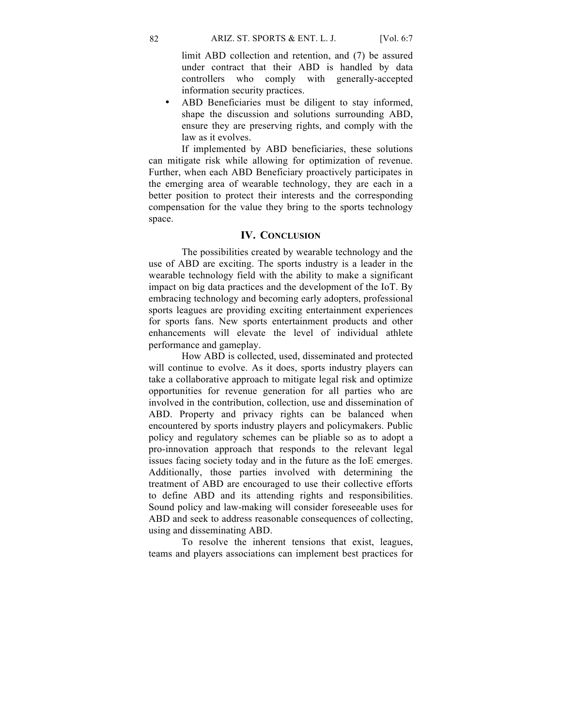limit ABD collection and retention, and (7) be assured under contract that their ABD is handled by data controllers who comply with generally-accepted information security practices.

ABD Beneficiaries must be diligent to stay informed, shape the discussion and solutions surrounding ABD, ensure they are preserving rights, and comply with the law as it evolves.

If implemented by ABD beneficiaries, these solutions can mitigate risk while allowing for optimization of revenue. Further, when each ABD Beneficiary proactively participates in the emerging area of wearable technology, they are each in a better position to protect their interests and the corresponding compensation for the value they bring to the sports technology space.

## **IV. CONCLUSION**

The possibilities created by wearable technology and the use of ABD are exciting. The sports industry is a leader in the wearable technology field with the ability to make a significant impact on big data practices and the development of the IoT. By embracing technology and becoming early adopters, professional sports leagues are providing exciting entertainment experiences for sports fans. New sports entertainment products and other enhancements will elevate the level of individual athlete performance and gameplay.

How ABD is collected, used, disseminated and protected will continue to evolve. As it does, sports industry players can take a collaborative approach to mitigate legal risk and optimize opportunities for revenue generation for all parties who are involved in the contribution, collection, use and dissemination of ABD. Property and privacy rights can be balanced when encountered by sports industry players and policymakers. Public policy and regulatory schemes can be pliable so as to adopt a pro-innovation approach that responds to the relevant legal issues facing society today and in the future as the IoE emerges. Additionally, those parties involved with determining the treatment of ABD are encouraged to use their collective efforts to define ABD and its attending rights and responsibilities. Sound policy and law-making will consider foreseeable uses for ABD and seek to address reasonable consequences of collecting, using and disseminating ABD.

To resolve the inherent tensions that exist, leagues, teams and players associations can implement best practices for